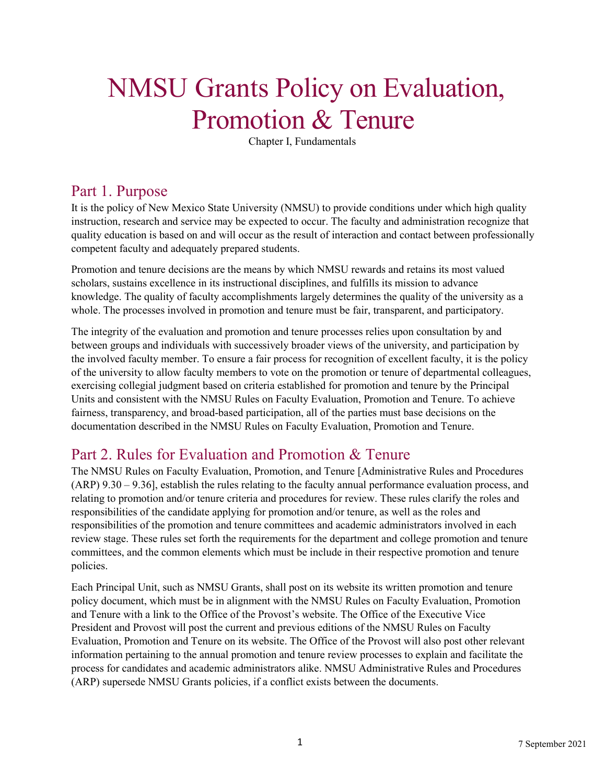# NMSU Grants Policy on Evaluation, Promotion & Tenure

Chapter I, Fundamentals

### Part 1. Purpose

It is the policy of New Mexico State University (NMSU) to provide conditions under which high quality instruction, research and service may be expected to occur. The faculty and administration recognize that quality education is based on and will occur as the result of interaction and contact between professionally competent faculty and adequately prepared students.

Promotion and tenure decisions are the means by which NMSU rewards and retains its most valued scholars, sustains excellence in its instructional disciplines, and fulfills its mission to advance knowledge. The quality of faculty accomplishments largely determines the quality of the university as a whole. The processes involved in promotion and tenure must be fair, transparent, and participatory.

The integrity of the evaluation and promotion and tenure processes relies upon consultation by and between groups and individuals with successively broader views of the university, and participation by the involved faculty member. To ensure a fair process for recognition of excellent faculty, it is the policy of the university to allow faculty members to vote on the promotion or tenure of departmental colleagues, exercising collegial judgment based on criteria established for promotion and tenure by the Principal Units and consistent with the NMSU Rules on Faculty Evaluation, Promotion and Tenure. To achieve fairness, transparency, and broad-based participation, all of the parties must base decisions on the documentation described in the NMSU Rules on Faculty Evaluation, Promotion and Tenure.

### Part 2. Rules for Evaluation and Promotion & Tenure

The NMSU Rules on Faculty Evaluation, Promotion, and Tenure [Administrative Rules and Procedures (ARP) 9.30 – 9.36], establish the rules relating to the faculty annual performance evaluation process, and relating to promotion and/or tenure criteria and procedures for review. These rules clarify the roles and responsibilities of the candidate applying for promotion and/or tenure, as well as the roles and responsibilities of the promotion and tenure committees and academic administrators involved in each review stage. These rules set forth the requirements for the department and college promotion and tenure committees, and the common elements which must be include in their respective promotion and tenure policies.

Each Principal Unit, such as NMSU Grants, shall post on its website its written promotion and tenure policy document, which must be in alignment with the NMSU Rules on Faculty Evaluation, Promotion and Tenure with a link to the Office of the Provost's website. The Office of the Executive Vice President and Provost will post the current and previous editions of the NMSU Rules on Faculty Evaluation, Promotion and Tenure on its website. The Office of the Provost will also post other relevant information pertaining to the annual promotion and tenure review processes to explain and facilitate the process for candidates and academic administrators alike. NMSU Administrative Rules and Procedures (ARP) supersede NMSU Grants policies, if a conflict exists between the documents.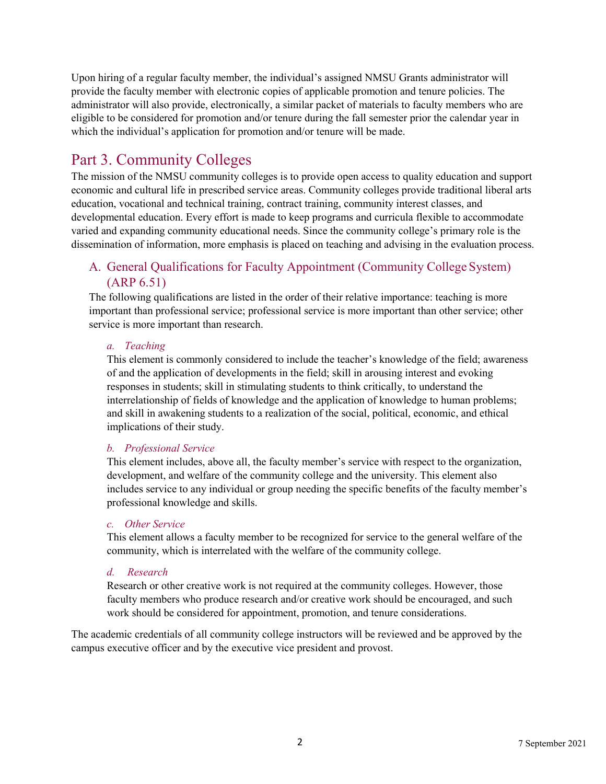Upon hiring of a regular faculty member, the individual's assigned NMSU Grants administrator will provide the faculty member with electronic copies of applicable promotion and tenure policies. The administrator will also provide, electronically, a similar packet of materials to faculty members who are eligible to be considered for promotion and/or tenure during the fall semester prior the calendar year in which the individual's application for promotion and/or tenure will be made.

### Part 3. Community Colleges

The mission of the NMSU community colleges is to provide open access to quality education and support economic and cultural life in prescribed service areas. Community colleges provide traditional liberal arts education, vocational and technical training, contract training, community interest classes, and developmental education. Every effort is made to keep programs and curricula flexible to accommodate varied and expanding community educational needs. Since the community college's primary role is the dissemination of information, more emphasis is placed on teaching and advising in the evaluation process.

### A. General Qualifications for Faculty Appointment (Community College System) (ARP 6.51)

The following qualifications are listed in the order of their relative importance: teaching is more important than professional service; professional service is more important than other service; other service is more important than research.

### *a. Teaching*

This element is commonly considered to include the teacher's knowledge of the field; awareness of and the application of developments in the field; skill in arousing interest and evoking responses in students; skill in stimulating students to think critically, to understand the interrelationship of fields of knowledge and the application of knowledge to human problems; and skill in awakening students to a realization of the social, political, economic, and ethical implications of their study.

### *b. Professional Service*

This element includes, above all, the faculty member's service with respect to the organization, development, and welfare of the community college and the university. This element also includes service to any individual or group needing the specific benefits of the faculty member's professional knowledge and skills.

#### *c. Other Service*

This element allows a faculty member to be recognized for service to the general welfare of the community, which is interrelated with the welfare of the community college.

#### *d. Research*

Research or other creative work is not required at the community colleges. However, those faculty members who produce research and/or creative work should be encouraged, and such work should be considered for appointment, promotion, and tenure considerations.

The academic credentials of all community college instructors will be reviewed and be approved by the campus executive officer and by the executive vice president and provost.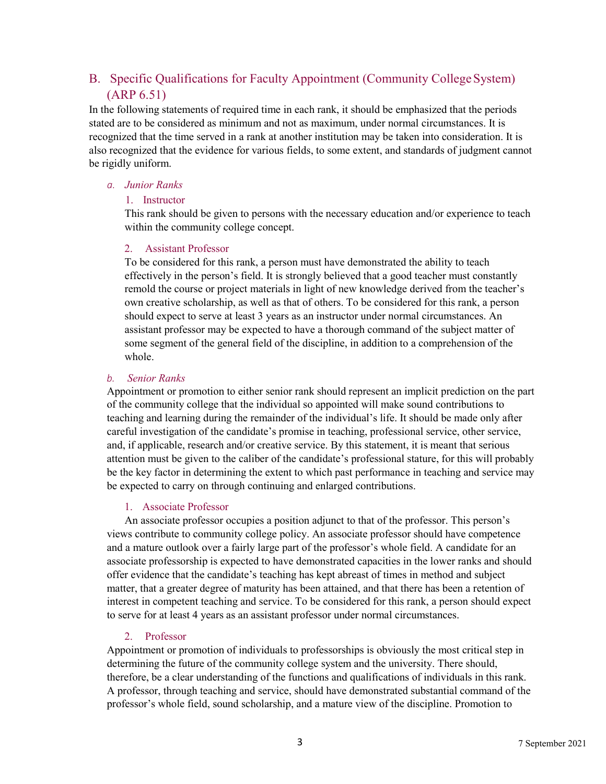### B. Specific Qualifications for Faculty Appointment (Community College System) (ARP 6.51)

In the following statements of required time in each rank, it should be emphasized that the periods stated are to be considered as minimum and not as maximum, under normal circumstances. It is recognized that the time served in a rank at another institution may be taken into consideration. It is also recognized that the evidence for various fields, to some extent, and standards of judgment cannot be rigidly uniform.

#### *a. Junior Ranks*

#### 1. Instructor

This rank should be given to persons with the necessary education and/or experience to teach within the community college concept.

#### 2. Assistant Professor

To be considered for this rank, a person must have demonstrated the ability to teach effectively in the person's field. It is strongly believed that a good teacher must constantly remold the course or project materials in light of new knowledge derived from the teacher's own creative scholarship, as well as that of others. To be considered for this rank, a person should expect to serve at least 3 years as an instructor under normal circumstances. An assistant professor may be expected to have a thorough command of the subject matter of some segment of the general field of the discipline, in addition to a comprehension of the whole.

#### *b. Senior Ranks*

Appointment or promotion to either senior rank should represent an implicit prediction on the part of the community college that the individual so appointed will make sound contributions to teaching and learning during the remainder of the individual's life. It should be made only after careful investigation of the candidate's promise in teaching, professional service, other service, and, if applicable, research and/or creative service. By this statement, it is meant that serious attention must be given to the caliber of the candidate's professional stature, for this will probably be the key factor in determining the extent to which past performance in teaching and service may be expected to carry on through continuing and enlarged contributions.

#### 1. Associate Professor

An associate professor occupies a position adjunct to that of the professor. This person's views contribute to community college policy. An associate professor should have competence and a mature outlook over a fairly large part of the professor's whole field. A candidate for an associate professorship is expected to have demonstrated capacities in the lower ranks and should offer evidence that the candidate's teaching has kept abreast of times in method and subject matter, that a greater degree of maturity has been attained, and that there has been a retention of interest in competent teaching and service. To be considered for this rank, a person should expect to serve for at least 4 years as an assistant professor under normal circumstances.

#### 2. Professor

Appointment or promotion of individuals to professorships is obviously the most critical step in determining the future of the community college system and the university. There should, therefore, be a clear understanding of the functions and qualifications of individuals in this rank. A professor, through teaching and service, should have demonstrated substantial command of the professor's whole field, sound scholarship, and a mature view of the discipline. Promotion to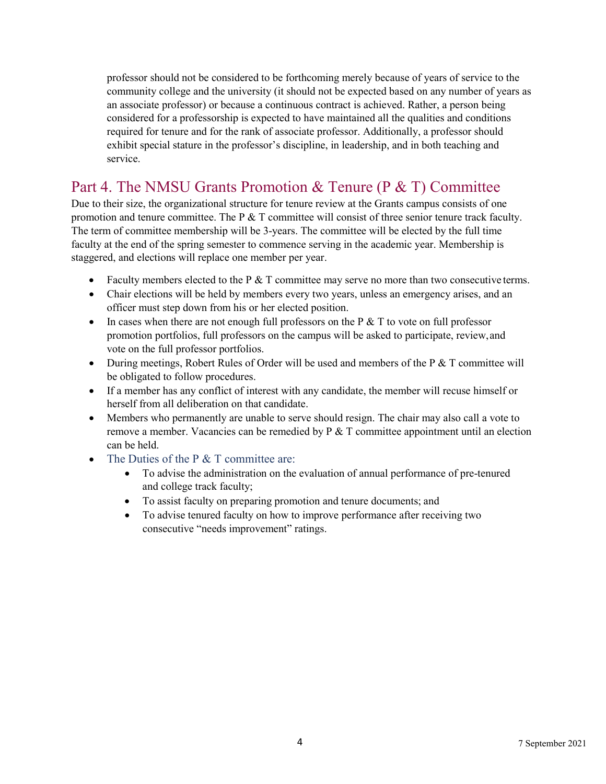professor should not be considered to be forthcoming merely because of years of service to the community college and the university (it should not be expected based on any number of years as an associate professor) or because a continuous contract is achieved. Rather, a person being considered for a professorship is expected to have maintained all the qualities and conditions required for tenure and for the rank of associate professor. Additionally, a professor should exhibit special stature in the professor's discipline, in leadership, and in both teaching and service.

### Part 4. The NMSU Grants Promotion & Tenure (P & T) Committee

Due to their size, the organizational structure for tenure review at the Grants campus consists of one promotion and tenure committee. The P & T committee will consist of three senior tenure track faculty. The term of committee membership will be 3-years. The committee will be elected by the full time faculty at the end of the spring semester to commence serving in the academic year. Membership is staggered, and elections will replace one member per year.

- Faculty members elected to the P  $&$  T committee may serve no more than two consecutive terms.
- Chair elections will be held by members every two years, unless an emergency arises, and an officer must step down from his or her elected position.
- In cases when there are not enough full professors on the  $P \& T$  to vote on full professor promotion portfolios, full professors on the campus will be asked to participate, review,and vote on the full professor portfolios.
- During meetings, Robert Rules of Order will be used and members of the P & T committee will be obligated to follow procedures.
- If a member has any conflict of interest with any candidate, the member will recuse himself or herself from all deliberation on that candidate.
- Members who permanently are unable to serve should resign. The chair may also call a vote to remove a member. Vacancies can be remedied by  $P \& T$  committee appointment until an election can be held.
- The Duties of the  $P < T$  committee are:
	- To advise the administration on the evaluation of annual performance of pre-tenured and college track faculty;
	- To assist faculty on preparing promotion and tenure documents; and
	- To advise tenured faculty on how to improve performance after receiving two consecutive "needs improvement" ratings.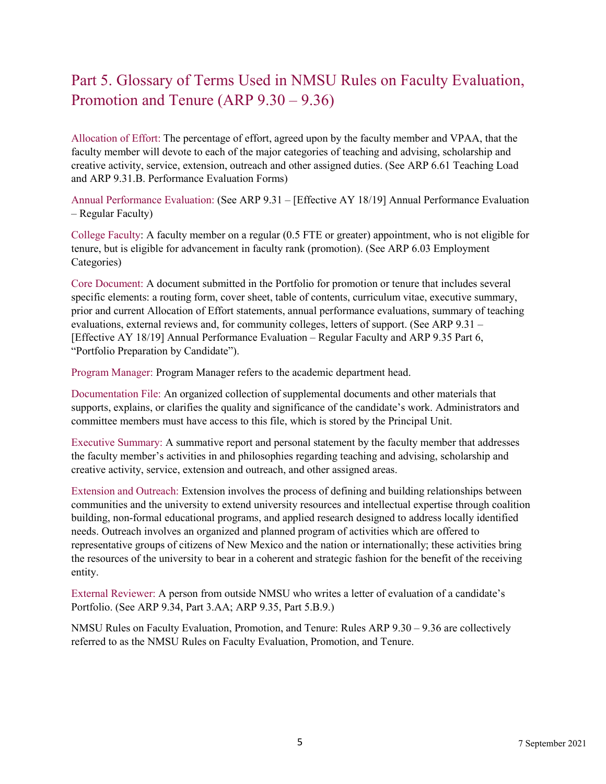### Part 5. Glossary of Terms Used in NMSU Rules on Faculty Evaluation, Promotion and Tenure (ARP 9.30 – 9.36)

Allocation of Effort: The percentage of effort, agreed upon by the faculty member and VPAA, that the faculty member will devote to each of the major categories of teaching and advising, scholarship and creative activity, service, extension, outreach and other assigned duties. (See ARP 6.61 Teaching Load and [ARP 9.31.](http://arp.nmsu.edu/6-61)B. [Performance](http://arp.nmsu.edu/6-61) Evaluation Forms)

Annual Performance Evaluation: (See ARP 9.31 – [\[Effective AY 18/19\] Annual Performance Evaluation](http://arp.nmsu.edu/9-31) – [Regular Faculty\)](http://arp.nmsu.edu/9-31)

College Faculty: A faculty member on a regular (0.5 FTE or greater) appointment, who is not eligible for tenure, but is eligible for advancement in faculty rank (promotion). (See [ARP 6.03 Employment](http://arp.nmsu.edu/6-03) [Categories\)](http://arp.nmsu.edu/6-03)

Core Document: A document submitted in the Portfolio for promotion or tenure that includes several specific elements: a routing form, cover sheet, table of contents, curriculum vitae, executive summary, prior and current Allocation of Effort statements, annual performance evaluations, summary of teaching evaluations, external reviews and, for community colleges, letters of support. (See [ARP 9.31 –](http://arp.nmsu.edu/9-31) [\[Effective AY 18/19\] Annual Performance Evaluation –](http://arp.nmsu.edu/9-31) Regular Faculty and [ARP 9.35 P](http://arp.nmsu.edu/9-35)art 6, "Portfolio Preparation by Candidate").

Program Manager: Program Manager refers to the academic department head.

Documentation File: An organized collection of supplemental documents and other materials that supports, explains, or clarifies the quality and significance of the candidate's work. Administrators and committee members must have access to this file, which is stored by the Principal Unit.

Executive Summary: A summative report and personal statement by the faculty member that addresses the faculty member's activities in and philosophies regarding teaching and advising, scholarship and creative activity, service, extension and outreach, and other assigned areas.

Extension and Outreach: Extension involves the process of defining and building relationships between communities and the university to extend university resources and intellectual expertise through coalition building, non-formal educational programs, and applied research designed to address locally identified needs. Outreach involves an organized and planned program of activities which are offered to representative groups of citizens of New Mexico and the nation or internationally; these activities bring the resources of the university to bear in a coherent and strategic fashion for the benefit of the receiving entity.

External Reviewer: A person from outside NMSU who writes a letter of evaluation of a candidate's Portfolio. (See [ARP 9.34, P](http://arp.nmsu.edu/9-34)art 3.AA; [ARP 9.35,](http://arp.nmsu.edu/9-35) Part 5.B.9.)

NMSU Rules on Faculty Evaluation, Promotion, and Tenure: Rules ARP 9.30 – 9.36 are collectively referred to as the NMSU Rules on Faculty Evaluation, Promotion, and Tenure.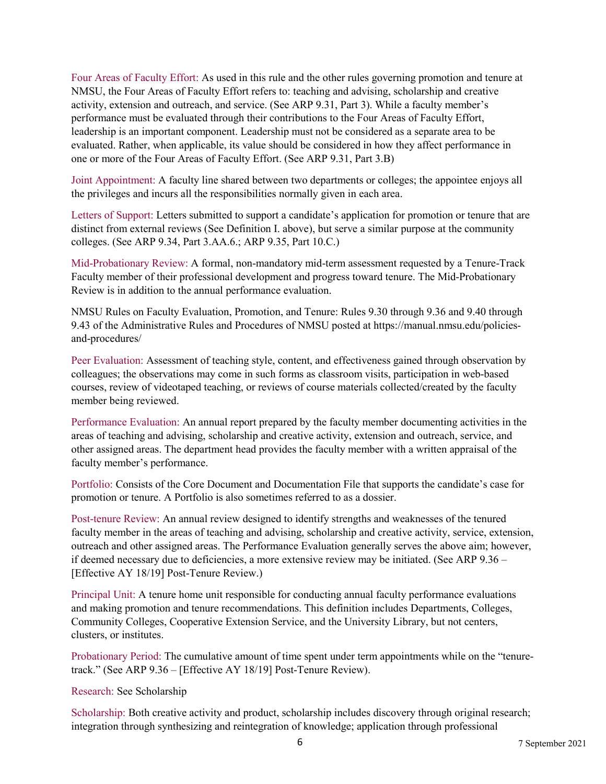Four Areas of Faculty Effort: As used in this rule and the other rules governing promotion and tenure at NMSU, the Four Areas of Faculty Effort refers to: teaching and advising, scholarship and creative activity, extension and outreach, and service. (See [ARP 9.31,](http://arp.nmsu.edu/9-31) Part 3). While a faculty member's performance must be evaluated through their contributions to the Four Areas of Faculty Effort, leadership is an important component. Leadership must not be considered as a separate area to be evaluated. Rather, when applicable, its value should be considered in how they affect performance in one or more of the Four Areas of Faculty Effort. (See ARP 9.31, Part 3.B)

Joint Appointment: A faculty line shared between two departments or colleges; the appointee enjoys all the privileges and incurs all the responsibilities normally given in each area.

Letters of Support: Letters submitted to support a candidate's application for promotion or tenure that are distinct from external reviews (See Definition I. above), but serve a similar purpose at the community colleges. (See [ARP 9.34,](http://arp.nmsu.edu/9-34) Part 3.AA.6.; [ARP 9.35, P](http://arp.nmsu.edu/9-35)art 10.C.)

Mid-Probationary Review: A formal, non-mandatory mid-term assessment requested by a Tenure-Track Faculty member of their professional development and progress toward tenure. The Mid-Probationary Review is in addition to the annual performance evaluation.

NMSU Rules on Faculty Evaluation, Promotion, and Tenure: Rules 9.30 through 9.36 and 9.40 through 9.43 of the Administrative Rules and Procedures of NMSU posted at [https://manual.nmsu.edu/policies](https://manual.nmsu.edu/policies-and-procedures/)[and-procedures/](https://manual.nmsu.edu/policies-and-procedures/)

Peer Evaluation: Assessment of teaching style, content, and effectiveness gained through observation by colleagues; the observations may come in such forms as classroom visits, participation in web-based courses, review of videotaped teaching, or reviews of course materials collected/created by the faculty member being reviewed.

Performance Evaluation: An annual report prepared by the faculty member documenting activities in the areas of teaching and advising, scholarship and creative activity, extension and outreach, service, and other assigned areas. The department head provides the faculty member with a written appraisal of the faculty member's performance.

Portfolio: Consists of the Core Document and Documentation File that supports the candidate's case for promotion or tenure. A Portfolio is also sometimes referred to as a dossier.

Post-tenure Review: An annual review designed to identify strengths and weaknesses of the tenured faculty member in the areas of teaching and advising, scholarship and creative activity, service, extension, outreach and other assigned areas. The Performance Evaluation generally serves the above aim; however, if deemed necessary due to deficiencies, a more extensive review may be initiated. (See [ARP 9.36 –](http://arp.nmsu.edu/9-36) [\[Effective AY 18/19\] Post-Tenure Review.](http://arp.nmsu.edu/9-36))

Principal Unit: A tenure home unit responsible for conducting annual faculty performance evaluations and making promotion and tenure recommendations. This definition includes Departments, Colleges, Community Colleges, Cooperative Extension Service, and the University Library, but not centers, clusters, or institutes.

Probationary Period: The cumulative amount of time spent under term appointments while on the "tenuretrack." (See ARP 9.36 – [\[Effective AY 18/19\] Post-Tenure Review\)](http://arp.nmsu.edu/9-36).

Research: See Scholarship

Scholarship: Both creative activity and product, scholarship includes discovery through original research; integration through synthesizing and reintegration of knowledge; application through professional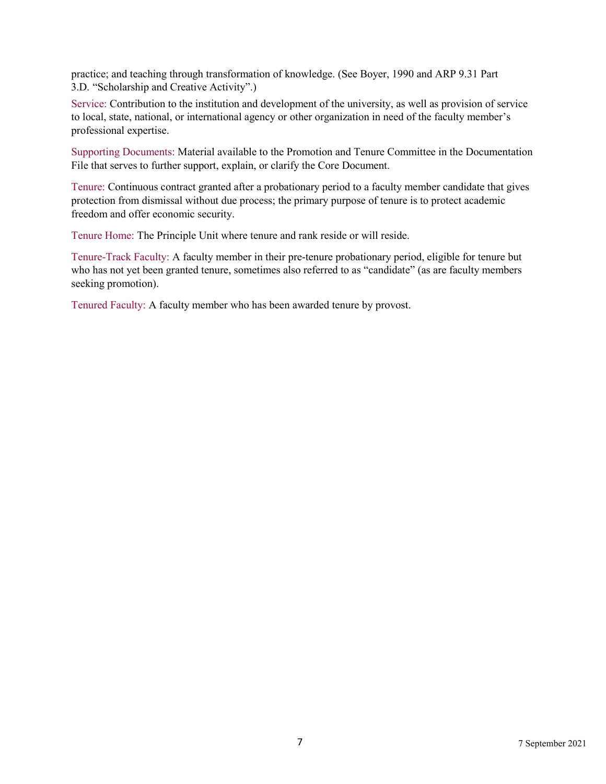practice; and teaching through transformation of knowledge. (See Boyer, 1990 and [ARP 9.31 P](http://arp.nmsu.edu/9-31)art 3.D. "Scholarship and Creative Activity".)

Service: Contribution to the institution and development of the university, as well as provision of service to local, state, national, or international agency or other organization in need of the faculty member's professional expertise.

Supporting Documents: Material available to the Promotion and Tenure Committee in the Documentation File that serves to further support, explain, or clarify the Core Document.

Tenure: Continuous contract granted after a probationary period to a faculty member candidate that gives protection from dismissal without due process; the primary purpose of tenure is to protect academic freedom and offer economic security.

Tenure Home: The Principle Unit where tenure and rank reside or will reside.

Tenure-Track Faculty: A faculty member in their pre-tenure probationary period, eligible for tenure but who has not yet been granted tenure, sometimes also referred to as "candidate" (as are faculty members seeking promotion).

Tenured Faculty: A faculty member who has been awarded tenure by provost.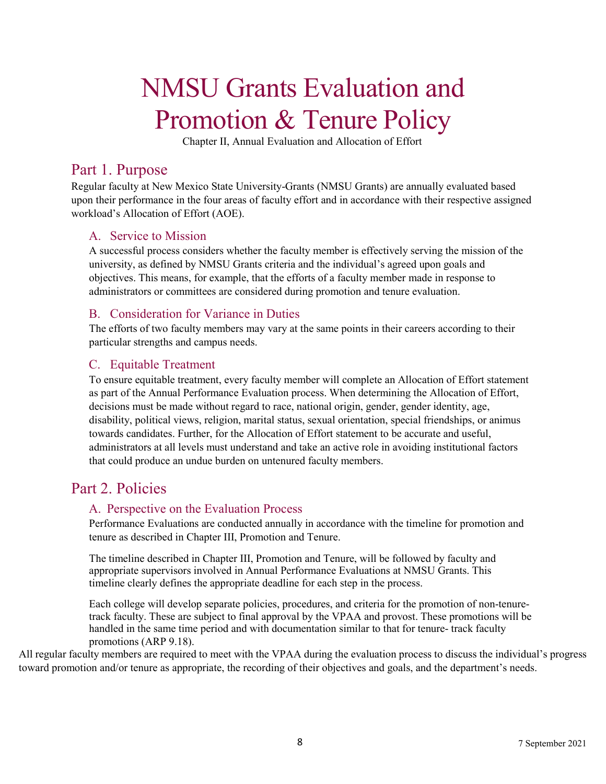# NMSU Grants Evaluation and Promotion & Tenure Policy

Chapter II, Annual Evaluation and Allocation of Effort

### Part 1. Purpose

Regular faculty at New Mexico State University-Grants (NMSU Grants) are annually evaluated based upon their performance in the four areas of faculty effort and in accordance with their respective assigned workload's Allocation of Effort (AOE).

### A. Service to Mission

A successful process considers whether the faculty member is effectively serving the mission of the university, as defined by NMSU Grants criteria and the individual's agreed upon goals and objectives. This means, for example, that the efforts of a faculty member made in response to administrators or committees are considered during promotion and tenure evaluation.

### B. Consideration for Variance in Duties

The efforts of two faculty members may vary at the same points in their careers according to their particular strengths and campus needs.

### C. Equitable Treatment

To ensure equitable treatment, every faculty member will complete an Allocation of Effort statement as part of the Annual Performance Evaluation process. When determining the Allocation of Effort, decisions must be made without regard to race, national origin, gender, gender identity, age, disability, political views, religion, marital status, sexual orientation, special friendships, or animus towards candidates. Further, for the Allocation of Effort statement to be accurate and useful, administrators at all levels must understand and take an active role in avoiding institutional factors that could produce an undue burden on untenured faculty members.

### Part 2. Policies

### A. Perspective on the Evaluation Process

Performance Evaluations are conducted annually in accordance with the timeline for promotion and tenure as described in Chapter III, Promotion and Tenure.

The timeline described in Chapter III, Promotion and Tenure, will be followed by faculty and appropriate supervisors involved in Annual Performance Evaluations at NMSU Grants. This timeline clearly defines the appropriate deadline for each step in the process.

Each college will develop separate policies, procedures, and criteria for the promotion of non-tenuretrack faculty. These are subject to final approval by the VPAA and provost. These promotions will be handled in the same time period and with documentation similar to that for tenure- track faculty promotions (ARP 9.18).

All regular faculty members are required to meet with the VPAA during the evaluation process to discuss the individual's progress toward promotion and/or tenure as appropriate, the recording of their objectives and goals, and the department's needs.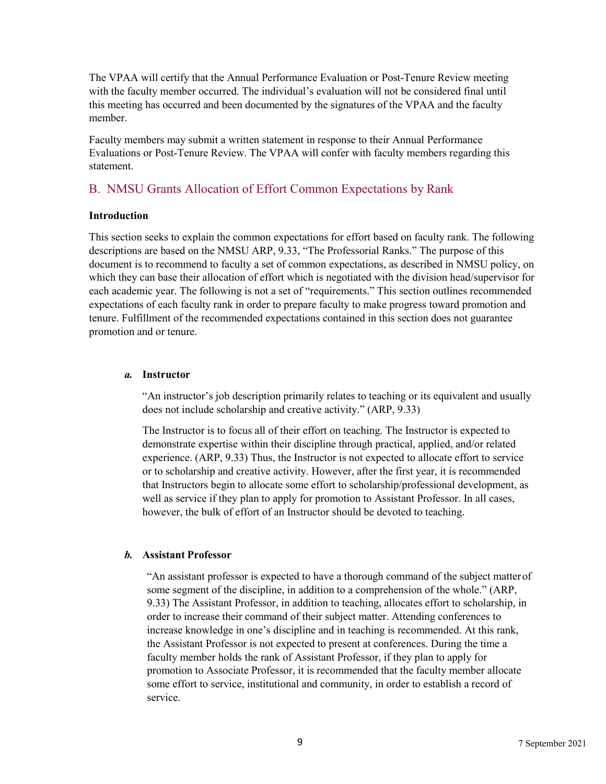The VPAA will certify that the Annual Performance Evaluation or Post-Tenure Review meeting with the faculty member occurred. The individual's evaluation will not be considered final until this meeting has occurred and been documented by the signatures of the VPAA and the faculty member.

Faculty members may submit a written statement in response to their Annual Performance Evaluations or Post-Tenure Review. The VPAA will confer with faculty members regarding this statement.

### B. NMSU Grants Allocation of Effort Common Expectations by Rank

#### **Introduction**

This section seeks to explain the common expectations for effort based on faculty rank. The following descriptions are based on the NMSU ARP, 9.33, "The Professorial Ranks." The purpose of this document is to recommend to faculty a set of common expectations, as described in NMSU policy, on which they can base their allocation of effort which is negotiated with the division head/supervisor for each academic year. The following is not a set of "requirements." This section outlines recommended expectations of each faculty rank in order to prepare faculty to make progress toward promotion and tenure. Fulfillment of the recommended expectations contained in this section does not guarantee promotion and or tenure.

#### *a.* **Instructor**

"An instructor's job description primarily relates to teaching or its equivalent and usually does not include scholarship and creative activity." (ARP, 9.33)

The Instructor is to focus all of their effort on teaching. The Instructor is expected to demonstrate expertise within their discipline through practical, applied, and/or related experience. (ARP, 9.33) Thus, the Instructor is not expected to allocate effort to service or to scholarship and creative activity. However, after the first year, it is recommended that Instructors begin to allocate some effort to scholarship/professional development, as well as service if they plan to apply for promotion to Assistant Professor. In all cases, however, the bulk of effort of an Instructor should be devoted to teaching.

#### *b.* **Assistant Professor**

"An assistant professor is expected to have a thorough command of the subject matter of some segment of the discipline, in addition to a comprehension of the whole." (ARP, 9.33) The Assistant Professor, in addition to teaching, allocates effort to scholarship, in order to increase their command of their subject matter. Attending conferences to increase knowledge in one's discipline and in teaching is recommended. At this rank, the Assistant Professor is not expected to present at conferences. During the time a faculty member holds the rank of Assistant Professor, if they plan to apply for promotion to Associate Professor, it is recommended that the faculty member allocate some effort to service, institutional and community, in order to establish a record of service.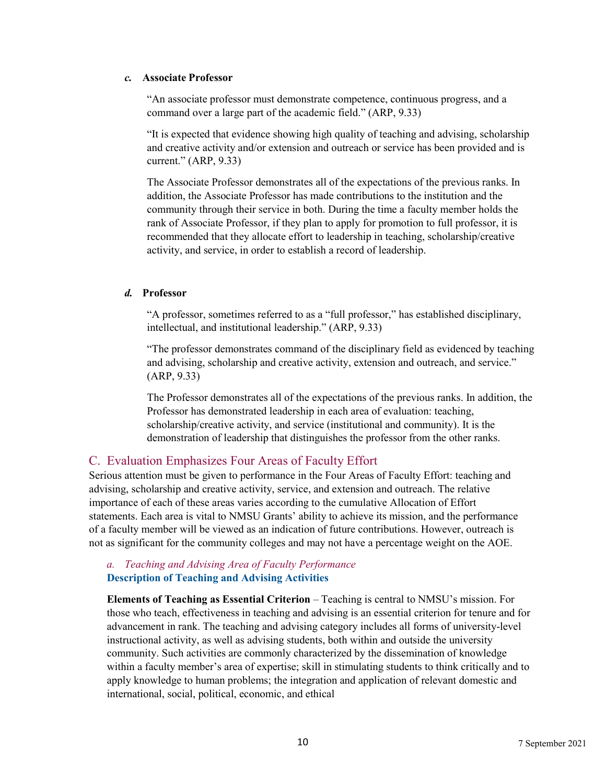#### *c.* **Associate Professor**

"An associate professor must demonstrate competence, continuous progress, and a command over a large part of the academic field." (ARP, 9.33)

"It is expected that evidence showing high quality of teaching and advising, scholarship and creative activity and/or extension and outreach or service has been provided and is current." (ARP, 9.33)

The Associate Professor demonstrates all of the expectations of the previous ranks. In addition, the Associate Professor has made contributions to the institution and the community through their service in both. During the time a faculty member holds the rank of Associate Professor, if they plan to apply for promotion to full professor, it is recommended that they allocate effort to leadership in teaching, scholarship/creative activity, and service, in order to establish a record of leadership.

#### *d.* **Professor**

"A professor, sometimes referred to as a "full professor," has established disciplinary, intellectual, and institutional leadership." (ARP, 9.33)

"The professor demonstrates command of the disciplinary field as evidenced by teaching and advising, scholarship and creative activity, extension and outreach, and service." (ARP, 9.33)

The Professor demonstrates all of the expectations of the previous ranks. In addition, the Professor has demonstrated leadership in each area of evaluation: teaching, scholarship/creative activity, and service (institutional and community). It is the demonstration of leadership that distinguishes the professor from the other ranks.

### C. Evaluation Emphasizes Four Areas of Faculty Effort

Serious attention must be given to performance in the Four Areas of Faculty Effort: teaching and advising, scholarship and creative activity, service, and extension and outreach. The relative importance of each of these areas varies according to the cumulative Allocation of Effort statements. Each area is vital to NMSU Grants' ability to achieve its mission, and the performance of a faculty member will be viewed as an indication of future contributions. However, outreach is not as significant for the community colleges and may not have a percentage weight on the AOE.

#### *a. Teaching and Advising Area of Faculty Performance* **Description of Teaching and Advising Activities**

**Elements of Teaching as Essential Criterion** – Teaching is central to NMSU's mission. For those who teach, effectiveness in teaching and advising is an essential criterion for tenure and for advancement in rank. The teaching and advising category includes all forms of university-level instructional activity, as well as advising students, both within and outside the university community. Such activities are commonly characterized by the dissemination of knowledge within a faculty member's area of expertise; skill in stimulating students to think critically and to apply knowledge to human problems; the integration and application of relevant domestic and international, social, political, economic, and ethical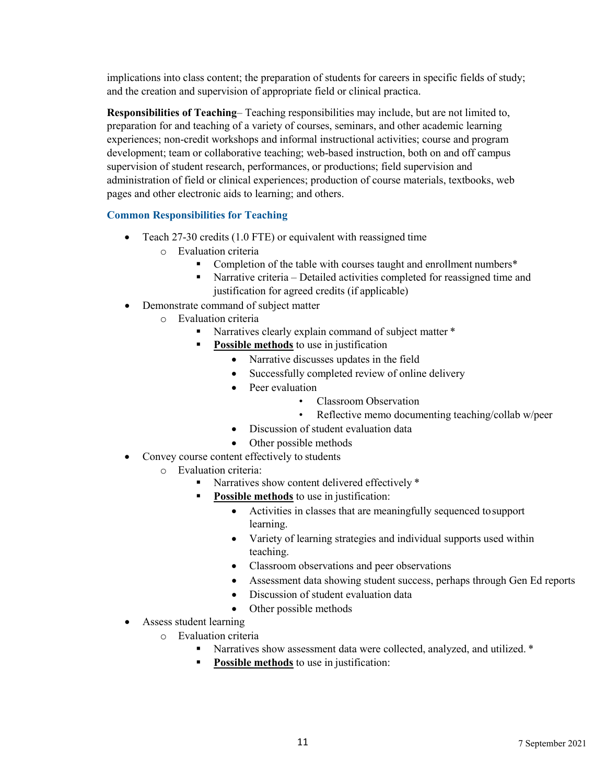implications into class content; the preparation of students for careers in specific fields of study; and the creation and supervision of appropriate field or clinical practica.

**Responsibilities of Teaching**– Teaching responsibilities may include, but are not limited to, preparation for and teaching of a variety of courses, seminars, and other academic learning experiences; non-credit workshops and informal instructional activities; course and program development; team or collaborative teaching; web-based instruction, both on and off campus supervision of student research, performances, or productions; field supervision and administration of field or clinical experiences; production of course materials, textbooks, web pages and other electronic aids to learning; and others.

### **Common Responsibilities for Teaching**

- Teach 27-30 credits (1.0 FTE) or equivalent with reassigned time
	- o Evaluation criteria
		- Completion of the table with courses taught and enrollment numbers\*
		- Narrative criteria Detailed activities completed for reassigned time and justification for agreed credits (if applicable)
- Demonstrate command of subject matter
	- o Evaluation criteria
		- Narratives clearly explain command of subject matter \*
		- **Possible methods** to use in justification
			- Narrative discusses updates in the field
			- Successfully completed review of online delivery
			- Peer evaluation
				- Classroom Observation
				- Reflective memo documenting teaching/collab w/peer
			- Discussion of student evaluation data
			- Other possible methods
- Convey course content effectively to students
	- o Evaluation criteria:
		- Narratives show content delivered effectively \*
		- **Possible methods** to use in justification:
			- Activities in classes that are meaningfully sequenced tosupport learning.
			- Variety of learning strategies and individual supports used within teaching.
			- Classroom observations and peer observations
			- Assessment data showing student success, perhaps through Gen Ed reports
			- Discussion of student evaluation data
			- Other possible methods
- Assess student learning
	- o Evaluation criteria
		- Narratives show assessment data were collected, analyzed, and utilized. \*
			- **Possible methods** to use in justification: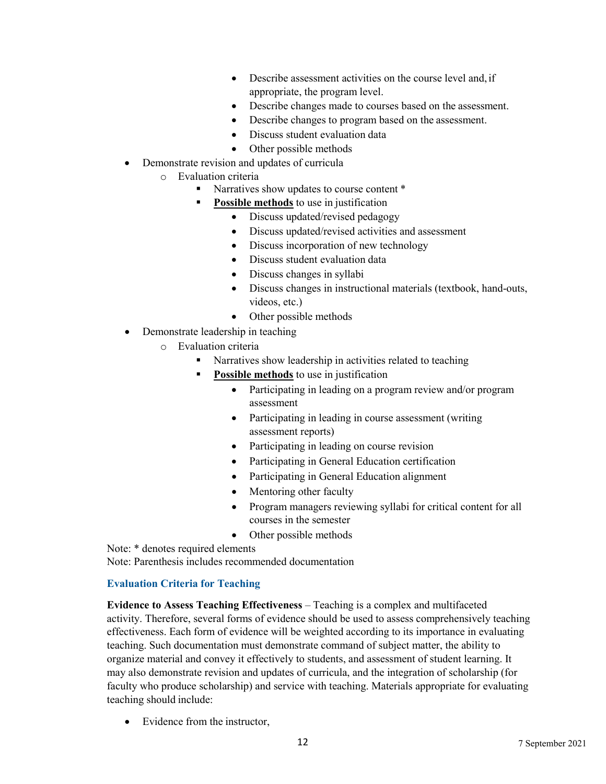- Describe assessment activities on the course level and, if appropriate, the program level.
- Describe changes made to courses based on the assessment.
- Describe changes to program based on the assessment.
- Discuss student evaluation data
- Other possible methods
- Demonstrate revision and updates of curricula
	- o Evaluation criteria
		- Narratives show updates to course content \*
		- **Possible methods** to use in justification
			- Discuss updated/revised pedagogy
			- Discuss updated/revised activities and assessment
			- Discuss incorporation of new technology
			- Discuss student evaluation data
			- Discuss changes in syllabi
			- Discuss changes in instructional materials (textbook, hand-outs, videos, etc.)
			- Other possible methods
- Demonstrate leadership in teaching
	- o Evaluation criteria
		- Narratives show leadership in activities related to teaching
		- **Possible methods** to use in justification
			- Participating in leading on a program review and/or program assessment
			- Participating in leading in course assessment (writing assessment reports)
			- Participating in leading on course revision
			- Participating in General Education certification
			- Participating in General Education alignment
			- Mentoring other faculty
			- Program managers reviewing syllabi for critical content for all courses in the semester
			- Other possible methods

Note: \* denotes required elements

Note: Parenthesis includes recommended documentation

#### **Evaluation Criteria for Teaching**

**Evidence to Assess Teaching Effectiveness** – Teaching is a complex and multifaceted activity. Therefore, several forms of evidence should be used to assess comprehensively teaching effectiveness. Each form of evidence will be weighted according to its importance in evaluating teaching. Such documentation must demonstrate command of subject matter, the ability to organize material and convey it effectively to students, and assessment of student learning. It may also demonstrate revision and updates of curricula, and the integration of scholarship (for faculty who produce scholarship) and service with teaching. Materials appropriate for evaluating teaching should include:

• Evidence from the instructor.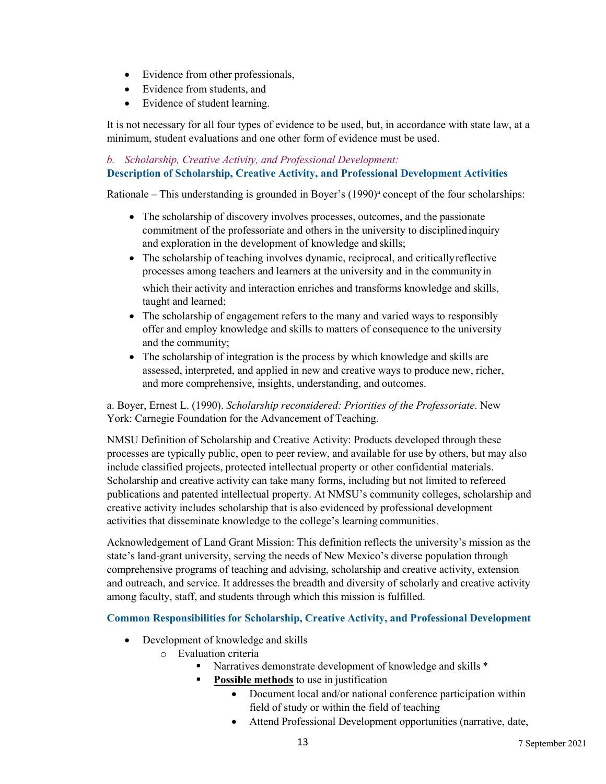- Evidence from other professionals,
- Evidence from students, and
- Evidence of student learning.

It is not necessary for all four types of evidence to be used, but, in accordance with state law, at a minimum, student evaluations and one other form of evidence must be used.

### *b. Scholarship, Creative Activity, and Professional Development:* **Description of Scholarship, Creative Activity, and Professional Development Activities**

Rationale – This understanding is grounded in Boyer's  $(1990)^{a}$  concept of the four scholarships:

- The scholarship of discovery involves processes, outcomes, and the passionate commitment of the professoriate and others in the university to disciplinedinquiry and exploration in the development of knowledge and skills;
- The scholarship of teaching involves dynamic, reciprocal, and critically reflective processes among teachers and learners at the university and in the community in

which their activity and interaction enriches and transforms knowledge and skills, taught and learned;

- The scholarship of engagement refers to the many and varied ways to responsibly offer and employ knowledge and skills to matters of consequence to the university and the community;
- The scholarship of integration is the process by which knowledge and skills are assessed, interpreted, and applied in new and creative ways to produce new, richer, and more comprehensive, insights, understanding, and outcomes.

a. Boyer, Ernest L. (1990). *Scholarship reconsidered: Priorities of the Professoriate*. New York: Carnegie Foundation for the Advancement of Teaching.

NMSU Definition of Scholarship and Creative Activity: Products developed through these processes are typically public, open to peer review, and available for use by others, but may also include classified projects, protected intellectual property or other confidential materials. Scholarship and creative activity can take many forms, including but not limited to refereed publications and patented intellectual property. At NMSU's community colleges, scholarship and creative activity includes scholarship that is also evidenced by professional development activities that disseminate knowledge to the college's learning communities.

Acknowledgement of Land Grant Mission: This definition reflects the university's mission as the state's land-grant university, serving the needs of New Mexico's diverse population through comprehensive programs of teaching and advising, scholarship and creative activity, extension and outreach, and service. It addresses the breadth and diversity of scholarly and creative activity among faculty, staff, and students through which this mission is fulfilled.

#### **Common Responsibilities for Scholarship, Creative Activity, and Professional Development**

- Development of knowledge and skills
	- o Evaluation criteria
		- Narratives demonstrate development of knowledge and skills \*
			- **Possible methods** to use in justification
				- Document local and/or national conference participation within field of study or within the field of teaching
				- Attend Professional Development opportunities (narrative, date,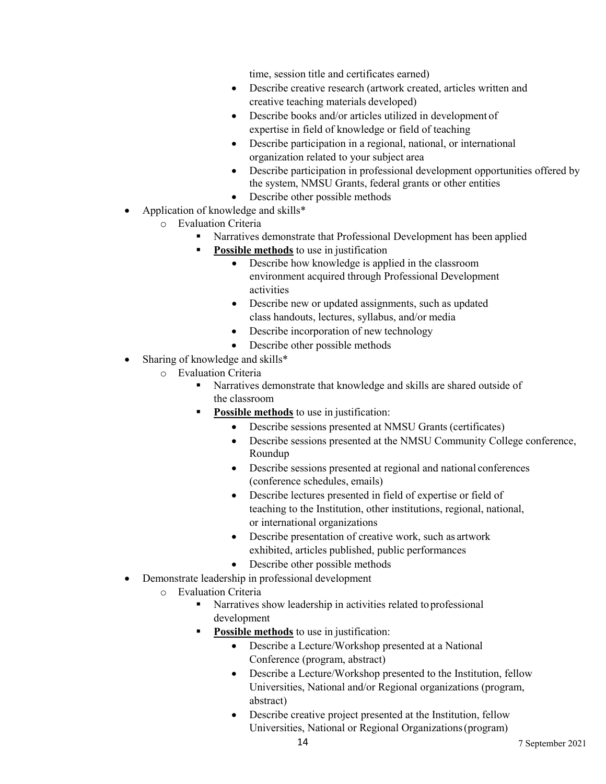time, session title and certificates earned)

- Describe creative research (artwork created, articles written and creative teaching materials developed)
- Describe books and/or articles utilized in development of expertise in field of knowledge or field of teaching
- Describe participation in a regional, national, or international organization related to your subject area
- Describe participation in professional development opportunities offered by the system, NMSU Grants, federal grants or other entities
- Describe other possible methods
- Application of knowledge and skills\*
	- o Evaluation Criteria
		- Narratives demonstrate that Professional Development has been applied
		- **Possible methods** to use in justification
			- Describe how knowledge is applied in the classroom environment acquired through Professional Development activities
			- Describe new or updated assignments, such as updated class handouts, lectures, syllabus, and/or media
			- Describe incorporation of new technology
			- Describe other possible methods
- Sharing of knowledge and skills\*
	- o Evaluation Criteria
		- Narratives demonstrate that knowledge and skills are shared outside of the classroom
		- **Possible methods** to use in justification:
			- Describe sessions presented at NMSU Grants (certificates)
			- Describe sessions presented at the NMSU Community College conference, Roundup
			- Describe sessions presented at regional and national conferences (conference schedules, emails)
			- Describe lectures presented in field of expertise or field of teaching to the Institution, other institutions, regional, national, or international organizations
			- Describe presentation of creative work, such as artwork exhibited, articles published, public performances
			- Describe other possible methods
- Demonstrate leadership in professional development
	- o Evaluation Criteria
		- Narratives show leadership in activities related toprofessional development
		- **Possible methods** to use in justification:
			- Describe a Lecture/Workshop presented at a National Conference (program, abstract)
			- Describe a Lecture/Workshop presented to the Institution, fellow Universities, National and/or Regional organizations (program, abstract)
			- Describe creative project presented at the Institution, fellow Universities, National or Regional Organizations(program)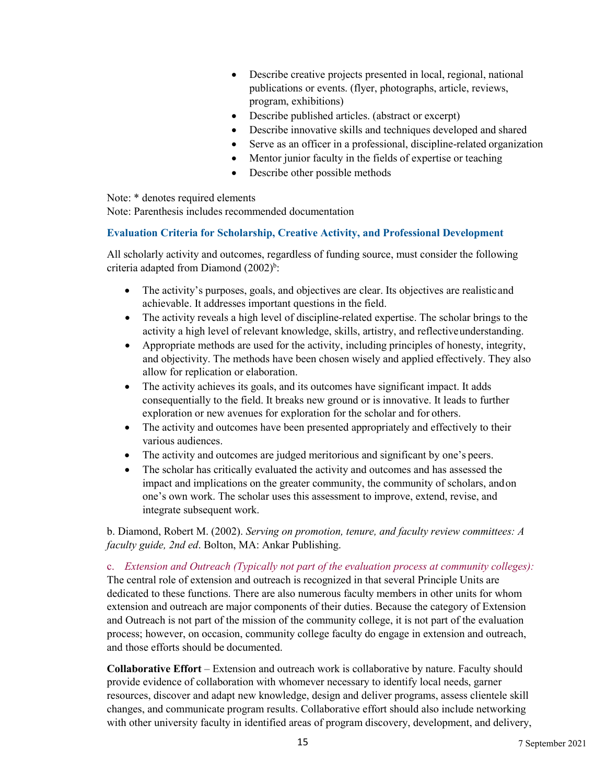- Describe creative projects presented in local, regional, national publications or events. (flyer, photographs, article, reviews, program, exhibitions)
- Describe published articles. (abstract or excerpt)
- Describe innovative skills and techniques developed and shared
- Serve as an officer in a professional, discipline-related organization
- Mentor junior faculty in the fields of expertise or teaching
- Describe other possible methods

Note: \* denotes required elements

Note: Parenthesis includes recommended documentation

#### **Evaluation Criteria for Scholarship, Creative Activity, and Professional Development**

All scholarly activity and outcomes, regardless of funding source, must consider the following criteria adapted from Diamond (2002)<sup>b</sup>:

- The activity's purposes, goals, and objectives are clear. Its objectives are realisticand achievable. It addresses important questions in the field.
- The activity reveals a high level of discipline-related expertise. The scholar brings to the activity a high level of relevant knowledge, skills, artistry, and reflectiveunderstanding.
- Appropriate methods are used for the activity, including principles of honesty, integrity, and objectivity. The methods have been chosen wisely and applied effectively. They also allow for replication or elaboration.
- The activity achieves its goals, and its outcomes have significant impact. It adds consequentially to the field. It breaks new ground or is innovative. It leads to further exploration or new avenues for exploration for the scholar and for others.
- The activity and outcomes have been presented appropriately and effectively to their various audiences.
- The activity and outcomes are judged meritorious and significant by one's peers.
- The scholar has critically evaluated the activity and outcomes and has assessed the impact and implications on the greater community, the community of scholars, andon one's own work. The scholar uses this assessment to improve, extend, revise, and integrate subsequent work.

b. Diamond, Robert M. (2002). *Serving on promotion, tenure, and faculty review committees: A faculty guide, 2nd ed*. Bolton, MA: Ankar Publishing.

c. *Extension and Outreach (Typically not part of the evaluation process at community colleges):* The central role of extension and outreach is recognized in that several Principle Units are dedicated to these functions. There are also numerous faculty members in other units for whom extension and outreach are major components of their duties. Because the category of Extension and Outreach is not part of the mission of the community college, it is not part of the evaluation process; however, on occasion, community college faculty do engage in extension and outreach, and those efforts should be documented.

**Collaborative Effort** – Extension and outreach work is collaborative by nature. Faculty should provide evidence of collaboration with whomever necessary to identify local needs, garner resources, discover and adapt new knowledge, design and deliver programs, assess clientele skill changes, and communicate program results. Collaborative effort should also include networking with other university faculty in identified areas of program discovery, development, and delivery,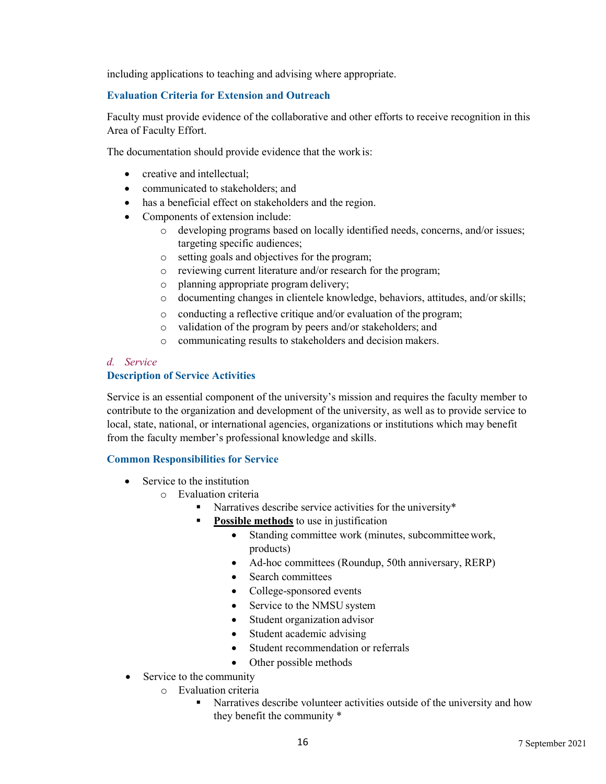including applications to teaching and advising where appropriate.

#### **Evaluation Criteria for Extension and Outreach**

Faculty must provide evidence of the collaborative and other efforts to receive recognition in this Area of Faculty Effort.

The documentation should provide evidence that the work is:

- creative and intellectual:
- communicated to stakeholders: and
- has a beneficial effect on stakeholders and the region.
- Components of extension include:
	- o developing programs based on locally identified needs, concerns, and/or issues; targeting specific audiences;
	- o setting goals and objectives for the program;
	- o reviewing current literature and/or research for the program;
	- o planning appropriate program delivery;
	- o documenting changes in clientele knowledge, behaviors, attitudes, and/or skills;
	- o conducting a reflective critique and/or evaluation of the program;
	- o validation of the program by peers and/or stakeholders; and
	- o communicating results to stakeholders and decision makers.

#### *d. Service*

#### **Description of Service Activities**

Service is an essential component of the university's mission and requires the faculty member to contribute to the organization and development of the university, as well as to provide service to local, state, national, or international agencies, organizations or institutions which may benefit from the faculty member's professional knowledge and skills.

#### **Common Responsibilities for Service**

- Service to the institution
	- o Evaluation criteria
		- Narratives describe service activities for the university\*
			- **Possible methods** to use in justification
				- Standing committee work (minutes, subcommittee work, products)
				- Ad-hoc committees (Roundup, 50th anniversary, RERP)
				- Search committees
				- College-sponsored events
				- Service to the NMSU system
				- Student organization advisor
				- Student academic advising
				- Student recommendation or referrals
				- Other possible methods
- Service to the community
	- o Evaluation criteria
		- Narratives describe volunteer activities outside of the university and how they benefit the community \*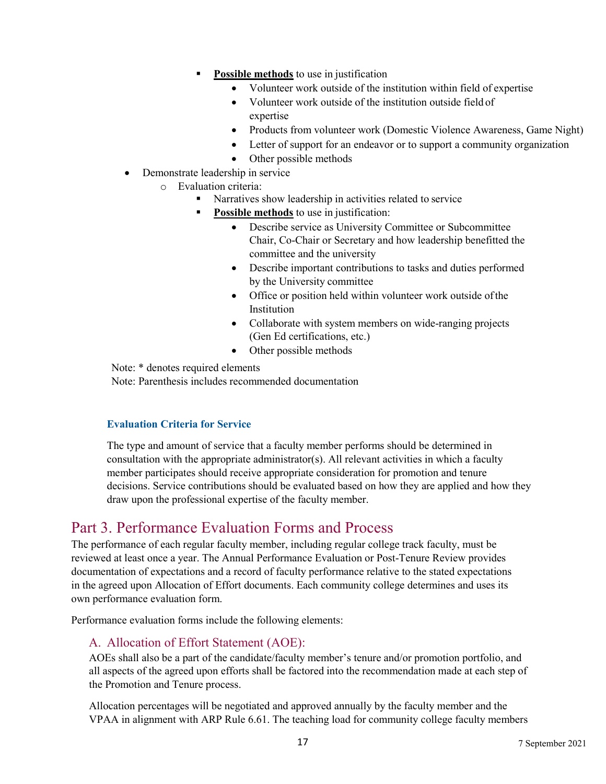- **Possible methods** to use in justification
	- Volunteer work outside of the institution within field of expertise
	- Volunteer work outside of the institution outside field of expertise
	- Products from volunteer work (Domestic Violence Awareness, Game Night)
	- Letter of support for an endeavor or to support a community organization
	- Other possible methods
- Demonstrate leadership in service
	- o Evaluation criteria:
		- Narratives show leadership in activities related to service
		- **Possible methods** to use in justification:
			- Describe service as University Committee or Subcommittee Chair, Co-Chair or Secretary and how leadership benefitted the committee and the university
			- Describe important contributions to tasks and duties performed by the University committee
			- Office or position held within volunteer work outside ofthe Institution
			- Collaborate with system members on wide-ranging projects (Gen Ed certifications, etc.)
			- Other possible methods

Note: \* denotes required elements Note: Parenthesis includes recommended documentation

#### **Evaluation Criteria for Service**

The type and amount of service that a faculty member performs should be determined in consultation with the appropriate administrator(s). All relevant activities in which a faculty member participates should receive appropriate consideration for promotion and tenure decisions. Service contributions should be evaluated based on how they are applied and how they draw upon the professional expertise of the faculty member.

### Part 3. Performance Evaluation Forms and Process

The performance of each regular faculty member, including regular college track faculty, must be reviewed at least once a year. The Annual Performance Evaluation or Post-Tenure Review provides documentation of expectations and a record of faculty performance relative to the stated expectations in the agreed upon Allocation of Effort documents. Each community college determines and uses its own performance evaluation form.

Performance evaluation forms include the following elements:

#### A. Allocation of Effort Statement (AOE):

AOEs shall also be a part of the candidate/faculty member's tenure and/or promotion portfolio, and all aspects of the agreed upon efforts shall be factored into the recommendation made at each step of the Promotion and Tenure process.

Allocation percentages will be negotiated and approved annually by the faculty member and the VPAA in alignment with ARP Rule 6.61. The teaching load for community college faculty members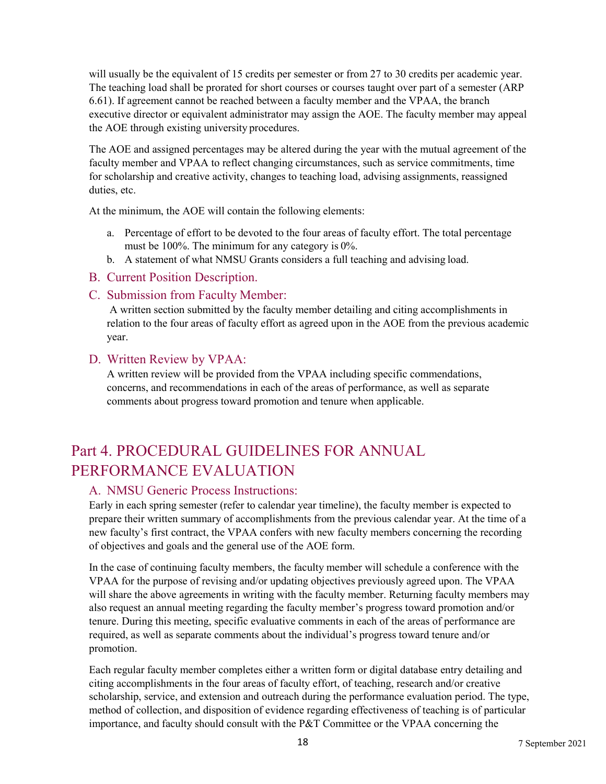will usually be the equivalent of 15 credits per semester or from 27 to 30 credits per academic year. The teaching load shall be prorated for short courses or courses taught over part of a semester (ARP 6.61). If agreement cannot be reached between a faculty member and the VPAA, the branch executive director or equivalent administrator may assign the AOE. The faculty member may appeal the AOE through existing university procedures.

The AOE and assigned percentages may be altered during the year with the mutual agreement of the faculty member and VPAA to reflect changing circumstances, such as service commitments, time for scholarship and creative activity, changes to teaching load, advising assignments, reassigned duties, etc.

At the minimum, the AOE will contain the following elements:

- a. Percentage of effort to be devoted to the four areas of faculty effort. The total percentage must be 100%. The minimum for any category is 0%.
- b. A statement of what NMSU Grants considers a full teaching and advising load.
- B. Current Position Description.
- C. Submission from Faculty Member:

A written section submitted by the faculty member detailing and citing accomplishments in relation to the four areas of faculty effort as agreed upon in the AOE from the previous academic year.

### D. Written Review by VPAA:

A written review will be provided from the VPAA including specific commendations, concerns, and recommendations in each of the areas of performance, as well as separate comments about progress toward promotion and tenure when applicable.

### Part 4. PROCEDURAL GUIDELINES FOR ANNUAL PERFORMANCE EVALUATION

### A. NMSU Generic Process Instructions:

Early in each spring semester (refer to calendar year timeline), the faculty member is expected to prepare their written summary of accomplishments from the previous calendar year. At the time of a new faculty's first contract, the VPAA confers with new faculty members concerning the recording of objectives and goals and the general use of the AOE form.

In the case of continuing faculty members, the faculty member will schedule a conference with the VPAA for the purpose of revising and/or updating objectives previously agreed upon. The VPAA will share the above agreements in writing with the faculty member. Returning faculty members may also request an annual meeting regarding the faculty member's progress toward promotion and/or tenure. During this meeting, specific evaluative comments in each of the areas of performance are required, as well as separate comments about the individual's progress toward tenure and/or promotion.

Each regular faculty member completes either a written form or digital database entry detailing and citing accomplishments in the four areas of faculty effort, of teaching, research and/or creative scholarship, service, and extension and outreach during the performance evaluation period. The type, method of collection, and disposition of evidence regarding effectiveness of teaching is of particular importance, and faculty should consult with the P&T Committee or the VPAA concerning the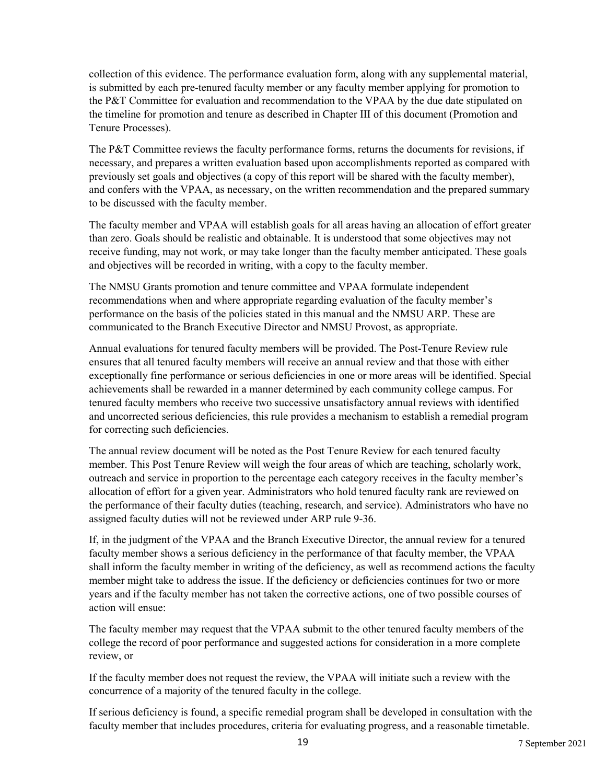collection of this evidence. The performance evaluation form, along with any supplemental material, is submitted by each pre-tenured faculty member or any faculty member applying for promotion to the P&T Committee for evaluation and recommendation to the VPAA by the due date stipulated on the timeline for promotion and tenure as described in Chapter III of this document (Promotion and Tenure Processes).

The P&T Committee reviews the faculty performance forms, returns the documents for revisions, if necessary, and prepares a written evaluation based upon accomplishments reported as compared with previously set goals and objectives (a copy of this report will be shared with the faculty member), and confers with the VPAA, as necessary, on the written recommendation and the prepared summary to be discussed with the faculty member.

The faculty member and VPAA will establish goals for all areas having an allocation of effort greater than zero. Goals should be realistic and obtainable. It is understood that some objectives may not receive funding, may not work, or may take longer than the faculty member anticipated. These goals and objectives will be recorded in writing, with a copy to the faculty member.

The NMSU Grants promotion and tenure committee and VPAA formulate independent recommendations when and where appropriate regarding evaluation of the faculty member's performance on the basis of the policies stated in this manual and the NMSU ARP. These are communicated to the Branch Executive Director and NMSU Provost, as appropriate.

Annual evaluations for tenured faculty members will be provided. The Post-Tenure Review rule ensures that all tenured faculty members will receive an annual review and that those with either exceptionally fine performance or serious deficiencies in one or more areas will be identified. Special achievements shall be rewarded in a manner determined by each community college campus. For tenured faculty members who receive two successive unsatisfactory annual reviews with identified and uncorrected serious deficiencies, this rule provides a mechanism to establish a remedial program for correcting such deficiencies.

The annual review document will be noted as the Post Tenure Review for each tenured faculty member. This Post Tenure Review will weigh the four areas of which are teaching, scholarly work, outreach and service in proportion to the percentage each category receives in the faculty member's allocation of effort for a given year. Administrators who hold tenured faculty rank are reviewed on the performance of their faculty duties (teaching, research, and service). Administrators who have no assigned faculty duties will not be reviewed under ARP rule 9-36.

If, in the judgment of the VPAA and the Branch Executive Director, the annual review for a tenured faculty member shows a serious deficiency in the performance of that faculty member, the VPAA shall inform the faculty member in writing of the deficiency, as well as recommend actions the faculty member might take to address the issue. If the deficiency or deficiencies continues for two or more years and if the faculty member has not taken the corrective actions, one of two possible courses of action will ensue:

The faculty member may request that the VPAA submit to the other tenured faculty members of the college the record of poor performance and suggested actions for consideration in a more complete review, or

If the faculty member does not request the review, the VPAA will initiate such a review with the concurrence of a majority of the tenured faculty in the college.

If serious deficiency is found, a specific remedial program shall be developed in consultation with the faculty member that includes procedures, criteria for evaluating progress, and a reasonable timetable.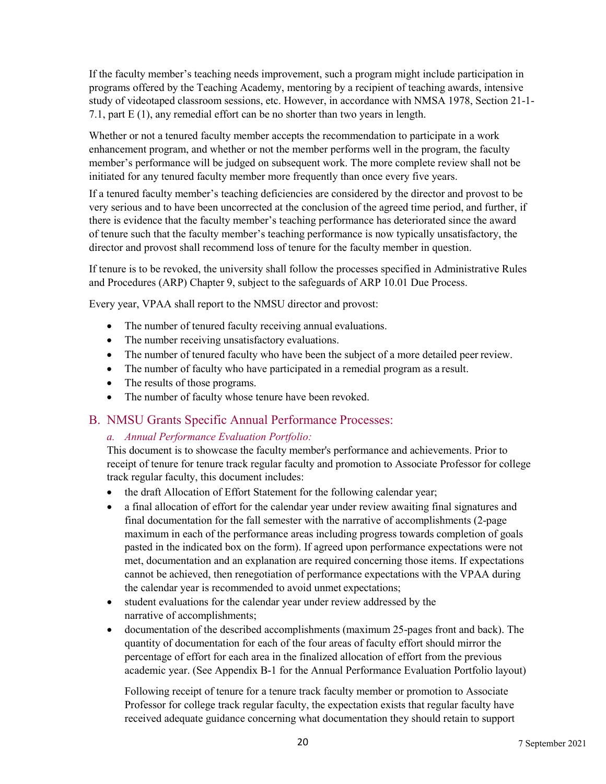If the faculty member's teaching needs improvement, such a program might include participation in programs offered by the Teaching Academy, mentoring by a recipient of teaching awards, intensive study of videotaped classroom sessions, etc. However, in accordance with NMSA 1978, Section 21-1- 7.1, part E (1), any remedial effort can be no shorter than two years in length.

Whether or not a tenured faculty member accepts the recommendation to participate in a work enhancement program, and whether or not the member performs well in the program, the faculty member's performance will be judged on subsequent work. The more complete review shall not be initiated for any tenured faculty member more frequently than once every five years.

If a tenured faculty member's teaching deficiencies are considered by the director and provost to be very serious and to have been uncorrected at the conclusion of the agreed time period, and further, if there is evidence that the faculty member's teaching performance has deteriorated since the award of tenure such that the faculty member's teaching performance is now typically unsatisfactory, the director and provost shall recommend loss of tenure for the faculty member in question.

If tenure is to be revoked, the university shall follow the processes specified in Administrative Rules and Procedures (ARP) Chapter 9, subject to the safeguards of ARP 10.01 Due Process.

Every year, VPAA shall report to the NMSU director and provost:

- The number of tenured faculty receiving annual evaluations.
- The number receiving unsatisfactory evaluations.
- The number of tenured faculty who have been the subject of a more detailed peer review.
- The number of faculty who have participated in a remedial program as a result.
- The results of those programs.
- The number of faculty whose tenure have been revoked.

#### B. NMSU Grants Specific Annual Performance Processes:

#### *a. Annual Performance Evaluation Portfolio:*

This document is to showcase the faculty member's performance and achievements. Prior to receipt of tenure for tenure track regular faculty and promotion to Associate Professor for college track regular faculty, this document includes:

- the draft Allocation of Effort Statement for the following calendar year;
- a final allocation of effort for the calendar year under review awaiting final signatures and final documentation for the fall semester with the narrative of accomplishments (2-page maximum in each of the performance areas including progress towards completion of goals pasted in the indicated box on the form). If agreed upon performance expectations were not met, documentation and an explanation are required concerning those items. If expectations cannot be achieved, then renegotiation of performance expectations with the VPAA during the calendar year is recommended to avoid unmet expectations;
- student evaluations for the calendar year under review addressed by the narrative of accomplishments;
- documentation of the described accomplishments (maximum 25-pages front and back). The quantity of documentation for each of the four areas of faculty effort should mirror the percentage of effort for each area in the finalized allocation of effort from the previous academic year. (See Appendix B-1 for the Annual Performance Evaluation Portfolio layout)

Following receipt of tenure for a tenure track faculty member or promotion to Associate Professor for college track regular faculty, the expectation exists that regular faculty have received adequate guidance concerning what documentation they should retain to support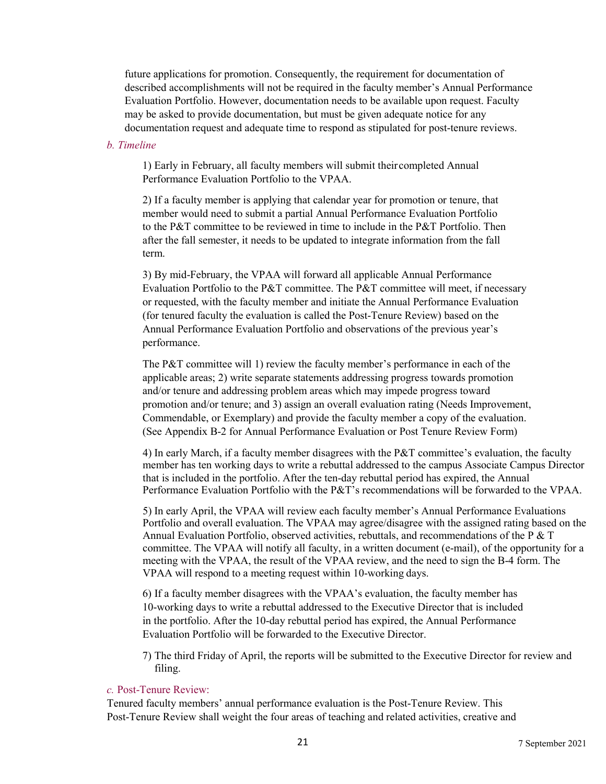future applications for promotion. Consequently, the requirement for documentation of described accomplishments will not be required in the faculty member's Annual Performance Evaluation Portfolio. However, documentation needs to be available upon request. Faculty may be asked to provide documentation, but must be given adequate notice for any documentation request and adequate time to respond as stipulated for post-tenure reviews.

#### *b. Timeline*

1) Early in February, all faculty members will submit theircompleted Annual Performance Evaluation Portfolio to the VPAA.

2) If a faculty member is applying that calendar year for promotion or tenure, that member would need to submit a partial Annual Performance Evaluation Portfolio to the P&T committee to be reviewed in time to include in the P&T Portfolio. Then after the fall semester, it needs to be updated to integrate information from the fall term.

3) By mid-February, the VPAA will forward all applicable Annual Performance Evaluation Portfolio to the P&T committee. The P&T committee will meet, if necessary or requested, with the faculty member and initiate the Annual Performance Evaluation (for tenured faculty the evaluation is called the Post-Tenure Review) based on the Annual Performance Evaluation Portfolio and observations of the previous year's performance.

The P&T committee will 1) review the faculty member's performance in each of the applicable areas; 2) write separate statements addressing progress towards promotion and/or tenure and addressing problem areas which may impede progress toward promotion and/or tenure; and 3) assign an overall evaluation rating (Needs Improvement, Commendable, or Exemplary) and provide the faculty member a copy of the evaluation. (See Appendix B-2 for Annual Performance Evaluation or Post Tenure Review Form)

4) In early March, if a faculty member disagrees with the P&T committee's evaluation, the faculty member has ten working days to write a rebuttal addressed to the campus Associate Campus Director that is included in the portfolio. After the ten-day rebuttal period has expired, the Annual Performance Evaluation Portfolio with the P&T's recommendations will be forwarded to the VPAA.

5) In early April, the VPAA will review each faculty member's Annual Performance Evaluations Portfolio and overall evaluation. The VPAA may agree/disagree with the assigned rating based on the Annual Evaluation Portfolio, observed activities, rebuttals, and recommendations of the P & T committee. The VPAA will notify all faculty, in a written document (e-mail), of the opportunity for a meeting with the VPAA, the result of the VPAA review, and the need to sign the B-4 form. The VPAA will respond to a meeting request within 10-working days.

6) If a faculty member disagrees with the VPAA's evaluation, the faculty member has 10-working days to write a rebuttal addressed to the Executive Director that is included in the portfolio. After the 10-day rebuttal period has expired, the Annual Performance Evaluation Portfolio will be forwarded to the Executive Director.

7) The third Friday of April, the reports will be submitted to the Executive Director for review and filing.

#### *c.* Post-Tenure Review:

Tenured faculty members' annual performance evaluation is the Post-Tenure Review. This Post-Tenure Review shall weight the four areas of teaching and related activities, creative and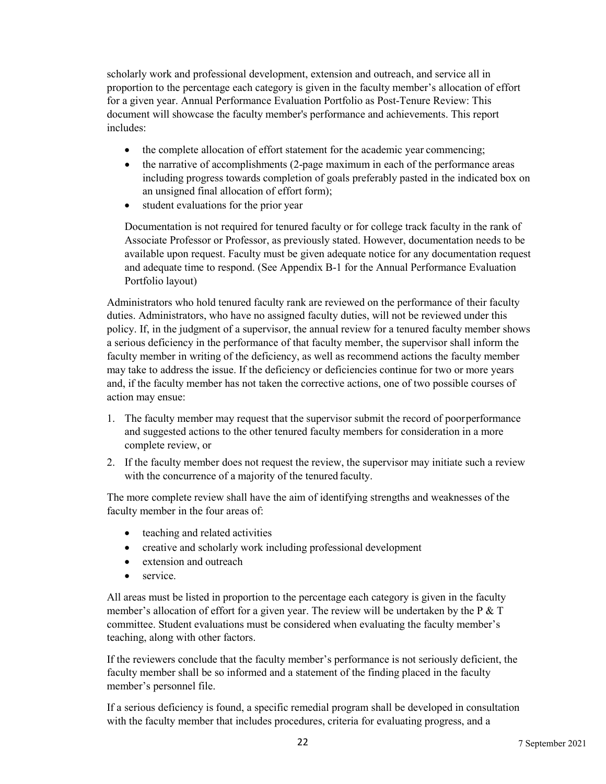scholarly work and professional development, extension and outreach, and service all in proportion to the percentage each category is given in the faculty member's allocation of effort for a given year. Annual Performance Evaluation Portfolio as Post-Tenure Review: This document will showcase the faculty member's performance and achievements. This report includes:

- the complete allocation of effort statement for the academic year commencing;
- $\bullet$  the narrative of accomplishments (2-page maximum in each of the performance areas including progress towards completion of goals preferably pasted in the indicated box on an unsigned final allocation of effort form);
- student evaluations for the prior year

Documentation is not required for tenured faculty or for college track faculty in the rank of Associate Professor or Professor, as previously stated. However, documentation needs to be available upon request. Faculty must be given adequate notice for any documentation request and adequate time to respond. (See Appendix B-1 for the Annual Performance Evaluation Portfolio layout)

Administrators who hold tenured faculty rank are reviewed on the performance of their faculty duties. Administrators, who have no assigned faculty duties, will not be reviewed under this policy. If, in the judgment of a supervisor, the annual review for a tenured faculty member shows a serious deficiency in the performance of that faculty member, the supervisor shall inform the faculty member in writing of the deficiency, as well as recommend actions the faculty member may take to address the issue. If the deficiency or deficiencies continue for two or more years and, if the faculty member has not taken the corrective actions, one of two possible courses of action may ensue:

- 1. The faculty member may request that the supervisor submit the record of poorperformance and suggested actions to the other tenured faculty members for consideration in a more complete review, or
- 2. If the faculty member does not request the review, the supervisor may initiate such a review with the concurrence of a majority of the tenured faculty.

The more complete review shall have the aim of identifying strengths and weaknesses of the faculty member in the four areas of:

- teaching and related activities
- creative and scholarly work including professional development
- extension and outreach
- service.

All areas must be listed in proportion to the percentage each category is given in the faculty member's allocation of effort for a given year. The review will be undertaken by the P  $&$  T committee. Student evaluations must be considered when evaluating the faculty member's teaching, along with other factors.

If the reviewers conclude that the faculty member's performance is not seriously deficient, the faculty member shall be so informed and a statement of the finding placed in the faculty member's personnel file.

If a serious deficiency is found, a specific remedial program shall be developed in consultation with the faculty member that includes procedures, criteria for evaluating progress, and a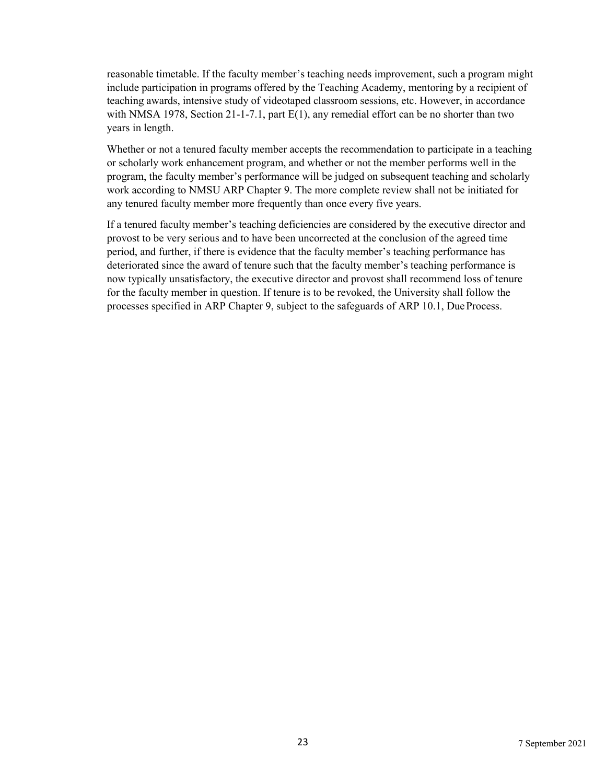reasonable timetable. If the faculty member's teaching needs improvement, such a program might include participation in programs offered by the Teaching Academy, mentoring by a recipient of teaching awards, intensive study of videotaped classroom sessions, etc. However, in accordance with NMSA 1978, Section 21-1-7.1, part E(1), any remedial effort can be no shorter than two years in length.

Whether or not a tenured faculty member accepts the recommendation to participate in a teaching or scholarly work enhancement program, and whether or not the member performs well in the program, the faculty member's performance will be judged on subsequent teaching and scholarly work according to NMSU ARP Chapter 9. The more complete review shall not be initiated for any tenured faculty member more frequently than once every five years.

If a tenured faculty member's teaching deficiencies are considered by the executive director and provost to be very serious and to have been uncorrected at the conclusion of the agreed time period, and further, if there is evidence that the faculty member's teaching performance has deteriorated since the award of tenure such that the faculty member's teaching performance is now typically unsatisfactory, the executive director and provost shall recommend loss of tenure for the faculty member in question. If tenure is to be revoked, the University shall follow the processes specified in ARP Chapter 9, subject to the safeguards of ARP 10.1, DueProcess.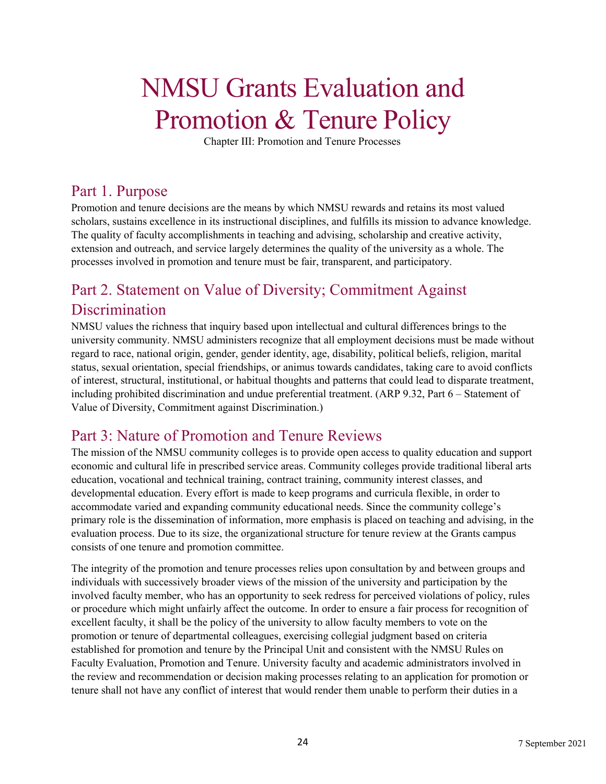# NMSU Grants Evaluation and Promotion & Tenure Policy

Chapter III: Promotion and Tenure Processes

### Part 1. Purpose

Promotion and tenure decisions are the means by which NMSU rewards and retains its most valued scholars, sustains excellence in its instructional disciplines, and fulfills its mission to advance knowledge. The quality of faculty accomplishments in teaching and advising, scholarship and creative activity, extension and outreach, and service largely determines the quality of the university as a whole. The processes involved in promotion and tenure must be fair, transparent, and participatory.

### Part 2. Statement on Value of Diversity; Commitment Against **Discrimination**

NMSU values the richness that inquiry based upon intellectual and cultural differences brings to the university community. NMSU administers recognize that all employment decisions must be made without regard to race, national origin, gender, gender identity, age, disability, political beliefs, religion, marital status, sexual orientation, special friendships, or animus towards candidates, taking care to avoid conflicts of interest, structural, institutional, or habitual thoughts and patterns that could lead to disparate treatment, including prohibited discrimination and undue preferential treatment. (ARP 9.32, Part 6 – Statement of Value of Diversity, Commitment against Discrimination.)

### Part 3: Nature of Promotion and Tenure Reviews

The mission of the NMSU community colleges is to provide open access to quality education and support economic and cultural life in prescribed service areas. Community colleges provide traditional liberal arts education, vocational and technical training, contract training, community interest classes, and developmental education. Every effort is made to keep programs and curricula flexible, in order to accommodate varied and expanding community educational needs. Since the community college's primary role is the dissemination of information, more emphasis is placed on teaching and advising, in the evaluation process. Due to its size, the organizational structure for tenure review at the Grants campus consists of one tenure and promotion committee.

The integrity of the promotion and tenure processes relies upon consultation by and between groups and individuals with successively broader views of the mission of the university and participation by the involved faculty member, who has an opportunity to seek redress for perceived violations of policy, rules or procedure which might unfairly affect the outcome. In order to ensure a fair process for recognition of excellent faculty, it shall be the policy of the university to allow faculty members to vote on the promotion or tenure of departmental colleagues, exercising collegial judgment based on criteria established for promotion and tenure by the Principal Unit and consistent with the NMSU Rules on Faculty Evaluation, Promotion and Tenure. University faculty and academic administrators involved in the review and recommendation or decision making processes relating to an application for promotion or tenure shall not have any conflict of interest that would render them unable to perform their duties in a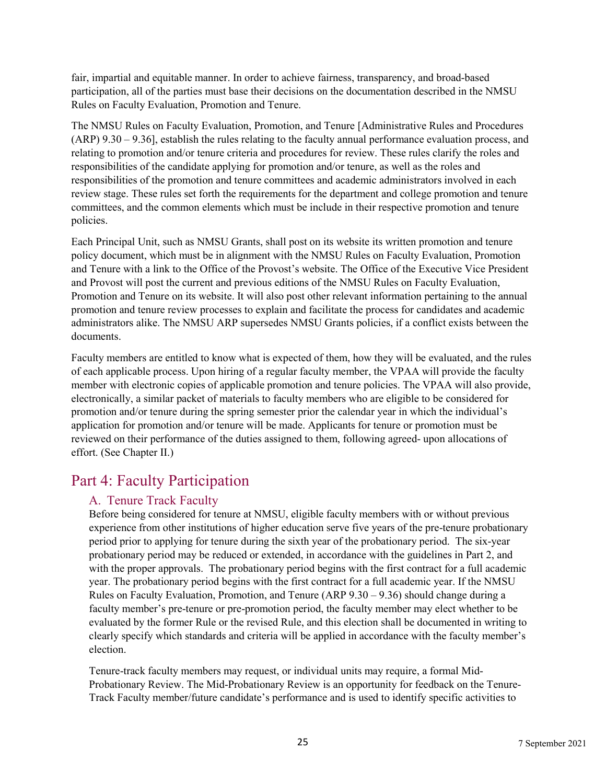fair, impartial and equitable manner. In order to achieve fairness, transparency, and broad-based participation, all of the parties must base their decisions on the documentation described in the NMSU Rules on Faculty Evaluation, Promotion and Tenure.

The NMSU Rules on Faculty Evaluation, Promotion, and Tenure [Administrative Rules and Procedures (ARP) 9.30 – 9.36], establish the rules relating to the faculty annual performance evaluation process, and relating to promotion and/or tenure criteria and procedures for review. These rules clarify the roles and responsibilities of the candidate applying for promotion and/or tenure, as well as the roles and responsibilities of the promotion and tenure committees and academic administrators involved in each review stage. These rules set forth the requirements for the department and college promotion and tenure committees, and the common elements which must be include in their respective promotion and tenure policies.

Each Principal Unit, such as NMSU Grants, shall post on its website its written promotion and tenure policy document, which must be in alignment with the NMSU Rules on Faculty Evaluation, Promotion and Tenure with a link to the Office of the Provost's website. The Office of the Executive Vice President and Provost will post the current and previous editions of the NMSU Rules on Faculty Evaluation, Promotion and Tenure on its website. It will also post other relevant information pertaining to the annual promotion and tenure review processes to explain and facilitate the process for candidates and academic administrators alike. The NMSU ARP supersedes NMSU Grants policies, if a conflict exists between the documents.

Faculty members are entitled to know what is expected of them, how they will be evaluated, and the rules of each applicable process. Upon hiring of a regular faculty member, the VPAA will provide the faculty member with electronic copies of applicable promotion and tenure policies. The VPAA will also provide, electronically, a similar packet of materials to faculty members who are eligible to be considered for promotion and/or tenure during the spring semester prior the calendar year in which the individual's application for promotion and/or tenure will be made. Applicants for tenure or promotion must be reviewed on their performance of the duties assigned to them, following agreed- upon allocations of effort. (See Chapter II.)

### Part 4: Faculty Participation

### A. Tenure Track Faculty

Before being considered for tenure at NMSU, eligible faculty members with or without previous experience from other institutions of higher education serve five years of the pre-tenure probationary period prior to applying for tenure during the sixth year of the probationary period. The six-year probationary period may be reduced or extended, in accordance with the guidelines in Part 2, and with the proper approvals. The probationary period begins with the first contract for a full academic year. The probationary period begins with the first contract for a full academic year. If the NMSU Rules on Faculty Evaluation, Promotion, and Tenure (ARP 9.30 – 9.36) should change during a faculty member's pre-tenure or pre-promotion period, the faculty member may elect whether to be evaluated by the former Rule or the revised Rule, and this election shall be documented in writing to clearly specify which standards and criteria will be applied in accordance with the faculty member's election.

Tenure-track faculty members may request, or individual units may require, a formal Mid-Probationary Review. The Mid-Probationary Review is an opportunity for feedback on the Tenure-Track Faculty member/future candidate's performance and is used to identify specific activities to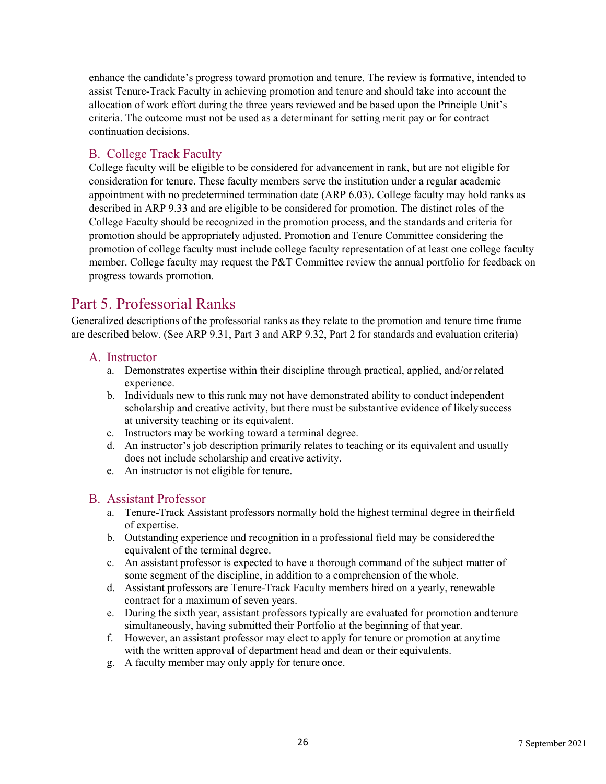enhance the candidate's progress toward promotion and tenure. The review is formative, intended to assist Tenure-Track Faculty in achieving promotion and tenure and should take into account the allocation of work effort during the three years reviewed and be based upon the Principle Unit's criteria. The outcome must not be used as a determinant for setting merit pay or for contract continuation decisions.

### B. College Track Faculty

College faculty will be eligible to be considered for advancement in rank, but are not eligible for consideration for tenure. These faculty members serve the institution under a regular academic appointment with no predetermined termination date (ARP 6.03). College faculty may hold ranks as described in ARP 9.33 and are eligible to be considered for promotion. The distinct roles of the College Faculty should be recognized in the promotion process, and the standards and criteria for promotion should be appropriately adjusted. Promotion and Tenure Committee considering the promotion of college faculty must include college faculty representation of at least one college faculty member. College faculty may request the P&T Committee review the annual portfolio for feedback on progress towards promotion.

### Part 5. Professorial Ranks

Generalized descriptions of the professorial ranks as they relate to the promotion and tenure time frame are described below. (See ARP 9.31, Part 3 and ARP 9.32, Part 2 for standards and evaluation criteria)

#### A. Instructor

- a. Demonstrates expertise within their discipline through practical, applied, and/orrelated experience.
- b. Individuals new to this rank may not have demonstrated ability to conduct independent scholarship and creative activity, but there must be substantive evidence of likelysuccess at university teaching or its equivalent.
- c. Instructors may be working toward a terminal degree.
- d. An instructor's job description primarily relates to teaching or its equivalent and usually does not include scholarship and creative activity.
- e. An instructor is not eligible for tenure.

#### B. Assistant Professor

- a. Tenure-Track Assistant professors normally hold the highest terminal degree in theirfield of expertise.
- b. Outstanding experience and recognition in a professional field may be consideredthe equivalent of the terminal degree.
- c. An assistant professor is expected to have a thorough command of the subject matter of some segment of the discipline, in addition to a comprehension of the whole.
- d. Assistant professors are Tenure-Track Faculty members hired on a yearly, renewable contract for a maximum of seven years.
- e. During the sixth year, assistant professors typically are evaluated for promotion andtenure simultaneously, having submitted their Portfolio at the beginning of that year.
- f. However, an assistant professor may elect to apply for tenure or promotion at anytime with the written approval of department head and dean or their equivalents.
- g. A faculty member may only apply for tenure once.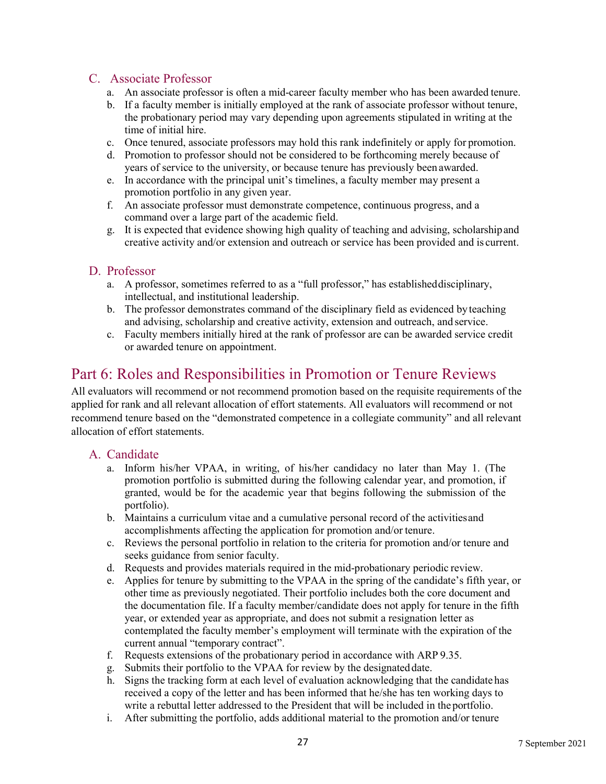### C. Associate Professor

- a. An associate professor is often a mid-career faculty member who has been awarded tenure.
- b. If a faculty member is initially employed at the rank of associate professor without tenure, the probationary period may vary depending upon agreements stipulated in writing at the time of initial hire.
- c. Once tenured, associate professors may hold this rank indefinitely or apply for promotion.
- d. Promotion to professor should not be considered to be forthcoming merely because of years of service to the university, or because tenure has previously been awarded.
- e. In accordance with the principal unit's timelines, a faculty member may present a promotion portfolio in any given year.
- f. An associate professor must demonstrate competence, continuous progress, and a command over a large part of the academic field.
- g. It is expected that evidence showing high quality of teaching and advising, scholarshipand creative activity and/or extension and outreach or service has been provided and is current.

### D. Professor

- a. A professor, sometimes referred to as a "full professor," has establisheddisciplinary, intellectual, and institutional leadership.
- b. The professor demonstrates command of the disciplinary field as evidenced by teaching and advising, scholarship and creative activity, extension and outreach, and service.
- c. Faculty members initially hired at the rank of professor are can be awarded service credit or awarded tenure on appointment.

### Part 6: Roles and Responsibilities in Promotion or Tenure Reviews

All evaluators will recommend or not recommend promotion based on the requisite requirements of the applied for rank and all relevant allocation of effort statements. All evaluators will recommend or not recommend tenure based on the "demonstrated competence in a collegiate community" and all relevant allocation of effort statements.

### A. Candidate

- a. Inform his/her VPAA, in writing, of his/her candidacy no later than May 1. (The promotion portfolio is submitted during the following calendar year, and promotion, if granted, would be for the academic year that begins following the submission of the portfolio).
- b. Maintains a curriculum vitae and a cumulative personal record of the activitiesand accomplishments affecting the application for promotion and/or tenure.
- c. Reviews the personal portfolio in relation to the criteria for promotion and/or tenure and seeks guidance from senior faculty.
- d. Requests and provides materials required in the mid-probationary periodic review.
- e. Applies for tenure by submitting to the VPAA in the spring of the candidate's fifth year, or other time as previously negotiated. Their portfolio includes both the core document and the documentation file. If a faculty member/candidate does not apply for tenure in the fifth year, or extended year as appropriate, and does not submit a resignation letter as contemplated the faculty member's employment will terminate with the expiration of the current annual "temporary contract".
- f. Requests extensions of the probationary period in accordance with ARP 9.35.
- g. Submits their portfolio to the VPAA for review by the designateddate.
- h. Signs the tracking form at each level of evaluation acknowledging that the candidate has received a copy of the letter and has been informed that he/she has ten working days to write a rebuttal letter addressed to the President that will be included in the portfolio.
- i. After submitting the portfolio, adds additional material to the promotion and/or tenure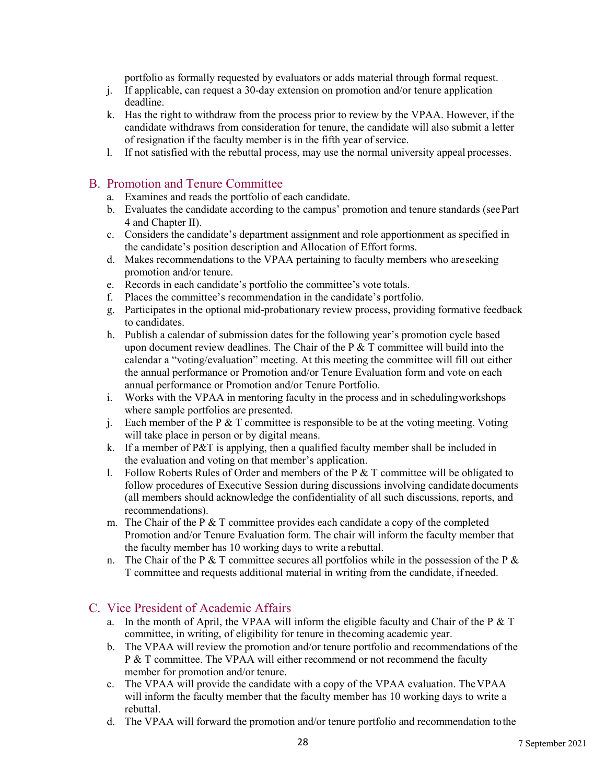portfolio as formally requested by evaluators or adds material through formal request.

- j. If applicable, can request a 30-day extension on promotion and/or tenure application deadline.
- k. Has the right to withdraw from the process prior to review by the VPAA. However, if the candidate withdraws from consideration for tenure, the candidate will also submit a letter of resignation if the faculty member is in the fifth year of service.
- l. If not satisfied with the rebuttal process, may use the normal university appeal processes.

### B. Promotion and Tenure Committee

- a. Examines and reads the portfolio of each candidate.
- b. Evaluates the candidate according to the campus' promotion and tenure standards (seePart 4 and Chapter II).
- c. Considers the candidate's department assignment and role apportionment as specified in the candidate's position description and Allocation of Effort forms.
- d. Makes recommendations to the VPAA pertaining to faculty members who areseeking promotion and/or tenure.
- e. Records in each candidate's portfolio the committee's vote totals.
- f. Places the committee's recommendation in the candidate's portfolio.
- g. Participates in the optional mid-probationary review process, providing formative feedback to candidates.
- h. Publish a calendar of submission dates for the following year's promotion cycle based upon document review deadlines. The Chair of the  $P \& T$  committee will build into the calendar a "voting/evaluation" meeting. At this meeting the committee will fill out either the annual performance or Promotion and/or Tenure Evaluation form and vote on each annual performance or Promotion and/or Tenure Portfolio.
- i. Works with the VPAA in mentoring faculty in the process and in schedulingworkshops where sample portfolios are presented.
- j. Each member of the P  $&$  T committee is responsible to be at the voting meeting. Voting will take place in person or by digital means.
- k. If a member of P&T is applying, then a qualified faculty member shall be included in the evaluation and voting on that member's application.
- 1. Follow Roberts Rules of Order and members of the  $P \& T$  committee will be obligated to follow procedures of Executive Session during discussions involving candidate documents (all members should acknowledge the confidentiality of all such discussions, reports, and recommendations).
- m. The Chair of the P  $&$  T committee provides each candidate a copy of the completed Promotion and/or Tenure Evaluation form. The chair will inform the faculty member that the faculty member has 10 working days to write a rebuttal.
- n. The Chair of the P  $&$  T committee secures all portfolios while in the possession of the P  $&$ T committee and requests additional material in writing from the candidate, if needed.

### C. Vice President of Academic Affairs

- a. In the month of April, the VPAA will inform the eligible faculty and Chair of the P  $&$  T committee, in writing, of eligibility for tenure in thecoming academic year.
- b. The VPAA will review the promotion and/or tenure portfolio and recommendations of the P & T committee. The VPAA will either recommend or not recommend the faculty member for promotion and/or tenure.
- c. The VPAA will provide the candidate with a copy of the VPAA evaluation. TheVPAA will inform the faculty member that the faculty member has 10 working days to write a rebuttal.
- d. The VPAA will forward the promotion and/or tenure portfolio and recommendation tothe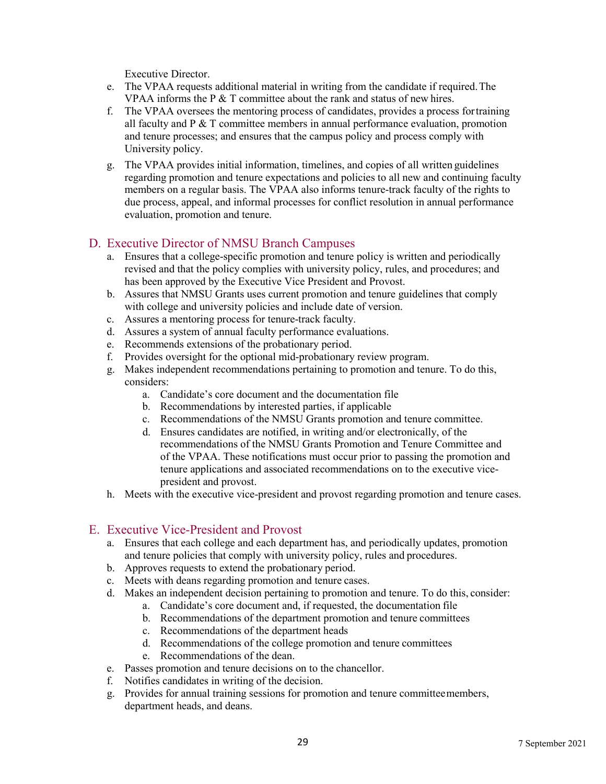Executive Director.

- e. The VPAA requests additional material in writing from the candidate if required.The VPAA informs the P & T committee about the rank and status of new hires.
- f. The VPAA oversees the mentoring process of candidates, provides a process fortraining all faculty and  $P \& T$  committee members in annual performance evaluation, promotion and tenure processes; and ensures that the campus policy and process comply with University policy.
- g. The VPAA provides initial information, timelines, and copies of all written guidelines regarding promotion and tenure expectations and policies to all new and continuing faculty members on a regular basis. The VPAA also informs tenure-track faculty of the rights to due process, appeal, and informal processes for conflict resolution in annual performance evaluation, promotion and tenure.

### D. Executive Director of NMSU Branch Campuses

- a. Ensures that a college-specific promotion and tenure policy is written and periodically revised and that the policy complies with university policy, rules, and procedures; and has been approved by the Executive Vice President and Provost.
- b. Assures that NMSU Grants uses current promotion and tenure guidelines that comply with college and university policies and include date of version.
- c. Assures a mentoring process for tenure-track faculty.
- d. Assures a system of annual faculty performance evaluations.
- e. Recommends extensions of the probationary period.
- f. Provides oversight for the optional mid-probationary review program.
- g. Makes independent recommendations pertaining to promotion and tenure. To do this, considers:
	- a. Candidate's core document and the documentation file
	- b. Recommendations by interested parties, if applicable
	- c. Recommendations of the NMSU Grants promotion and tenure committee.
	- d. Ensures candidates are notified, in writing and/or electronically, of the recommendations of the NMSU Grants Promotion and Tenure Committee and of the VPAA. These notifications must occur prior to passing the promotion and tenure applications and associated recommendations on to the executive vicepresident and provost.
- h. Meets with the executive vice-president and provost regarding promotion and tenure cases.

#### E. Executive Vice-President and Provost

- a. Ensures that each college and each department has, and periodically updates, promotion and tenure policies that comply with university policy, rules and procedures.
- b. Approves requests to extend the probationary period.
- c. Meets with deans regarding promotion and tenure cases.
- d. Makes an independent decision pertaining to promotion and tenure. To do this, consider:
	- a. Candidate's core document and, if requested, the documentation file
	- b. Recommendations of the department promotion and tenure committees
	- c. Recommendations of the department heads
	- d. Recommendations of the college promotion and tenure committees
	- e. Recommendations of the dean.
- e. Passes promotion and tenure decisions on to the chancellor.
- f. Notifies candidates in writing of the decision.
- g. Provides for annual training sessions for promotion and tenure committeemembers, department heads, and deans.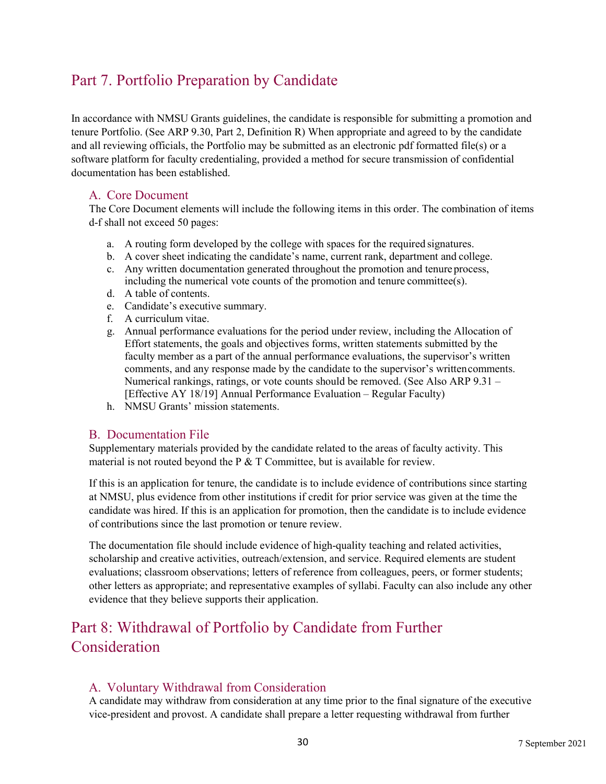### Part 7. Portfolio Preparation by Candidate

In accordance with NMSU Grants guidelines, the candidate is responsible for submitting a promotion and tenure Portfolio. (See ARP 9.30, Part 2, Definition R) When appropriate and agreed to by the candidate and all reviewing officials, the Portfolio may be submitted as an electronic pdf formatted file(s) or a software platform for faculty credentialing, provided a method for secure transmission of confidential documentation has been established.

### A. Core Document

The Core Document elements will include the following items in this order. The combination of items d-f shall not exceed 50 pages:

- a. A routing form developed by the college with spaces for the required signatures.
- b. A cover sheet indicating the candidate's name, current rank, department and college.
- c. Any written documentation generated throughout the promotion and tenure process, including the numerical vote counts of the promotion and tenure committee(s).
- d. A table of contents.
- e. Candidate's executive summary.
- f. A curriculum vitae.
- g. Annual performance evaluations for the period under review, including the Allocation of Effort statements, the goals and objectives forms, written statements submitted by the faculty member as a part of the annual performance evaluations, the supervisor's written comments, and any response made by the candidate to the supervisor's writtencomments. Numerical rankings, ratings, or vote counts should be removed. (See Also ARP 9.31 – [Effective AY 18/19] Annual Performance Evaluation – Regular Faculty)
- h. NMSU Grants' mission statements.

### B. Documentation File

Supplementary materials provided by the candidate related to the areas of faculty activity. This material is not routed beyond the  $P \& T$  Committee, but is available for review.

If this is an application for tenure, the candidate is to include evidence of contributions since starting at NMSU, plus evidence from other institutions if credit for prior service was given at the time the candidate was hired. If this is an application for promotion, then the candidate is to include evidence of contributions since the last promotion or tenure review.

The documentation file should include evidence of high-quality teaching and related activities, scholarship and creative activities, outreach/extension, and service. Required elements are student evaluations; classroom observations; letters of reference from colleagues, peers, or former students; other letters as appropriate; and representative examples of syllabi. Faculty can also include any other evidence that they believe supports their application.

### Part 8: Withdrawal of Portfolio by Candidate from Further Consideration

### A. Voluntary Withdrawal from Consideration

A candidate may withdraw from consideration at any time prior to the final signature of the executive vice-president and provost. A candidate shall prepare a letter requesting withdrawal from further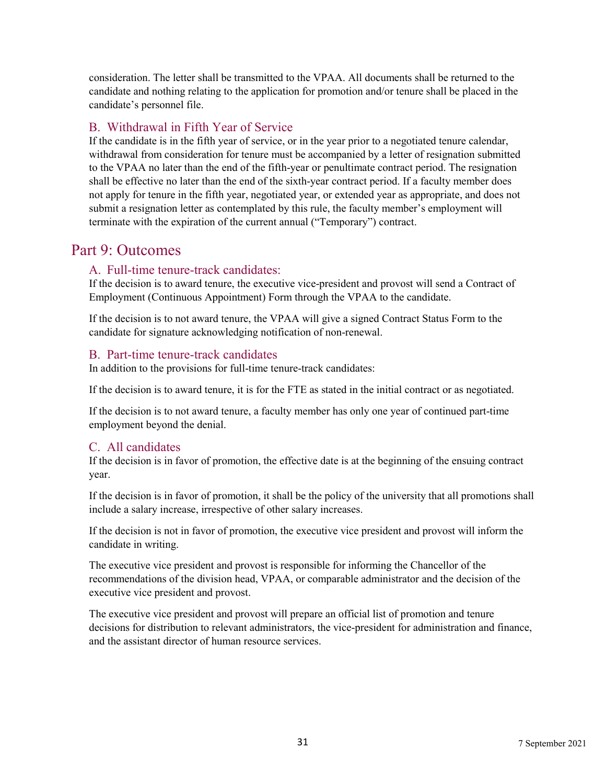consideration. The letter shall be transmitted to the VPAA. All documents shall be returned to the candidate and nothing relating to the application for promotion and/or tenure shall be placed in the candidate's personnel file.

### B. Withdrawal in Fifth Year of Service

If the candidate is in the fifth year of service, or in the year prior to a negotiated tenure calendar, withdrawal from consideration for tenure must be accompanied by a letter of resignation submitted to the VPAA no later than the end of the fifth-year or penultimate contract period. The resignation shall be effective no later than the end of the sixth-year contract period. If a faculty member does not apply for tenure in the fifth year, negotiated year, or extended year as appropriate, and does not submit a resignation letter as contemplated by this rule, the faculty member's employment will terminate with the expiration of the current annual ("Temporary") contract.

### Part 9: Outcomes

### A. Full-time tenure-track candidates:

If the decision is to award tenure, the executive vice-president and provost will send a Contract of Employment (Continuous Appointment) Form through the VPAA to the candidate.

If the decision is to not award tenure, the VPAA will give a signed Contract Status Form to the candidate for signature acknowledging notification of non-renewal.

### B. Part-time tenure-track candidates

In addition to the provisions for full-time tenure-track candidates:

If the decision is to award tenure, it is for the FTE as stated in the initial contract or as negotiated.

If the decision is to not award tenure, a faculty member has only one year of continued part-time employment beyond the denial.

### C. All candidates

If the decision is in favor of promotion, the effective date is at the beginning of the ensuing contract year.

If the decision is in favor of promotion, it shall be the policy of the university that all promotions shall include a salary increase, irrespective of other salary increases.

If the decision is not in favor of promotion, the executive vice president and provost will inform the candidate in writing.

The executive vice president and provost is responsible for informing the Chancellor of the recommendations of the division head, VPAA, or comparable administrator and the decision of the executive vice president and provost.

The executive vice president and provost will prepare an official list of promotion and tenure decisions for distribution to relevant administrators, the vice-president for administration and finance, and the assistant director of human resource services.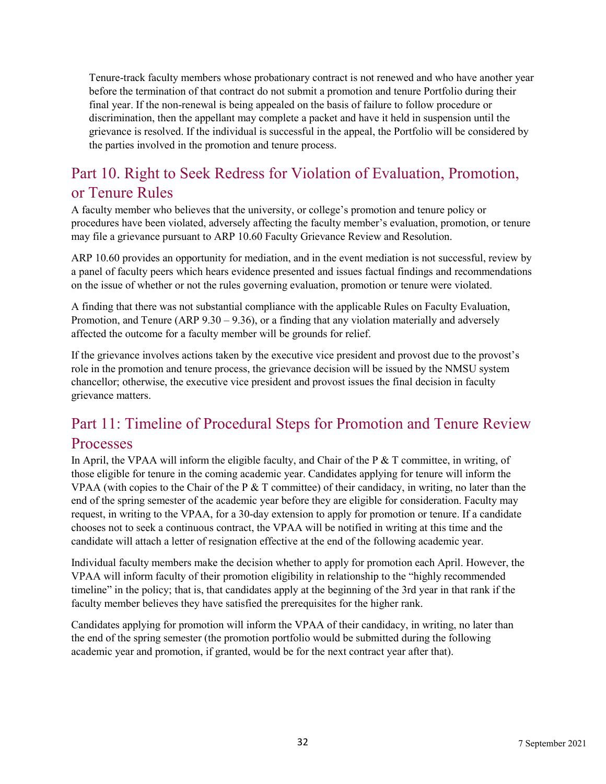Tenure-track faculty members whose probationary contract is not renewed and who have another year before the termination of that contract do not submit a promotion and tenure Portfolio during their final year. If the non-renewal is being appealed on the basis of failure to follow procedure or discrimination, then the appellant may complete a packet and have it held in suspension until the grievance is resolved. If the individual is successful in the appeal, the Portfolio will be considered by the parties involved in the promotion and tenure process.

### Part 10. Right to Seek Redress for Violation of Evaluation, Promotion, or Tenure Rules

A faculty member who believes that the university, or college's promotion and tenure policy or procedures have been violated, adversely affecting the faculty member's evaluation, promotion, or tenure may file a grievance pursuant to ARP 10.60 Faculty Grievance Review and Resolution.

ARP 10.60 provides an opportunity for mediation, and in the event mediation is not successful, review by a panel of faculty peers which hears evidence presented and issues factual findings and recommendations on the issue of whether or not the rules governing evaluation, promotion or tenure were violated.

A finding that there was not substantial compliance with the applicable Rules on Faculty Evaluation, Promotion, and Tenure (ARP  $9.30 - 9.36$ ), or a finding that any violation materially and adversely affected the outcome for a faculty member will be grounds for relief.

If the grievance involves actions taken by the executive vice president and provost due to the provost's role in the promotion and tenure process, the grievance decision will be issued by the NMSU system chancellor; otherwise, the executive vice president and provost issues the final decision in faculty grievance matters.

### Part 11: Timeline of Procedural Steps for Promotion and Tenure Review Processes

In April, the VPAA will inform the eligible faculty, and Chair of the P & T committee, in writing, of those eligible for tenure in the coming academic year. Candidates applying for tenure will inform the VPAA (with copies to the Chair of the P  $&$  T committee) of their candidacy, in writing, no later than the end of the spring semester of the academic year before they are eligible for consideration. Faculty may request, in writing to the VPAA, for a 30-day extension to apply for promotion or tenure. If a candidate chooses not to seek a continuous contract, the VPAA will be notified in writing at this time and the candidate will attach a letter of resignation effective at the end of the following academic year.

Individual faculty members make the decision whether to apply for promotion each April. However, the VPAA will inform faculty of their promotion eligibility in relationship to the "highly recommended timeline" in the policy; that is, that candidates apply at the beginning of the 3rd year in that rank if the faculty member believes they have satisfied the prerequisites for the higher rank.

Candidates applying for promotion will inform the VPAA of their candidacy, in writing, no later than the end of the spring semester (the promotion portfolio would be submitted during the following academic year and promotion, if granted, would be for the next contract year after that).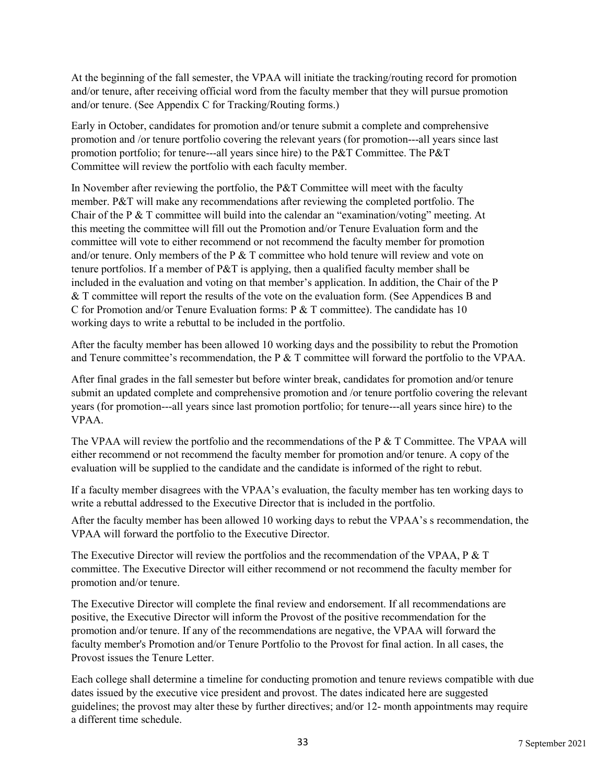At the beginning of the fall semester, the VPAA will initiate the tracking/routing record for promotion and/or tenure, after receiving official word from the faculty member that they will pursue promotion and/or tenure. (See Appendix C for Tracking/Routing forms.)

Early in October, candidates for promotion and/or tenure submit a complete and comprehensive promotion and /or tenure portfolio covering the relevant years (for promotion---all years since last promotion portfolio; for tenure---all years since hire) to the P&T Committee. The P&T Committee will review the portfolio with each faculty member.

In November after reviewing the portfolio, the P&T Committee will meet with the faculty member. P&T will make any recommendations after reviewing the completed portfolio. The Chair of the P & T committee will build into the calendar an "examination/voting" meeting. At this meeting the committee will fill out the Promotion and/or Tenure Evaluation form and the committee will vote to either recommend or not recommend the faculty member for promotion and/or tenure. Only members of the P  $&$  T committee who hold tenure will review and vote on tenure portfolios. If a member of P&T is applying, then a qualified faculty member shall be included in the evaluation and voting on that member's application. In addition, the Chair of the P & T committee will report the results of the vote on the evaluation form. (See Appendices B and C for Promotion and/or Tenure Evaluation forms: P & T committee). The candidate has 10 working days to write a rebuttal to be included in the portfolio.

After the faculty member has been allowed 10 working days and the possibility to rebut the Promotion and Tenure committee's recommendation, the P & T committee will forward the portfolio to the VPAA.

After final grades in the fall semester but before winter break, candidates for promotion and/or tenure submit an updated complete and comprehensive promotion and /or tenure portfolio covering the relevant years (for promotion---all years since last promotion portfolio; for tenure---all years since hire) to the VPAA.

The VPAA will review the portfolio and the recommendations of the P & T Committee. The VPAA will either recommend or not recommend the faculty member for promotion and/or tenure. A copy of the evaluation will be supplied to the candidate and the candidate is informed of the right to rebut.

If a faculty member disagrees with the VPAA's evaluation, the faculty member has ten working days to write a rebuttal addressed to the Executive Director that is included in the portfolio.

After the faculty member has been allowed 10 working days to rebut the VPAA's s recommendation, the VPAA will forward the portfolio to the Executive Director.

The Executive Director will review the portfolios and the recommendation of the VPAA, P & T committee. The Executive Director will either recommend or not recommend the faculty member for promotion and/or tenure.

The Executive Director will complete the final review and endorsement. If all recommendations are positive, the Executive Director will inform the Provost of the positive recommendation for the promotion and/or tenure. If any of the recommendations are negative, the VPAA will forward the faculty member's Promotion and/or Tenure Portfolio to the Provost for final action. In all cases, the Provost issues the Tenure Letter.

Each college shall determine a timeline for conducting promotion and tenure reviews compatible with due dates issued by the executive vice president and provost. The dates indicated here are suggested guidelines; the provost may alter these by further directives; and/or 12- month appointments may require a different time schedule.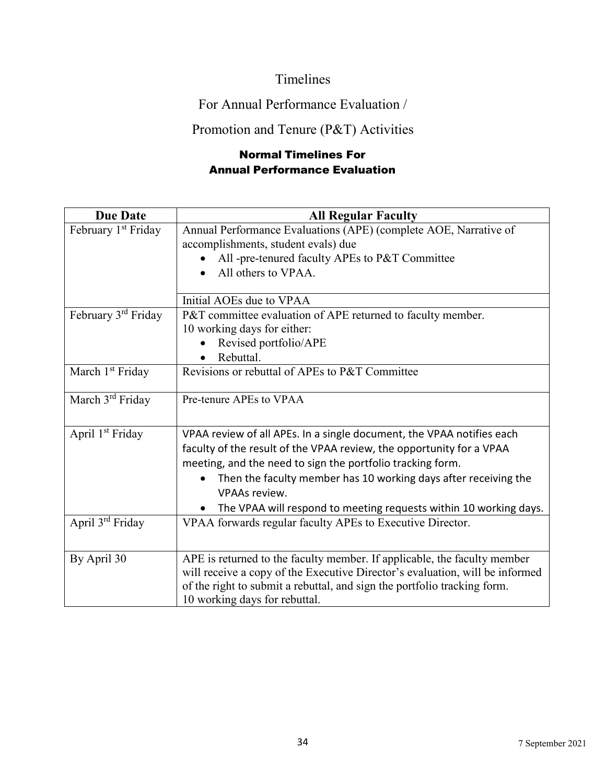### Timelines

### For Annual Performance Evaluation /

### Promotion and Tenure (P&T) Activities

### Normal Timelines For Annual Performance Evaluation

| <b>Due Date</b>                 | <b>All Regular Faculty</b>                                                   |
|---------------------------------|------------------------------------------------------------------------------|
| February 1 <sup>st</sup> Friday | Annual Performance Evaluations (APE) (complete AOE, Narrative of             |
|                                 | accomplishments, student evals) due                                          |
|                                 | All -pre-tenured faculty APEs to P&T Committee                               |
|                                 | All others to VPAA.<br>$\bullet$                                             |
|                                 |                                                                              |
|                                 | Initial AOEs due to VPAA                                                     |
| February 3 <sup>rd</sup> Friday | P&T committee evaluation of APE returned to faculty member.                  |
|                                 | 10 working days for either:                                                  |
|                                 | Revised portfolio/APE                                                        |
|                                 | Rebuttal.                                                                    |
| March 1 <sup>st</sup> Friday    | Revisions or rebuttal of APEs to P&T Committee                               |
|                                 |                                                                              |
| March 3 <sup>rd</sup> Friday    | Pre-tenure APEs to VPAA                                                      |
|                                 |                                                                              |
| April 1 <sup>st</sup> Friday    | VPAA review of all APEs. In a single document, the VPAA notifies each        |
|                                 | faculty of the result of the VPAA review, the opportunity for a VPAA         |
|                                 | meeting, and the need to sign the portfolio tracking form.                   |
|                                 | Then the faculty member has 10 working days after receiving the<br>$\bullet$ |
|                                 | <b>VPAAs review.</b>                                                         |
|                                 | The VPAA will respond to meeting requests within 10 working days.            |
| April 3 <sup>rd</sup> Friday    | VPAA forwards regular faculty APEs to Executive Director.                    |
|                                 |                                                                              |
|                                 |                                                                              |
| By April 30                     | APE is returned to the faculty member. If applicable, the faculty member     |
|                                 | will receive a copy of the Executive Director's evaluation, will be informed |
|                                 | of the right to submit a rebuttal, and sign the portfolio tracking form.     |
|                                 | 10 working days for rebuttal.                                                |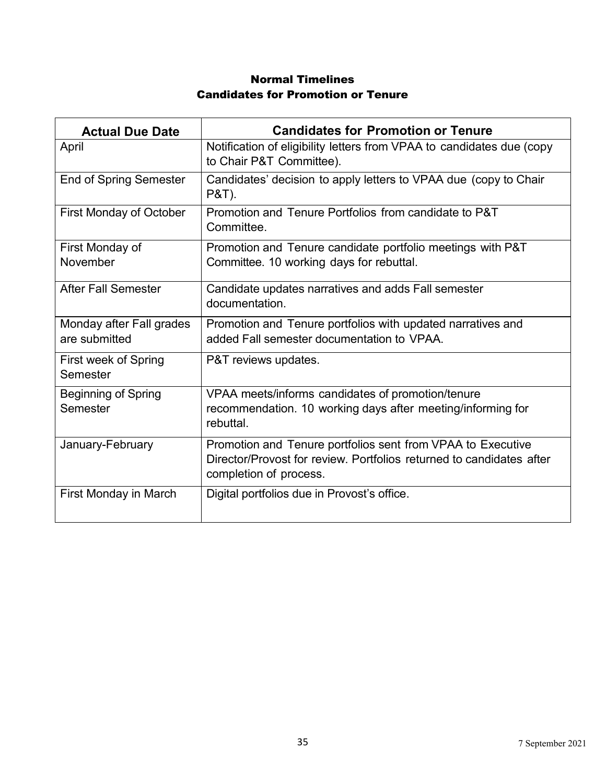### Normal Timelines Candidates for Promotion or Tenure

| <b>Actual Due Date</b>                    | <b>Candidates for Promotion or Tenure</b>                                                                                                                     |
|-------------------------------------------|---------------------------------------------------------------------------------------------------------------------------------------------------------------|
| April                                     | Notification of eligibility letters from VPAA to candidates due (copy<br>to Chair P&T Committee).                                                             |
| <b>End of Spring Semester</b>             | Candidates' decision to apply letters to VPAA due (copy to Chair<br><b>P&amp;T).</b>                                                                          |
| <b>First Monday of October</b>            | Promotion and Tenure Portfolios from candidate to P&T<br>Committee.                                                                                           |
| First Monday of<br>November               | Promotion and Tenure candidate portfolio meetings with P&T<br>Committee. 10 working days for rebuttal.                                                        |
| <b>After Fall Semester</b>                | Candidate updates narratives and adds Fall semester<br>documentation.                                                                                         |
| Monday after Fall grades<br>are submitted | Promotion and Tenure portfolios with updated narratives and<br>added Fall semester documentation to VPAA.                                                     |
| First week of Spring<br>Semester          | <b>P&amp;T</b> reviews updates.                                                                                                                               |
| <b>Beginning of Spring</b><br>Semester    | VPAA meets/informs candidates of promotion/tenure<br>recommendation. 10 working days after meeting/informing for<br>rebuttal.                                 |
| January-February                          | Promotion and Tenure portfolios sent from VPAA to Executive<br>Director/Provost for review. Portfolios returned to candidates after<br>completion of process. |
| First Monday in March                     | Digital portfolios due in Provost's office.                                                                                                                   |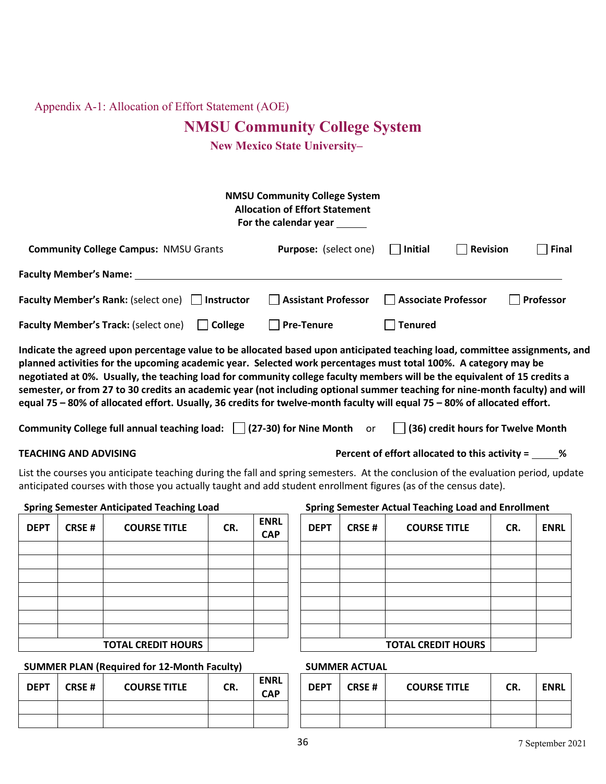Appendix A-1: Allocation of Effort Statement (AOE)

### **NMSU Community College System**

**New Mexico State University–**

|                                                       | <b>NMSU Community College System</b><br><b>Allocation of Effort Statement</b><br>For the calendar year ______ |                     |                 |           |
|-------------------------------------------------------|---------------------------------------------------------------------------------------------------------------|---------------------|-----------------|-----------|
| <b>Community College Campus: NMSU Grants</b>          | <b>Purpose:</b> (select one)                                                                                  | $\vert$   Initial   | <b>Revision</b> | Final     |
| <b>Faculty Member's Name:</b>                         |                                                                                                               |                     |                 |           |
| <b>Faculty Member's Rank:</b> (select one) Instructor | Assistant Professor                                                                                           | Associate Professor |                 | Professor |
| Faculty Member's Track: (select one)<br>College       | <b>Pre-Tenure</b>                                                                                             | <b>Tenured</b>      |                 |           |

**Indicate the agreed upon percentage value to be allocated based upon anticipated teaching load, committee assignments, and planned activities for the upcoming academic year. Selected work percentages must total 100%. A category may be negotiated at 0%. Usually, the teaching load for community college faculty members will be the equivalent of 15 credits a semester, or from 27 to 30 credits an academic year (not including optional summer teaching for nine-month faculty) and will equal 75 – 80% of allocated effort. Usually, 36 credits for twelve-month faculty will equal 75 – 80% of allocated effort.**

**Community College full annual teaching load: (27-30) for Nine Month** or **(36) credit hours for Twelve Month**

**TEACHING AND ADVISING Percent of effort allocated to this activity = %**

List the courses you anticipate teaching during the fall and spring semesters. At the conclusion of the evaluation period, update anticipated courses with those you actually taught and add student enrollment figures (as of the census date).

|             |              | Spring Semester Anticipated Teaching Load |     |                           |             |              | Spring Semester Actual Teaching Load a |
|-------------|--------------|-------------------------------------------|-----|---------------------------|-------------|--------------|----------------------------------------|
| <b>DEPT</b> | <b>CRSE#</b> | <b>COURSE TITLE</b>                       | CR. | <b>ENRL</b><br><b>CAP</b> | <b>DEPT</b> | <b>CRSE#</b> | <b>COURSE TITLE</b>                    |
|             |              |                                           |     |                           |             |              |                                        |
|             |              |                                           |     |                           |             |              |                                        |
|             |              |                                           |     |                           |             |              |                                        |
|             |              |                                           |     |                           |             |              |                                        |
|             |              |                                           |     |                           |             |              |                                        |
|             |              |                                           |     |                           |             |              |                                        |
|             |              |                                           |     |                           |             |              |                                        |
|             |              | <b>TOTAL CREDIT HOURS</b>                 |     |                           |             |              | <b>TOTAL CREDIT HOURS</b>              |

#### **SUMMER PLAN (Required for 12-Month Faculty) SUMMER ACTUAL**

| <b>DEPT</b> | <b>CRSE#</b> | <b>COURSE TITLE</b> | CR. | <b>ENRL</b><br><b>CAP</b> |
|-------------|--------------|---------------------|-----|---------------------------|
|             |              |                     |     |                           |
|             |              |                     |     |                           |

### **Spring Semester Anticipated Teaching Load Spring Semester Actual Teaching Load and Enrollment**

| <b>ENRL</b><br><b>CAP</b> | <b>DEPT</b> | <b>CRSE#</b> | <b>COURSE TITLE</b>       | CR. | <b>ENRL</b> |
|---------------------------|-------------|--------------|---------------------------|-----|-------------|
|                           |             |              |                           |     |             |
|                           |             |              |                           |     |             |
|                           |             |              |                           |     |             |
|                           |             |              |                           |     |             |
|                           |             |              |                           |     |             |
|                           |             |              |                           |     |             |
|                           |             |              |                           |     |             |
|                           |             |              | <b>TOTAL CREDIT HOURS</b> |     |             |

| ENRL<br><b>CAP</b> | DEPT | <b>CRSE#</b> | <b>COURSE TITLE</b> | CR. | <b>ENRL</b> |
|--------------------|------|--------------|---------------------|-----|-------------|
|                    |      |              |                     |     |             |
|                    |      |              |                     |     |             |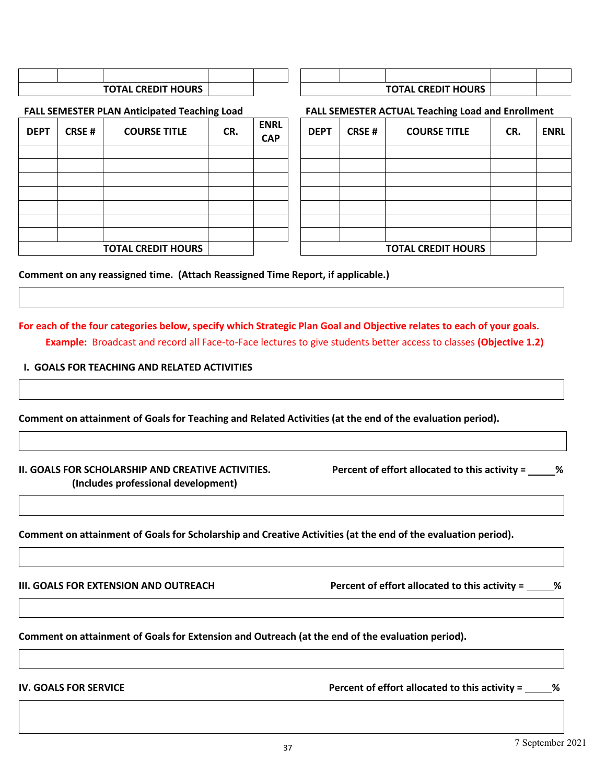| TOTAL CREDIT HOURS |  |
|--------------------|--|

**FALL SEMESTER PLAN Anticipated Teaching Load** 

| <b>DEPT</b> | <b>CRSE#</b> | <b>COURSE TITLE</b>       | CR. | <b>ENRL</b><br><b>CAP</b> |
|-------------|--------------|---------------------------|-----|---------------------------|
|             |              |                           |     |                           |
|             |              |                           |     |                           |
|             |              |                           |     |                           |
|             |              |                           |     |                           |
|             |              |                           |     |                           |
|             |              |                           |     |                           |
|             |              |                           |     |                           |
|             |              | <b>TOTAL CREDIT HOURS</b> |     |                           |

| <b>FALL SEMESTER ACTUAL Teaching Load and Enrollment</b> |  |  |  |  |  |  |  |
|----------------------------------------------------------|--|--|--|--|--|--|--|
|----------------------------------------------------------|--|--|--|--|--|--|--|

**TOTAL CREDIT HOURS TOTAL CREDIT HOURS**

| <b>COURSE TITLE</b>       | CR. | <b>ENRL</b><br><b>CAP</b> | <b>DEPT</b> | <b>CRSE#</b> | <b>COURSE TITLE</b>       | CR. | <b>ENRL</b> |
|---------------------------|-----|---------------------------|-------------|--------------|---------------------------|-----|-------------|
|                           |     |                           |             |              |                           |     |             |
|                           |     |                           |             |              |                           |     |             |
|                           |     |                           |             |              |                           |     |             |
|                           |     |                           |             |              |                           |     |             |
|                           |     |                           |             |              |                           |     |             |
|                           |     |                           |             |              |                           |     |             |
|                           |     |                           |             |              |                           |     |             |
| <b>TOTAL CREDIT HOURS</b> |     |                           |             |              | <b>TOTAL CREDIT HOURS</b> |     |             |

**Comment on any reassigned time. (Attach Reassigned Time Report, if applicable.)**

**For each of the four categories below, specify which Strategic Plan Goal and Objective relates to each of your goals. Example:** Broadcast and record all Face-to-Face lectures to give students better access to classes **(Objective 1.2)**

#### **I. GOALS FOR TEACHING AND RELATED ACTIVITIES**

**Comment on attainment of Goals for Teaching and Related Activities (at the end of the evaluation period).**

**II. GOALS FOR SCHOLARSHIP AND CREATIVE ACTIVITIES. Percent of effort allocated to this activity = % (Includes professional development)**

**Comment on attainment of Goals for Scholarship and Creative Activities (at the end of the evaluation period).**

**III. GOALS FOR EXTENSION AND OUTREACH Percent of effort allocated to this activity = %**

**Comment on attainment of Goals for Extension and Outreach (at the end of the evaluation period).**

**IV. GOALS FOR SERVICE Percent of effort allocated to this activity = %**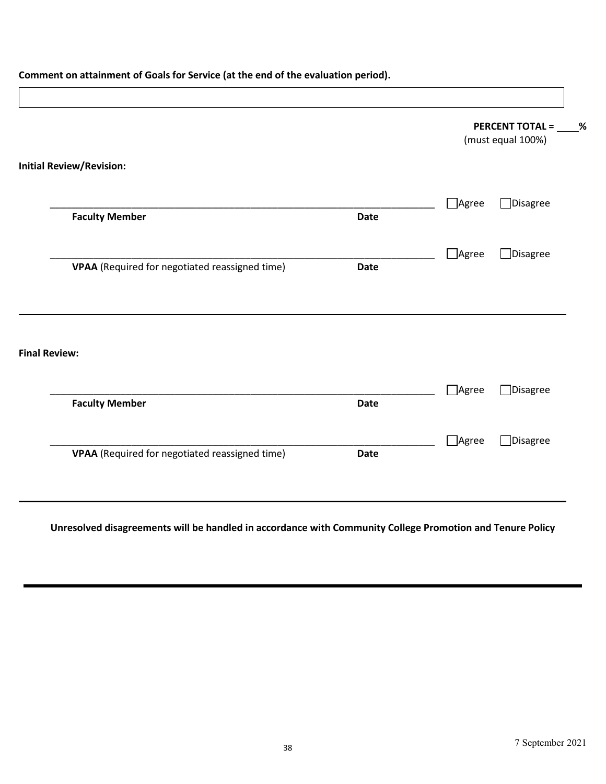|                                                |             |              | <b>PERCENT TOTAL =</b><br>(must equal 100%) |
|------------------------------------------------|-------------|--------------|---------------------------------------------|
| <b>Initial Review/Revision:</b>                |             |              |                                             |
| <b>Faculty Member</b>                          | <b>Date</b> | $\Box$ Agree | Disagree                                    |
| VPAA (Required for negotiated reassigned time) | <b>Date</b> | $\Box$ Agree | $\Box$ Disagree                             |
|                                                |             |              |                                             |
| <b>Final Review:</b>                           |             |              |                                             |
| <b>Faculty Member</b>                          | <b>Date</b> | $\Box$ Agree | $\Box$ Disagree                             |
|                                                |             | $\Box$ Agree | Disagree                                    |
| VPAA (Required for negotiated reassigned time) | <b>Date</b> |              |                                             |

**Unresolved disagreements will be handled in accordance with Community College Promotion and Tenure Policy**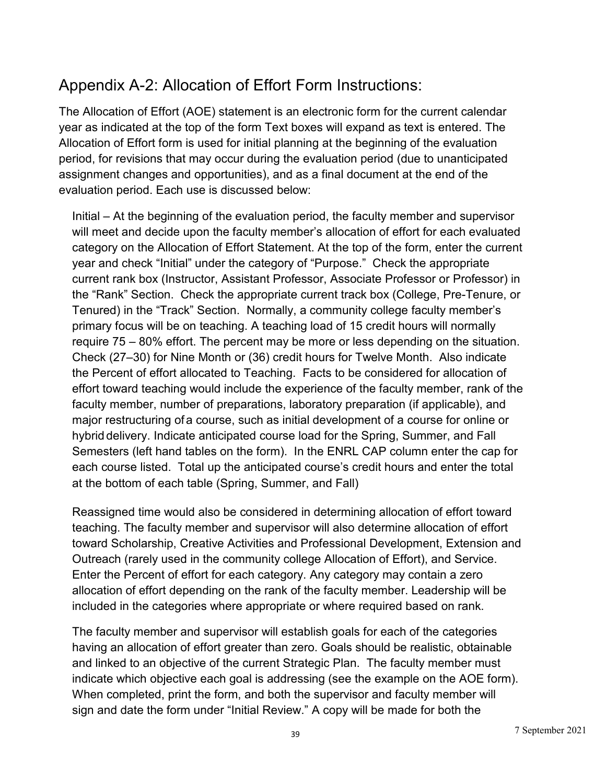### Appendix A-2: Allocation of Effort Form Instructions:

The Allocation of Effort (AOE) statement is an electronic form for the current calendar year as indicated at the top of the form Text boxes will expand as text is entered. The Allocation of Effort form is used for initial planning at the beginning of the evaluation period, for revisions that may occur during the evaluation period (due to unanticipated assignment changes and opportunities), and as a final document at the end of the evaluation period. Each use is discussed below:

Initial – At the beginning of the evaluation period, the faculty member and supervisor will meet and decide upon the faculty member's allocation of effort for each evaluated category on the Allocation of Effort Statement. At the top of the form, enter the current year and check "Initial" under the category of "Purpose." Check the appropriate current rank box (Instructor, Assistant Professor, Associate Professor or Professor) in the "Rank" Section. Check the appropriate current track box (College, Pre-Tenure, or Tenured) in the "Track" Section. Normally, a community college faculty member's primary focus will be on teaching. A teaching load of 15 credit hours will normally require 75 – 80% effort. The percent may be more or less depending on the situation. Check (27–30) for Nine Month or (36) credit hours for Twelve Month. Also indicate the Percent of effort allocated to Teaching. Facts to be considered for allocation of effort toward teaching would include the experience of the faculty member, rank of the faculty member, number of preparations, laboratory preparation (if applicable), and major restructuring of a course, such as initial development of a course for online or hybrid delivery. Indicate anticipated course load for the Spring, Summer, and Fall Semesters (left hand tables on the form). In the ENRL CAP column enter the cap for each course listed. Total up the anticipated course's credit hours and enter the total at the bottom of each table (Spring, Summer, and Fall)

Reassigned time would also be considered in determining allocation of effort toward teaching. The faculty member and supervisor will also determine allocation of effort toward Scholarship, Creative Activities and Professional Development, Extension and Outreach (rarely used in the community college Allocation of Effort), and Service. Enter the Percent of effort for each category. Any category may contain a zero allocation of effort depending on the rank of the faculty member. Leadership will be included in the categories where appropriate or where required based on rank.

The faculty member and supervisor will establish goals for each of the categories having an allocation of effort greater than zero. Goals should be realistic, obtainable and linked to an objective of the current Strategic Plan. The faculty member must indicate which objective each goal is addressing (see the example on the AOE form). When completed, print the form, and both the supervisor and faculty member will sign and date the form under "Initial Review." A copy will be made for both the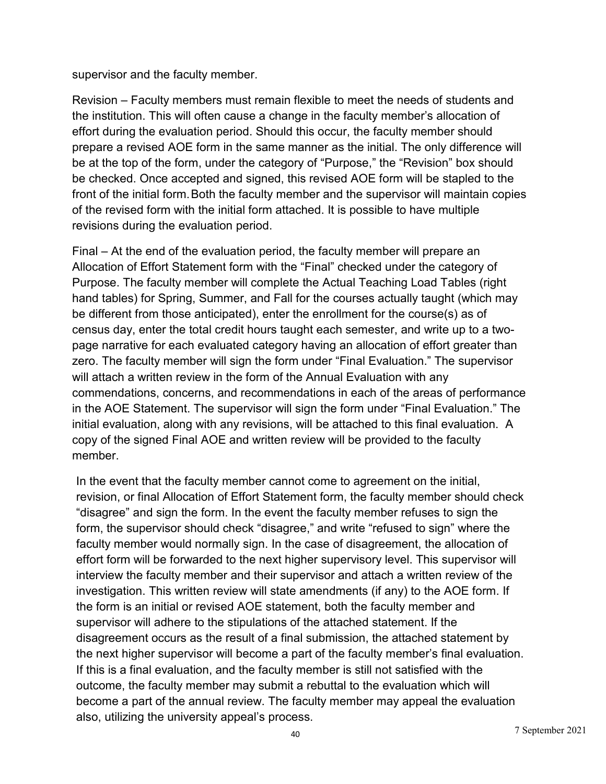supervisor and the faculty member.

Revision – Faculty members must remain flexible to meet the needs of students and the institution. This will often cause a change in the faculty member's allocation of effort during the evaluation period. Should this occur, the faculty member should prepare a revised AOE form in the same manner as the initial. The only difference will be at the top of the form, under the category of "Purpose," the "Revision" box should be checked. Once accepted and signed, this revised AOE form will be stapled to the front of the initial form.Both the faculty member and the supervisor will maintain copies of the revised form with the initial form attached. It is possible to have multiple revisions during the evaluation period.

Final – At the end of the evaluation period, the faculty member will prepare an Allocation of Effort Statement form with the "Final" checked under the category of Purpose. The faculty member will complete the Actual Teaching Load Tables (right hand tables) for Spring, Summer, and Fall for the courses actually taught (which may be different from those anticipated), enter the enrollment for the course(s) as of census day, enter the total credit hours taught each semester, and write up to a twopage narrative for each evaluated category having an allocation of effort greater than zero. The faculty member will sign the form under "Final Evaluation." The supervisor will attach a written review in the form of the Annual Evaluation with any commendations, concerns, and recommendations in each of the areas of performance in the AOE Statement. The supervisor will sign the form under "Final Evaluation." The initial evaluation, along with any revisions, will be attached to this final evaluation. A copy of the signed Final AOE and written review will be provided to the faculty member.

In the event that the faculty member cannot come to agreement on the initial, revision, or final Allocation of Effort Statement form, the faculty member should check "disagree" and sign the form. In the event the faculty member refuses to sign the form, the supervisor should check "disagree," and write "refused to sign" where the faculty member would normally sign. In the case of disagreement, the allocation of effort form will be forwarded to the next higher supervisory level. This supervisor will interview the faculty member and their supervisor and attach a written review of the investigation. This written review will state amendments (if any) to the AOE form. If the form is an initial or revised AOE statement, both the faculty member and supervisor will adhere to the stipulations of the attached statement. If the disagreement occurs as the result of a final submission, the attached statement by the next higher supervisor will become a part of the faculty member's final evaluation. If this is a final evaluation, and the faculty member is still not satisfied with the outcome, the faculty member may submit a rebuttal to the evaluation which will become a part of the annual review. The faculty member may appeal the evaluation also, utilizing the university appeal's process.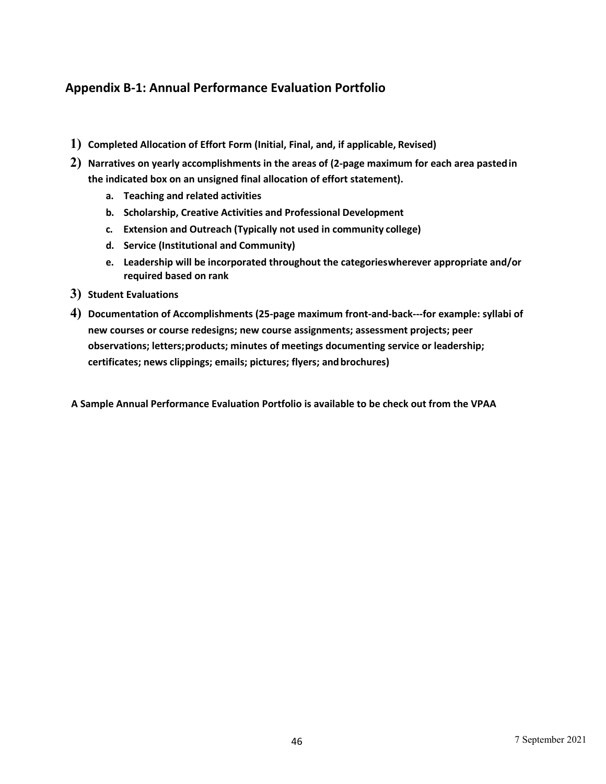### **Appendix B-1: Annual Performance Evaluation Portfolio**

- **1) Completed Allocation of Effort Form (Initial, Final, and, if applicable, Revised)**
- **2) Narratives on yearly accomplishments in the areas of (2-page maximum for each area pastedin the indicated box on an unsigned final allocation of effort statement).**
	- **a. Teaching and related activities**
	- **b. Scholarship, Creative Activities and Professional Development**
	- **c. Extension and Outreach (Typically not used in community college)**
	- **d. Service (Institutional and Community)**
	- **e. Leadership will be incorporated throughout the categorieswherever appropriate and/or required based on rank**
- **3) Student Evaluations**
- **4) Documentation of Accomplishments (25-page maximum front-and-back---for example: syllabi of new courses or course redesigns; new course assignments; assessment projects; peer observations; letters;products; minutes of meetings documenting service or leadership; certificates; news clippings; emails; pictures; flyers; andbrochures)**

**A Sample Annual Performance Evaluation Portfolio is available to be check out from the VPAA**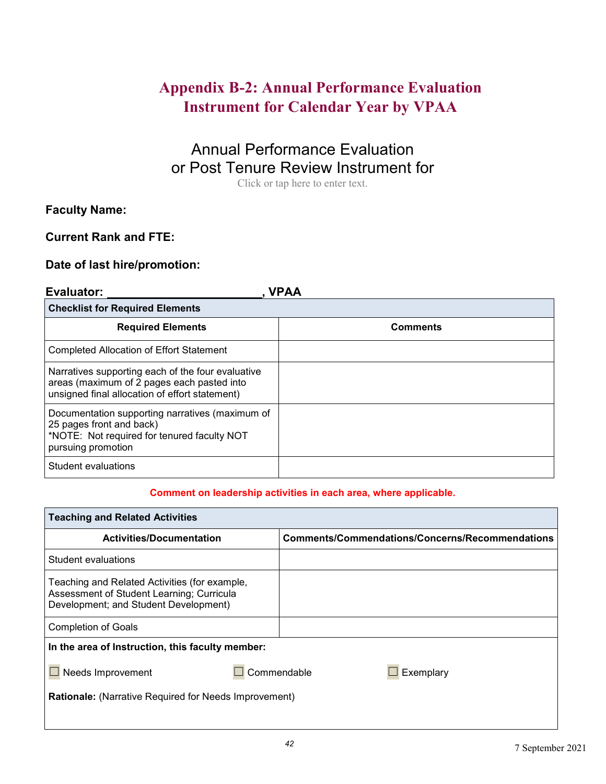### **Appendix B-2: Annual Performance Evaluation Instrument for Calendar Year by VPAA**

### Annual Performance Evaluation or Post Tenure Review Instrument for

Click or tap here to enter text.

### **Faculty Name:**

### **Current Rank and FTE:**

### **Date of last hire/promotion:**

### Evaluator: \_\_\_\_\_\_\_\_\_\_\_\_\_\_\_\_\_\_\_\_\_\_\_\_\_\_\_\_\_\_\_\_\_, VPAA

| <b>Checklist for Required Elements</b>                                                                                                            |                 |  |
|---------------------------------------------------------------------------------------------------------------------------------------------------|-----------------|--|
| <b>Required Elements</b>                                                                                                                          | <b>Comments</b> |  |
| Completed Allocation of Effort Statement                                                                                                          |                 |  |
| Narratives supporting each of the four evaluative<br>areas (maximum of 2 pages each pasted into<br>unsigned final allocation of effort statement) |                 |  |
| Documentation supporting narratives (maximum of<br>25 pages front and back)<br>*NOTE: Not required for tenured faculty NOT<br>pursuing promotion  |                 |  |
| Student evaluations                                                                                                                               |                 |  |

#### **Comment on leadership activities in each area, where applicable.**

| <b>Teaching and Related Activities</b>                                                                                              |                                                 |  |
|-------------------------------------------------------------------------------------------------------------------------------------|-------------------------------------------------|--|
| <b>Activities/Documentation</b>                                                                                                     | Comments/Commendations/Concerns/Recommendations |  |
| Student evaluations                                                                                                                 |                                                 |  |
| Teaching and Related Activities (for example,<br>Assessment of Student Learning; Curricula<br>Development; and Student Development) |                                                 |  |
| <b>Completion of Goals</b>                                                                                                          |                                                 |  |
| In the area of Instruction, this faculty member:                                                                                    |                                                 |  |
| Needs Improvement                                                                                                                   | Commendable<br>Exemplary                        |  |
| <b>Rationale:</b> (Narrative Required for Needs Improvement)                                                                        |                                                 |  |
|                                                                                                                                     |                                                 |  |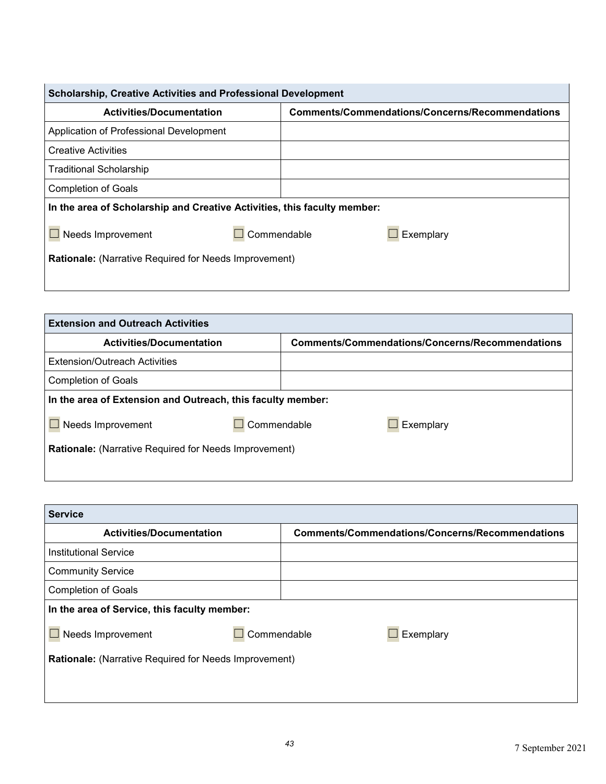| <b>Scholarship, Creative Activities and Professional Development</b>     |                                                        |  |
|--------------------------------------------------------------------------|--------------------------------------------------------|--|
| <b>Activities/Documentation</b>                                          | <b>Comments/Commendations/Concerns/Recommendations</b> |  |
| Application of Professional Development                                  |                                                        |  |
| <b>Creative Activities</b>                                               |                                                        |  |
| <b>Traditional Scholarship</b>                                           |                                                        |  |
| <b>Completion of Goals</b>                                               |                                                        |  |
| In the area of Scholarship and Creative Activities, this faculty member: |                                                        |  |
| Commendable<br>Needs Improvement                                         | Exemplary                                              |  |
| <b>Rationale:</b> (Narrative Required for Needs Improvement)             |                                                        |  |
|                                                                          |                                                        |  |

| <b>Extension and Outreach Activities</b>                     |  |  |  |
|--------------------------------------------------------------|--|--|--|
| Comments/Commendations/Concerns/Recommendations              |  |  |  |
|                                                              |  |  |  |
|                                                              |  |  |  |
| In the area of Extension and Outreach, this faculty member:  |  |  |  |
| Commendable<br>Exemplary                                     |  |  |  |
| <b>Rationale:</b> (Narrative Required for Needs Improvement) |  |  |  |
|                                                              |  |  |  |

| <b>Service</b>                                               |                                                        |  |  |
|--------------------------------------------------------------|--------------------------------------------------------|--|--|
| <b>Activities/Documentation</b>                              | <b>Comments/Commendations/Concerns/Recommendations</b> |  |  |
| <b>Institutional Service</b>                                 |                                                        |  |  |
| <b>Community Service</b>                                     |                                                        |  |  |
| <b>Completion of Goals</b>                                   |                                                        |  |  |
| In the area of Service, this faculty member:                 |                                                        |  |  |
| Needs Improvement                                            | Commendable<br>Exemplary                               |  |  |
| <b>Rationale:</b> (Narrative Required for Needs Improvement) |                                                        |  |  |
|                                                              |                                                        |  |  |
|                                                              |                                                        |  |  |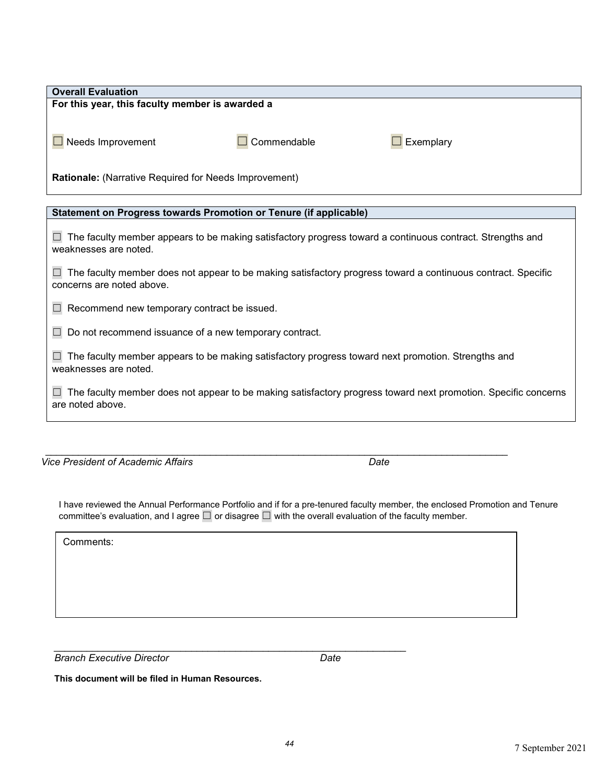| <b>Overall Evaluation</b>                                                                                                                 |  |  |  |  |
|-------------------------------------------------------------------------------------------------------------------------------------------|--|--|--|--|
| For this year, this faculty member is awarded a                                                                                           |  |  |  |  |
| Needs Improvement<br>Commendable<br>Exemplary                                                                                             |  |  |  |  |
| <b>Rationale:</b> (Narrative Required for Needs Improvement)                                                                              |  |  |  |  |
| Statement on Progress towards Promotion or Tenure (if applicable)                                                                         |  |  |  |  |
| The faculty member appears to be making satisfactory progress toward a continuous contract. Strengths and<br>weaknesses are noted.        |  |  |  |  |
| The faculty member does not appear to be making satisfactory progress toward a continuous contract. Specific<br>concerns are noted above. |  |  |  |  |
| $\Box$ Recommend new temporary contract be issued.                                                                                        |  |  |  |  |
| Do not recommend issuance of a new temporary contract.                                                                                    |  |  |  |  |
| The faculty member appears to be making satisfactory progress toward next promotion. Strengths and<br>weaknesses are noted.               |  |  |  |  |
| The faculty member does not appear to be making satisfactory progress toward next promotion. Specific concerns<br>are noted above.        |  |  |  |  |
|                                                                                                                                           |  |  |  |  |

**Vice President of Academic Affairs Date Contains Date** 

I have reviewed the Annual Performance Portfolio and if for a pre-tenured faculty member, the enclosed Promotion and Tenure committee's evaluation, and I agree  $\Box$  or disagree  $\Box$  with the overall evaluation of the faculty member.

Comments:

*\_\_\_\_\_\_\_\_\_\_\_\_\_\_\_\_\_\_\_\_\_\_\_\_\_\_\_\_\_\_\_\_\_\_\_\_\_\_\_\_\_\_\_\_\_\_\_\_\_\_\_\_\_\_\_\_\_\_\_\_\_\_\_\_* **Branch Executive Director** Date

**This document will be filed in Human Resources.**

|  | <b>Dverall Evaluation</b> |  |   |  |
|--|---------------------------|--|---|--|
|  |                           |  | - |  |

\_\_\_\_\_\_\_\_\_\_\_\_\_\_\_\_\_\_\_\_\_\_\_\_\_\_\_\_\_\_\_\_\_\_\_\_\_\_\_\_\_\_\_\_\_\_\_\_\_\_\_\_\_\_\_\_\_\_\_\_\_\_\_\_\_\_\_\_\_\_\_\_\_\_\_\_\_\_\_\_\_\_\_\_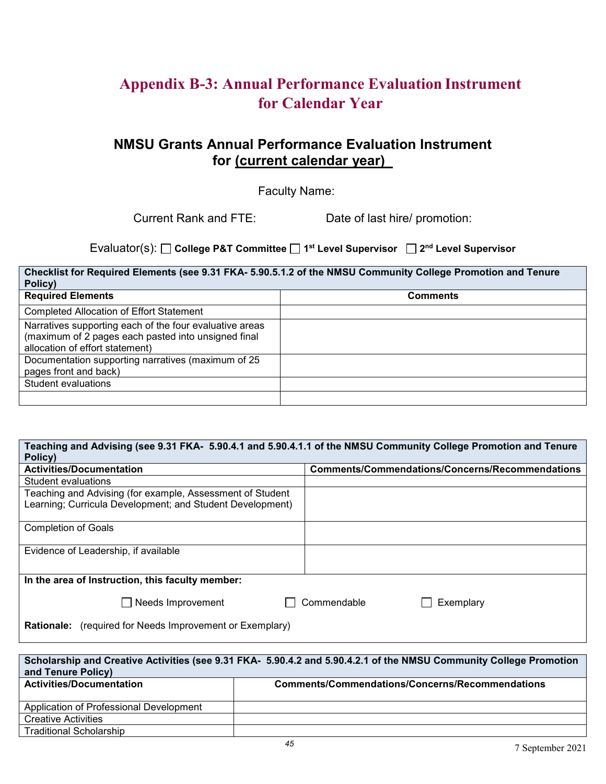### **Appendix B-3: Annual Performance Evaluation Instrument for Calendar Year**

### **NMSU Grants Annual Performance Evaluation Instrument for (current calendar year)\_**

Faculty Name:

Current Rank and FTE: Date of last hire/ promotion:

Evaluator(s): **College P&T Committee 1st Level Supervisor 2nd Level Supervisor**

#### **Checklist for Required Elements (see 9.31 FKA- 5.90.5.1.2 of the NMSU Community College Promotion and Tenure Policy) Required Elements Comments**

| $12011120$ Ligiticitio                                                                                                                            | <b>VUIIIIII</b> UJ |
|---------------------------------------------------------------------------------------------------------------------------------------------------|--------------------|
| <b>Completed Allocation of Effort Statement</b>                                                                                                   |                    |
| Narratives supporting each of the four evaluative areas<br>(maximum of 2 pages each pasted into unsigned final<br>allocation of effort statement) |                    |
| Documentation supporting narratives (maximum of 25<br>pages front and back)                                                                       |                    |
| Student evaluations                                                                                                                               |                    |
|                                                                                                                                                   |                    |

| Teaching and Advising (see 9.31 FKA- 5.90.4.1 and 5.90.4.1.1 of the NMSU Community College Promotion and Tenure<br>Policy) |                                                 |  |  |
|----------------------------------------------------------------------------------------------------------------------------|-------------------------------------------------|--|--|
| <b>Activities/Documentation</b>                                                                                            | Comments/Commendations/Concerns/Recommendations |  |  |
| Student evaluations                                                                                                        |                                                 |  |  |
| Teaching and Advising (for example, Assessment of Student                                                                  |                                                 |  |  |
| Learning; Curricula Development; and Student Development)                                                                  |                                                 |  |  |
| <b>Completion of Goals</b>                                                                                                 |                                                 |  |  |
| Evidence of Leadership, if available                                                                                       |                                                 |  |  |
| In the area of Instruction, this faculty member:                                                                           |                                                 |  |  |
| Needs Improvement                                                                                                          | Commendable<br>Exemplary                        |  |  |
| <b>Rationale:</b> (required for Needs Improvement or Exemplary)                                                            |                                                 |  |  |

| Scholarship and Creative Activities (see 9.31 FKA- 5.90.4.2 and 5.90.4.2.1 of the NMSU Community College Promotion<br>and Tenure Policy) |                                                 |  |
|------------------------------------------------------------------------------------------------------------------------------------------|-------------------------------------------------|--|
| <b>Activities/Documentation</b>                                                                                                          | Comments/Commendations/Concerns/Recommendations |  |
| Application of Professional Development                                                                                                  |                                                 |  |
| Creative Activities                                                                                                                      |                                                 |  |
| <b>Traditional Scholarship</b>                                                                                                           |                                                 |  |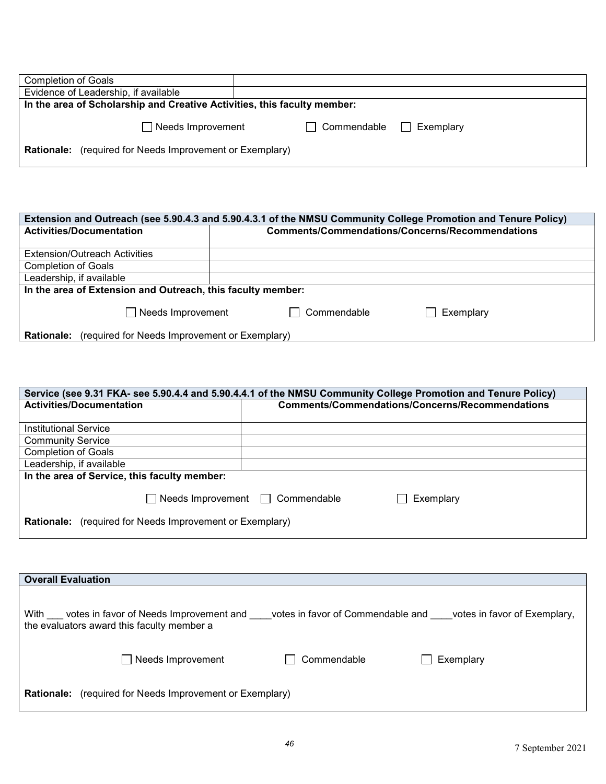| Completion of Goals                                                      |                                        |  |
|--------------------------------------------------------------------------|----------------------------------------|--|
| Evidence of Leadership, if available                                     |                                        |  |
| In the area of Scholarship and Creative Activities, this faculty member: |                                        |  |
| $\Box$ Needs Improvement                                                 | $\Box$ Commendable $\Box$<br>Exemplary |  |
| <b>Rationale:</b> (required for Needs Improvement or Exemplary)          |                                        |  |

| Extension and Outreach (see 5.90.4.3 and 5.90.4.3.1 of the NMSU Community College Promotion and Tenure Policy) |                                                 |  |  |
|----------------------------------------------------------------------------------------------------------------|-------------------------------------------------|--|--|
| <b>Activities/Documentation</b>                                                                                | Comments/Commendations/Concerns/Recommendations |  |  |
|                                                                                                                |                                                 |  |  |
| <b>Extension/Outreach Activities</b>                                                                           |                                                 |  |  |
| <b>Completion of Goals</b>                                                                                     |                                                 |  |  |
| Leadership, if available                                                                                       |                                                 |  |  |
| In the area of Extension and Outreach, this faculty member:                                                    |                                                 |  |  |
|                                                                                                                |                                                 |  |  |
| $\Box$ Needs Improvement                                                                                       | Commendable<br>Exemplary                        |  |  |
|                                                                                                                |                                                 |  |  |
| <b>Rationale:</b> (required for Needs Improvement or Exemplary)                                                |                                                 |  |  |

| Service (see 9.31 FKA- see 5.90.4.4 and 5.90.4.4.1 of the NMSU Community College Promotion and Tenure Policy) |                                                          |  |  |
|---------------------------------------------------------------------------------------------------------------|----------------------------------------------------------|--|--|
| <b>Activities/Documentation</b>                                                                               | Comments/Commendations/Concerns/Recommendations          |  |  |
|                                                                                                               |                                                          |  |  |
| <b>Institutional Service</b>                                                                                  |                                                          |  |  |
| <b>Community Service</b>                                                                                      |                                                          |  |  |
| <b>Completion of Goals</b>                                                                                    |                                                          |  |  |
| Leadership, if available                                                                                      |                                                          |  |  |
| In the area of Service, this faculty member:                                                                  |                                                          |  |  |
|                                                                                                               | $\Box$ Needs Improvement $\Box$ Commendable<br>Exemplary |  |  |
| <b>Rationale:</b> (required for Needs Improvement or Exemplary)                                               |                                                          |  |  |

| <b>Overall Evaluation</b>                                                                     |                                   |                              |
|-----------------------------------------------------------------------------------------------|-----------------------------------|------------------------------|
| With<br>votes in favor of Needs Improvement and<br>the evaluators award this faculty member a | votes in favor of Commendable and | votes in favor of Exemplary, |
| $\Box$ Needs Improvement                                                                      | Commendable                       | Exemplary                    |
| (required for Needs Improvement or Exemplary)<br><b>Rationale:</b>                            |                                   |                              |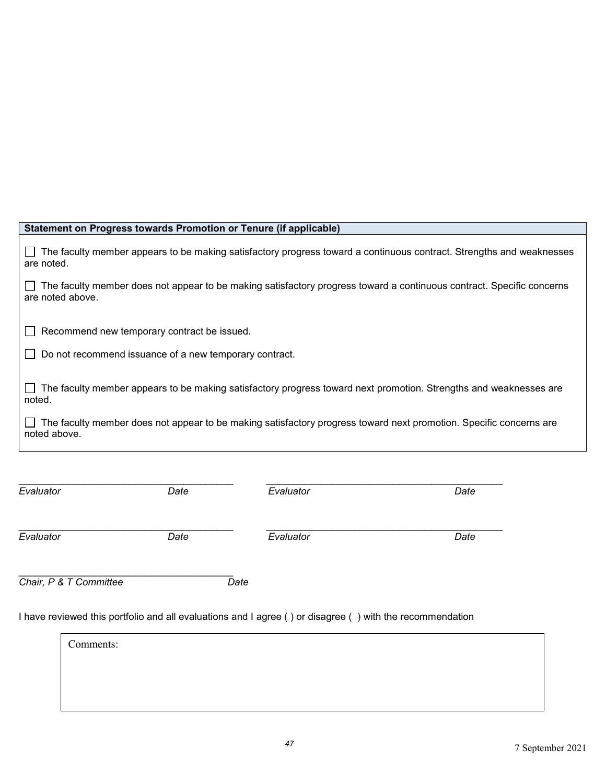|                                                                                                                                           | Statement on Progress towards Promotion or Tenure (if applicable) |           |                                                                                                                      |  |
|-------------------------------------------------------------------------------------------------------------------------------------------|-------------------------------------------------------------------|-----------|----------------------------------------------------------------------------------------------------------------------|--|
| are noted.                                                                                                                                |                                                                   |           | The faculty member appears to be making satisfactory progress toward a continuous contract. Strengths and weaknesses |  |
| The faculty member does not appear to be making satisfactory progress toward a continuous contract. Specific concerns<br>are noted above. |                                                                   |           |                                                                                                                      |  |
|                                                                                                                                           | Recommend new temporary contract be issued.                       |           |                                                                                                                      |  |
|                                                                                                                                           | Do not recommend issuance of a new temporary contract.            |           |                                                                                                                      |  |
| noted.                                                                                                                                    |                                                                   |           | The faculty member appears to be making satisfactory progress toward next promotion. Strengths and weaknesses are    |  |
| noted above.                                                                                                                              |                                                                   |           | The faculty member does not appear to be making satisfactory progress toward next promotion. Specific concerns are   |  |
|                                                                                                                                           |                                                                   |           |                                                                                                                      |  |
| Evaluator                                                                                                                                 | Date                                                              | Evaluator | Date                                                                                                                 |  |
| Evaluator                                                                                                                                 | Date                                                              | Evaluator | Date                                                                                                                 |  |
|                                                                                                                                           |                                                                   |           |                                                                                                                      |  |

\_\_\_\_\_\_\_\_\_\_\_\_\_\_\_\_\_\_\_\_\_\_\_\_\_\_\_\_\_\_\_\_\_\_\_\_\_\_\_ *Chair, P & T Committee Date* 

I have reviewed this portfolio and all evaluations and I agree ( ) or disagree ( ) with the recommendation

Comments: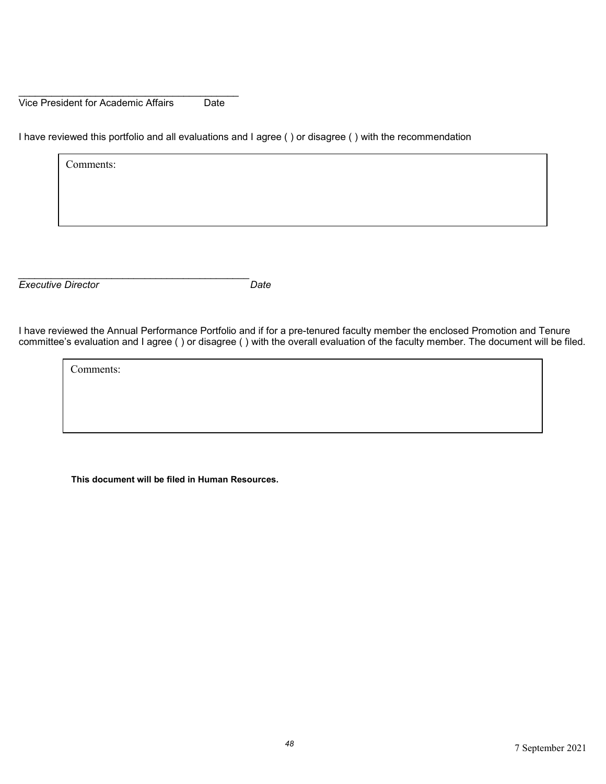\_\_\_\_\_\_\_\_\_\_\_\_\_\_\_\_\_\_\_\_\_\_\_\_\_\_\_\_\_\_\_\_\_\_\_\_\_\_\_\_ Vice President for Academic Affairs Date

*\_\_\_\_\_\_\_\_\_\_\_\_\_\_\_\_\_\_\_\_\_\_\_\_\_\_\_\_\_\_\_\_\_\_\_\_\_\_\_\_\_\_*

I have reviewed this portfolio and all evaluations and I agree ( ) or disagree ( ) with the recommendation

Comments:

**Executive Director** Date

I have reviewed the Annual Performance Portfolio and if for a pre-tenured faculty member the enclosed Promotion and Tenure committee's evaluation and I agree () or disagree () with the overall evaluation of the faculty member. The document will be filed.

Comments:

**This document will be filed in Human Resources.**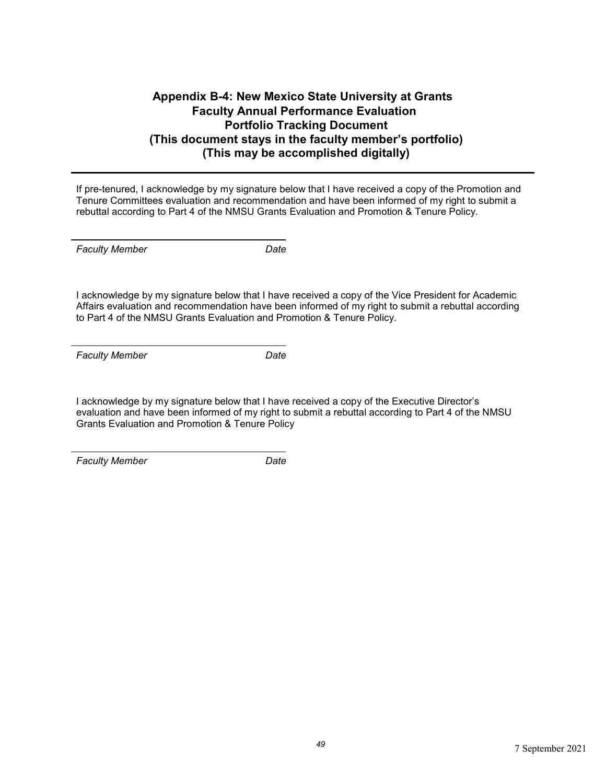### **Appendix B-4: New Mexico State University at Grants Faculty Annual Performance Evaluation Portfolio Tracking Document (This document stays in the faculty member's portfolio) (This may be accomplished digitally)**

If pre-tenured, I acknowledge by my signature below that I have received a copy of the Promotion and Tenure Committees evaluation and recommendation and have been informed of my right to submit a rebuttal according to Part 4 of the NMSU Grants Evaluation and Promotion & Tenure Policy.

*Faculty Member Date*

I acknowledge by my signature below that I have received a copy of the Vice President for Academic Affairs evaluation and recommendation have been informed of my right to submit a rebuttal according to Part 4 of the NMSU Grants Evaluation and Promotion & Tenure Policy.

*Faculty Member Date*

I acknowledge by my signature below that I have received a copy of the Executive Director's evaluation and have been informed of my right to submit a rebuttal according to Part 4 of the NMSU Grants Evaluation and Promotion & Tenure Policy

*Faculty Member Date*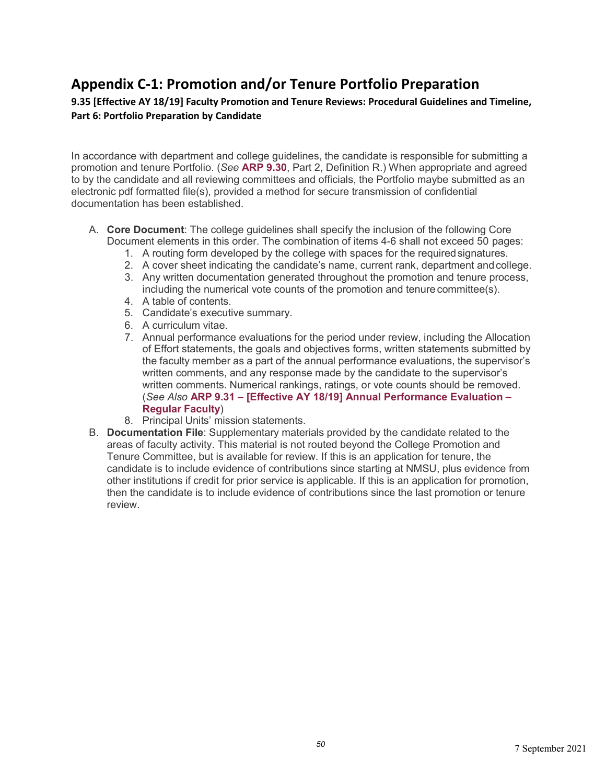### **Appendix C-1: Promotion and/or Tenure Portfolio Preparation**

**9.35 [Effective AY 18/19] Faculty Promotion and Tenure Reviews: Procedural Guidelines and Timeline, Part 6: Portfolio Preparation by Candidate**

In accordance with department and college guidelines, the candidate is responsible for submitting a promotion and tenure Portfolio. (*See* **[ARP 9.30](http://arp.nmsu.edu/9-30)**, Part 2, Definition R.) When appropriate and agreed to by the candidate and all reviewing committees and officials, the Portfolio maybe submitted as an electronic pdf formatted file(s), provided a method for secure transmission of confidential documentation has been established.

- A. **Core Document**: The college guidelines shall specify the inclusion of the following Core Document elements in this order. The combination of items 4-6 shall not exceed 50 pages:
	- 1. A routing form developed by the college with spaces for the requiredsignatures.
	- 2. A cover sheet indicating the candidate's name, current rank, department andcollege.
	- 3. Any written documentation generated throughout the promotion and tenure process, including the numerical vote counts of the promotion and tenure committee(s).
	- 4. A table of contents.
	- 5. Candidate's executive summary.
	- 6. A curriculum vitae.
	- 7. Annual performance evaluations for the period under review, including the Allocation of Effort statements, the goals and objectives forms, written statements submitted by the faculty member as a part of the annual performance evaluations, the supervisor's written comments, and any response made by the candidate to the supervisor's written comments. Numerical rankings, ratings, or vote counts should be removed. (*See Also* **ARP 9.31 – [\[Effective AY 18/19\] Annual Performance Evaluation –](http://arp.nmsu.edu/9-31) [Regular](http://arp.nmsu.edu/9-31) Faculty**)
	- 8. Principal Units' mission statements.
- B. **Documentation File**: Supplementary materials provided by the candidate related to the areas of faculty activity. This material is not routed beyond the College Promotion and Tenure Committee, but is available for review. If this is an application for tenure, the candidate is to include evidence of contributions since starting at NMSU, plus evidence from other institutions if credit for prior service is applicable. If this is an application for promotion, then the candidate is to include evidence of contributions since the last promotion or tenure review.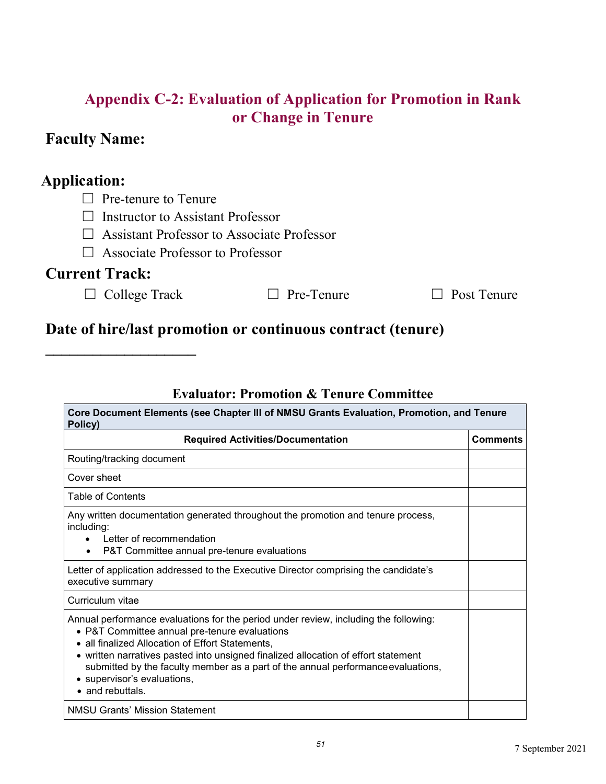### **Appendix C-2: Evaluation of Application for Promotion in Rank or Change in Tenure**

### **Faculty Name:**

### **Application:**

□ Pre-tenure to Tenure

 $\Box$  Instructor to Assistant Professor

☐ Assistant Professor to Associate Professor

☐ Associate Professor to Professor

### **Current Track:**

☐ College Track ☐ Pre-Tenure ☐ Post Tenure

**\_\_\_\_\_\_\_\_\_\_\_\_\_\_\_\_\_\_\_**

### **Date of hire/last promotion or continuous contract (tenure)**

### **Evaluator: Promotion & Tenure Committee**

| Core Document Elements (see Chapter III of NMSU Grants Evaluation, Promotion, and Tenure<br>Policy)                                                                                                                                                                                                                                                                                                                    |                 |  |
|------------------------------------------------------------------------------------------------------------------------------------------------------------------------------------------------------------------------------------------------------------------------------------------------------------------------------------------------------------------------------------------------------------------------|-----------------|--|
| <b>Required Activities/Documentation</b>                                                                                                                                                                                                                                                                                                                                                                               | <b>Comments</b> |  |
| Routing/tracking document                                                                                                                                                                                                                                                                                                                                                                                              |                 |  |
| Cover sheet                                                                                                                                                                                                                                                                                                                                                                                                            |                 |  |
| Table of Contents                                                                                                                                                                                                                                                                                                                                                                                                      |                 |  |
| Any written documentation generated throughout the promotion and tenure process,<br>including:<br>Letter of recommendation<br>P&T Committee annual pre-tenure evaluations<br>$\bullet$                                                                                                                                                                                                                                 |                 |  |
| Letter of application addressed to the Executive Director comprising the candidate's<br>executive summary                                                                                                                                                                                                                                                                                                              |                 |  |
| Curriculum vitae                                                                                                                                                                                                                                                                                                                                                                                                       |                 |  |
| Annual performance evaluations for the period under review, including the following:<br>• P&T Committee annual pre-tenure evaluations<br>• all finalized Allocation of Effort Statements,<br>• written narratives pasted into unsigned finalized allocation of effort statement<br>submitted by the faculty member as a part of the annual performance evaluations,<br>• supervisor's evaluations,<br>• and rebuttals. |                 |  |
| <b>NMSU Grants' Mission Statement</b>                                                                                                                                                                                                                                                                                                                                                                                  |                 |  |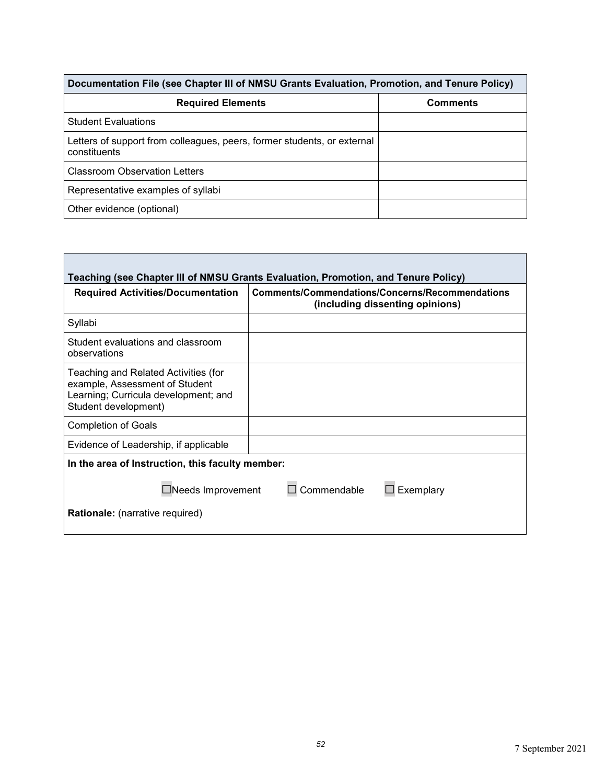| Documentation File (see Chapter III of NMSU Grants Evaluation, Promotion, and Tenure Policy) |                 |  |  |
|----------------------------------------------------------------------------------------------|-----------------|--|--|
| <b>Required Elements</b>                                                                     | <b>Comments</b> |  |  |
| <b>Student Evaluations</b>                                                                   |                 |  |  |
| Letters of support from colleagues, peers, former students, or external<br>constituents      |                 |  |  |
| <b>Classroom Observation Letters</b>                                                         |                 |  |  |
| Representative examples of syllabi                                                           |                 |  |  |
| Other evidence (optional)                                                                    |                 |  |  |

| <b>Required Activities/Documentation</b>                                                                                               | Teaching (see Chapter III of NMSU Grants Evaluation, Promotion, and Tenure Policy)<br>Comments/Commendations/Concerns/Recommendations<br>(including dissenting opinions) |  |  |
|----------------------------------------------------------------------------------------------------------------------------------------|--------------------------------------------------------------------------------------------------------------------------------------------------------------------------|--|--|
| Syllabi                                                                                                                                |                                                                                                                                                                          |  |  |
| Student evaluations and classroom<br>observations                                                                                      |                                                                                                                                                                          |  |  |
| Teaching and Related Activities (for<br>example, Assessment of Student<br>Learning; Curricula development; and<br>Student development) |                                                                                                                                                                          |  |  |
| <b>Completion of Goals</b>                                                                                                             |                                                                                                                                                                          |  |  |
| Evidence of Leadership, if applicable                                                                                                  |                                                                                                                                                                          |  |  |
| In the area of Instruction, this faculty member:                                                                                       |                                                                                                                                                                          |  |  |
| Needs Improvement                                                                                                                      | Commendable<br>Exemplary                                                                                                                                                 |  |  |
| <b>Rationale:</b> (narrative required)                                                                                                 |                                                                                                                                                                          |  |  |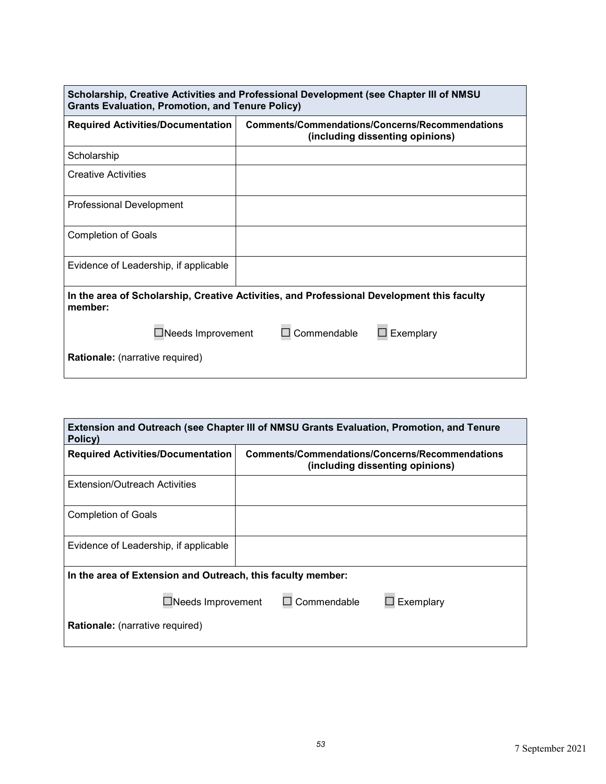| Scholarship, Creative Activities and Professional Development (see Chapter III of NMSU<br><b>Grants Evaluation, Promotion, and Tenure Policy)</b> |                                                                                    |  |  |
|---------------------------------------------------------------------------------------------------------------------------------------------------|------------------------------------------------------------------------------------|--|--|
| <b>Required Activities/Documentation</b>                                                                                                          | Comments/Commendations/Concerns/Recommendations<br>(including dissenting opinions) |  |  |
| Scholarship                                                                                                                                       |                                                                                    |  |  |
| <b>Creative Activities</b>                                                                                                                        |                                                                                    |  |  |
| <b>Professional Development</b>                                                                                                                   |                                                                                    |  |  |
| <b>Completion of Goals</b>                                                                                                                        |                                                                                    |  |  |
| Evidence of Leadership, if applicable                                                                                                             |                                                                                    |  |  |
| In the area of Scholarship, Creative Activities, and Professional Development this faculty<br>member:                                             |                                                                                    |  |  |
| $\Box$ Needs Improvement                                                                                                                          | Commendable<br>Exemplary                                                           |  |  |
| <b>Rationale:</b> (narrative required)                                                                                                            |                                                                                    |  |  |

| Extension and Outreach (see Chapter III of NMSU Grants Evaluation, Promotion, and Tenure<br>Policy) |                                                                                    |  |  |
|-----------------------------------------------------------------------------------------------------|------------------------------------------------------------------------------------|--|--|
| <b>Required Activities/Documentation</b>                                                            | Comments/Commendations/Concerns/Recommendations<br>(including dissenting opinions) |  |  |
| Extension/Outreach Activities                                                                       |                                                                                    |  |  |
| <b>Completion of Goals</b>                                                                          |                                                                                    |  |  |
| Evidence of Leadership, if applicable                                                               |                                                                                    |  |  |
| In the area of Extension and Outreach, this faculty member:                                         |                                                                                    |  |  |
| $\Box$ Needs Improvement                                                                            | Commendable<br>$\Box$ Exemplary                                                    |  |  |
| <b>Rationale:</b> (narrative required)                                                              |                                                                                    |  |  |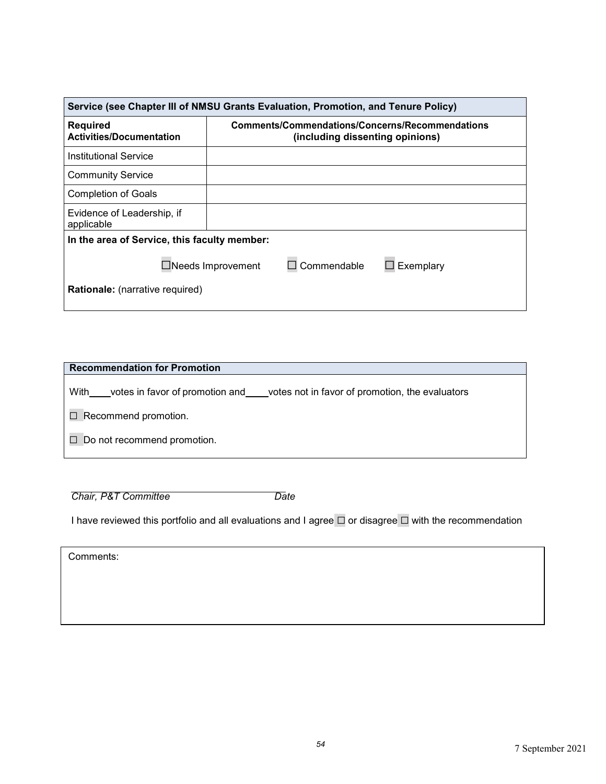| Service (see Chapter III of NMSU Grants Evaluation, Promotion, and Tenure Policy) |                                                                                    |  |  |  |
|-----------------------------------------------------------------------------------|------------------------------------------------------------------------------------|--|--|--|
| <b>Required</b><br><b>Activities/Documentation</b>                                | Comments/Commendations/Concerns/Recommendations<br>(including dissenting opinions) |  |  |  |
| Institutional Service                                                             |                                                                                    |  |  |  |
| <b>Community Service</b>                                                          |                                                                                    |  |  |  |
| <b>Completion of Goals</b>                                                        |                                                                                    |  |  |  |
| Evidence of Leadership, if<br>applicable                                          |                                                                                    |  |  |  |
| In the area of Service, this faculty member:                                      |                                                                                    |  |  |  |
|                                                                                   | Commendable<br>Exemplary<br>Needs Improvement                                      |  |  |  |
| <b>Rationale:</b> (narrative required)                                            |                                                                                    |  |  |  |

| <b>Recommendation for Promotion</b>                                                        |
|--------------------------------------------------------------------------------------------|
| votes in favor of promotion and____votes not in favor of promotion, the evaluators<br>With |
| $\Box$ Recommend promotion.                                                                |
| $\Box$ Do not recommend promotion.                                                         |

*Chair, P&T Committee Date*

I have reviewed this portfolio and all evaluations and I agree □ or disagree □ with the recommendation

Comments: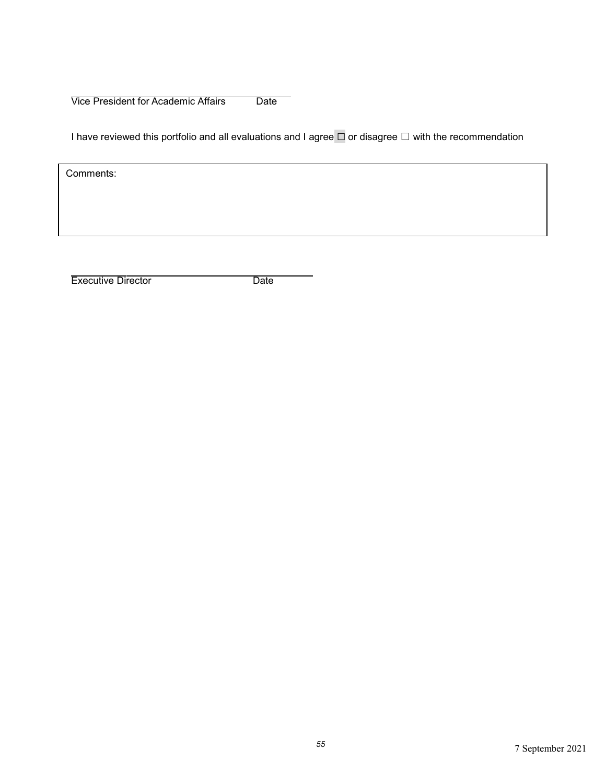Vice President for Academic Affairs Date

I have reviewed this portfolio and all evaluations and I agree ☐ or disagree ☐ with the recommendation

Comments:

Executive Director Date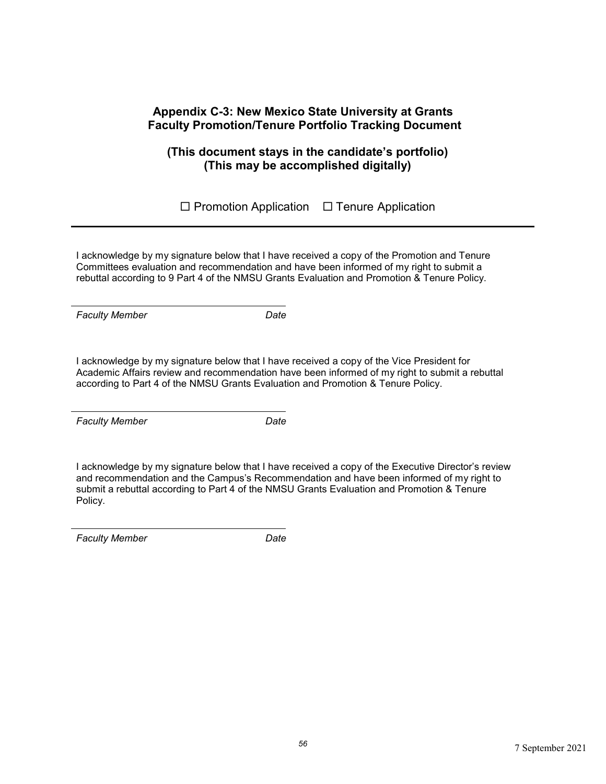### **Appendix C-3: New Mexico State University at Grants Faculty Promotion/Tenure Portfolio Tracking Document**

### **(This document stays in the candidate's portfolio) (This may be accomplished digitally)**

 $\Box$  Promotion Application  $\Box$  Tenure Application

I acknowledge by my signature below that I have received a copy of the Promotion and Tenure Committees evaluation and recommendation and have been informed of my right to submit a rebuttal according to 9 Part 4 of the NMSU Grants Evaluation and Promotion & Tenure Policy.

*Faculty Member Date*

I acknowledge by my signature below that I have received a copy of the Vice President for Academic Affairs review and recommendation have been informed of my right to submit a rebuttal according to Part 4 of the NMSU Grants Evaluation and Promotion & Tenure Policy.

*Faculty Member Date*

I acknowledge by my signature below that I have received a copy of the Executive Director's review and recommendation and the Campus's Recommendation and have been informed of my right to submit a rebuttal according to Part 4 of the NMSU Grants Evaluation and Promotion & Tenure Policy.

*Faculty Member Date*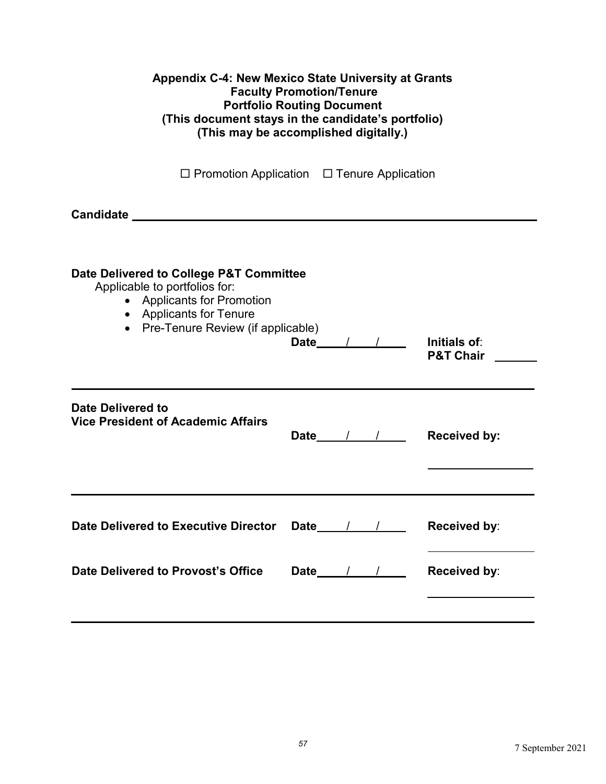| <b>Appendix C-4: New Mexico State University at Grants</b><br><b>Faculty Promotion/Tenure</b><br><b>Portfolio Routing Document</b><br>(This document stays in the candidate's portfolio)<br>(This may be accomplished digitally.) |  |  |                                       |                                      |
|-----------------------------------------------------------------------------------------------------------------------------------------------------------------------------------------------------------------------------------|--|--|---------------------------------------|--------------------------------------|
| $\Box$ Promotion Application $\Box$ Tenure Application                                                                                                                                                                            |  |  |                                       |                                      |
|                                                                                                                                                                                                                                   |  |  |                                       |                                      |
| Date Delivered to College P&T Committee<br>Applicable to portfolios for:<br>• Applicants for Promotion<br>• Applicants for Tenure<br>• Pre-Tenure Review (if applicable)                                                          |  |  | Date $\frac{1}{\sqrt{1-\frac{1}{2}}}$ | Initials of:<br><b>P&amp;T Chair</b> |
| Date Delivered to<br><b>Vice President of Academic Affairs</b>                                                                                                                                                                    |  |  | Date $/$ / $/$                        | <b>Received by:</b>                  |
| Date Delivered to Executive Director Date 1                                                                                                                                                                                       |  |  |                                       | Received by:                         |
| Date Delivered to Provost's Office                                                                                                                                                                                                |  |  | Date $\frac{1}{\sqrt{1-\frac{1}{2}}}$ | <b>Received by:</b>                  |
|                                                                                                                                                                                                                                   |  |  |                                       |                                      |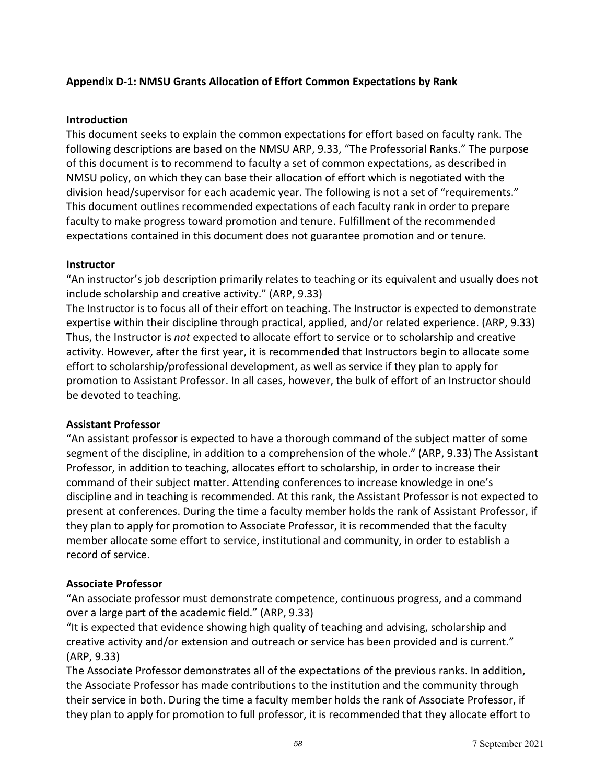### **Appendix D-1: NMSU Grants Allocation of Effort Common Expectations by Rank**

#### **Introduction**

This document seeks to explain the common expectations for effort based on faculty rank. The following descriptions are based on the NMSU ARP, 9.33, "The Professorial Ranks." The purpose of this document is to recommend to faculty a set of common expectations, as described in NMSU policy, on which they can base their allocation of effort which is negotiated with the division head/supervisor for each academic year. The following is not a set of "requirements." This document outlines recommended expectations of each faculty rank in order to prepare faculty to make progress toward promotion and tenure. Fulfillment of the recommended expectations contained in this document does not guarantee promotion and or tenure.

#### **Instructor**

"An instructor's job description primarily relates to teaching or its equivalent and usually does not include scholarship and creative activity." (ARP, 9.33)

The Instructor is to focus all of their effort on teaching. The Instructor is expected to demonstrate expertise within their discipline through practical, applied, and/or related experience. (ARP, 9.33) Thus, the Instructor is *not* expected to allocate effort to service or to scholarship and creative activity. However, after the first year, it is recommended that Instructors begin to allocate some effort to scholarship/professional development, as well as service if they plan to apply for promotion to Assistant Professor. In all cases, however, the bulk of effort of an Instructor should be devoted to teaching.

#### **Assistant Professor**

"An assistant professor is expected to have a thorough command of the subject matter of some segment of the discipline, in addition to a comprehension of the whole." (ARP, 9.33) The Assistant Professor, in addition to teaching, allocates effort to scholarship, in order to increase their command of their subject matter. Attending conferences to increase knowledge in one's discipline and in teaching is recommended. At this rank, the Assistant Professor is not expected to present at conferences. During the time a faculty member holds the rank of Assistant Professor, if they plan to apply for promotion to Associate Professor, it is recommended that the faculty member allocate some effort to service, institutional and community, in order to establish a record of service.

#### **Associate Professor**

"An associate professor must demonstrate competence, continuous progress, and a command over a large part of the academic field." (ARP, 9.33)

"It is expected that evidence showing high quality of teaching and advising, scholarship and creative activity and/or extension and outreach or service has been provided and is current." (ARP, 9.33)

The Associate Professor demonstrates all of the expectations of the previous ranks. In addition, the Associate Professor has made contributions to the institution and the community through their service in both. During the time a faculty member holds the rank of Associate Professor, if they plan to apply for promotion to full professor, it is recommended that they allocate effort to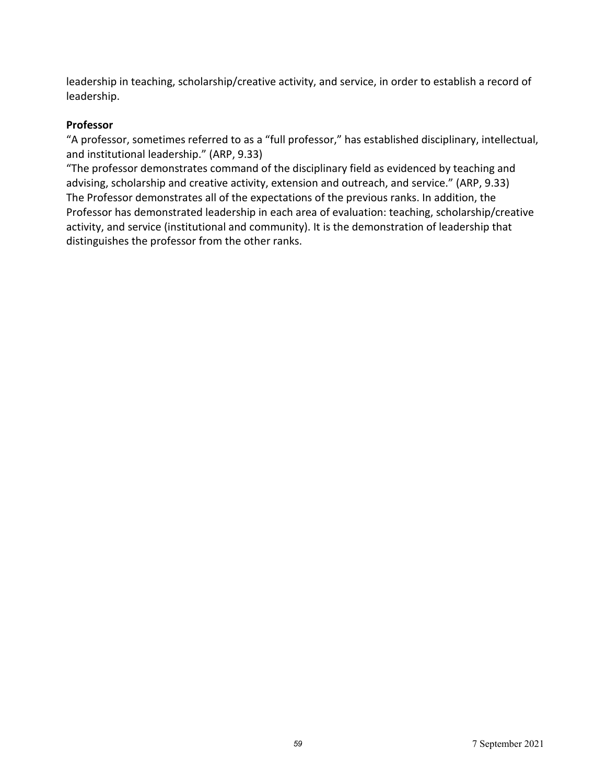leadership in teaching, scholarship/creative activity, and service, in order to establish a record of leadership.

### **Professor**

"A professor, sometimes referred to as a "full professor," has established disciplinary, intellectual, and institutional leadership." (ARP, 9.33)

"The professor demonstrates command of the disciplinary field as evidenced by teaching and advising, scholarship and creative activity, extension and outreach, and service." (ARP, 9.33) The Professor demonstrates all of the expectations of the previous ranks. In addition, the Professor has demonstrated leadership in each area of evaluation: teaching, scholarship/creative activity, and service (institutional and community). It is the demonstration of leadership that distinguishes the professor from the other ranks.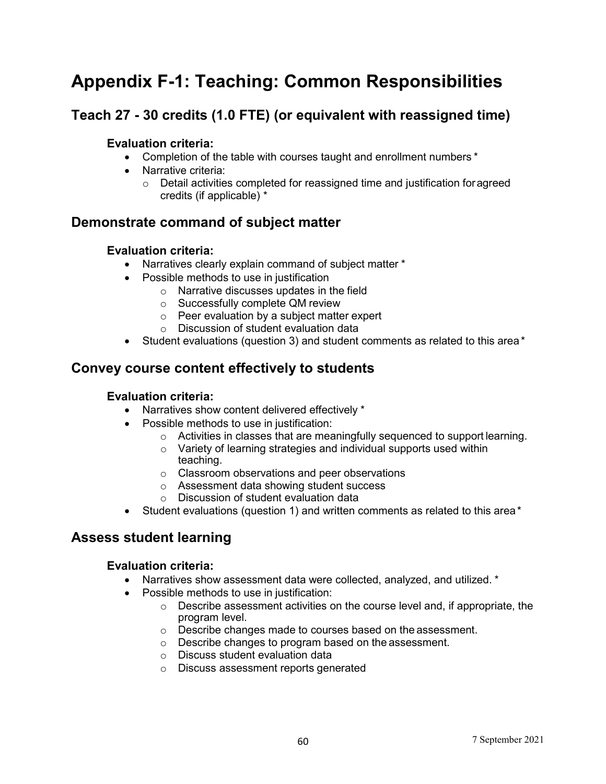### **Appendix F-1: Teaching: Common Responsibilities**

### **Teach 27 - 30 credits (1.0 FTE) (or equivalent with reassigned time)**

### **Evaluation criteria:**

- Completion of the table with courses taught and enrollment numbers \*
- Narrative criteria:
	- o Detail activities completed for reassigned time and justification foragreed credits (if applicable) \*

### **Demonstrate command of subject matter**

### **Evaluation criteria:**

- Narratives clearly explain command of subject matter \*
- Possible methods to use in justification
	- o Narrative discusses updates in the field
		- o Successfully complete QM review
		- o Peer evaluation by a subject matter expert
		- o Discussion of student evaluation data
- Student evaluations (question 3) and student comments as related to this area\*

### **Convey course content effectively to students**

#### **Evaluation criteria:**

- Narratives show content delivered effectively \*
- Possible methods to use in justification:
	- o Activities in classes that are meaningfully sequenced to support learning.
	- o Variety of learning strategies and individual supports used within teaching.
	- o Classroom observations and peer observations
	- o Assessment data showing student success
	- o Discussion of student evaluation data
- Student evaluations (question 1) and written comments as related to this area\*

### **Assess student learning**

### **Evaluation criteria:**

- Narratives show assessment data were collected, analyzed, and utilized. \*
- Possible methods to use in justification:
	- $\circ$  Describe assessment activities on the course level and, if appropriate, the program level.
	- o Describe changes made to courses based on the assessment.
	- o Describe changes to program based on the assessment.
	- $\circ$  Discuss student evaluation data
	- o Discuss assessment reports generated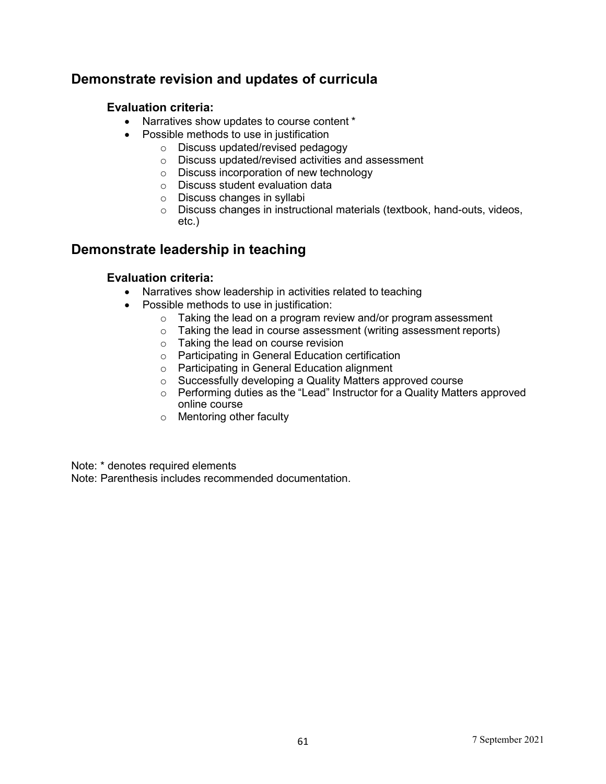### **Demonstrate revision and updates of curricula**

### **Evaluation criteria:**

- Narratives show updates to course content \*
- Possible methods to use in justification
	- o Discuss updated/revised pedagogy
	- o Discuss updated/revised activities and assessment
	- o Discuss incorporation of new technology
	- o Discuss student evaluation data
	- o Discuss changes in syllabi
	- o Discuss changes in instructional materials (textbook, hand-outs, videos, etc.)

### **Demonstrate leadership in teaching**

### **Evaluation criteria:**

- Narratives show leadership in activities related to teaching
- Possible methods to use in justification:
	- o Taking the lead on a program review and/or program assessment
	- o Taking the lead in course assessment (writing assessment reports)
	- o Taking the lead on course revision
	- o Participating in General Education certification
	- o Participating in General Education alignment
	- o Successfully developing a Quality Matters approved course
	- o Performing duties as the "Lead" Instructor for a Quality Matters approved online course
	- o Mentoring other faculty

Note: \* denotes required elements

Note: Parenthesis includes recommended documentation.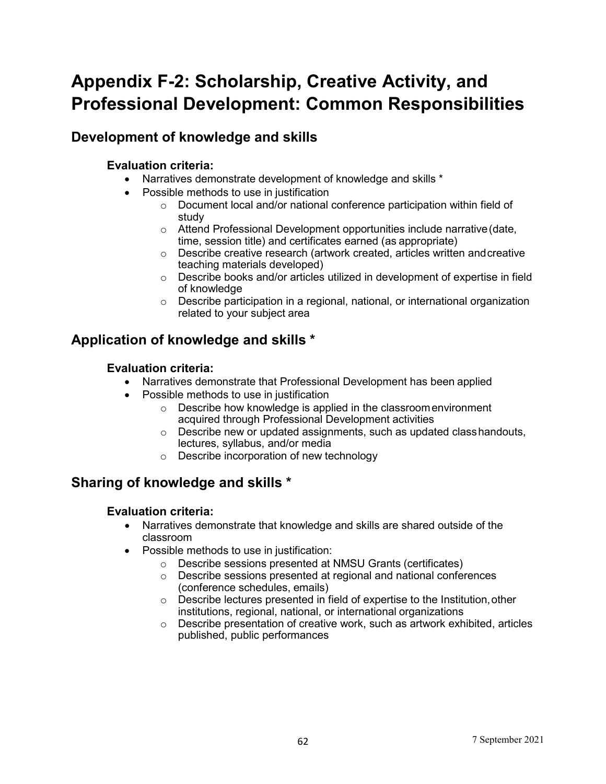## **Appendix F-2: Scholarship, Creative Activity, and Professional Development: Common Responsibilities**

### **Development of knowledge and skills**

### **Evaluation criteria:**

- Narratives demonstrate development of knowledge and skills \*
- Possible methods to use in justification
	- o Document local and/or national conference participation within field of study
	- o Attend Professional Development opportunities include narrative(date, time, session title) and certificates earned (as appropriate)
	- o Describe creative research (artwork created, articles written andcreative teaching materials developed)
	- o Describe books and/or articles utilized in development of expertise in field of knowledge
	- $\circ$  Describe participation in a regional, national, or international organization related to your subject area

### **Application of knowledge and skills \***

### **Evaluation criteria:**

- Narratives demonstrate that Professional Development has been applied
- Possible methods to use in justification
	- o Describe how knowledge is applied in the classroomenvironment acquired through Professional Development activities
	- $\circ$  Describe new or updated assignments, such as updated class handouts, lectures, syllabus, and/or media
	- o Describe incorporation of new technology

### **Sharing of knowledge and skills \***

### **Evaluation criteria:**

- Narratives demonstrate that knowledge and skills are shared outside of the classroom
- Possible methods to use in justification:
	- o Describe sessions presented at NMSU Grants (certificates)
	- o Describe sessions presented at regional and national conferences (conference schedules, emails)
	- o Describe lectures presented in field of expertise to the Institution,other institutions, regional, national, or international organizations
	- $\circ$  Describe presentation of creative work, such as artwork exhibited, articles published, public performances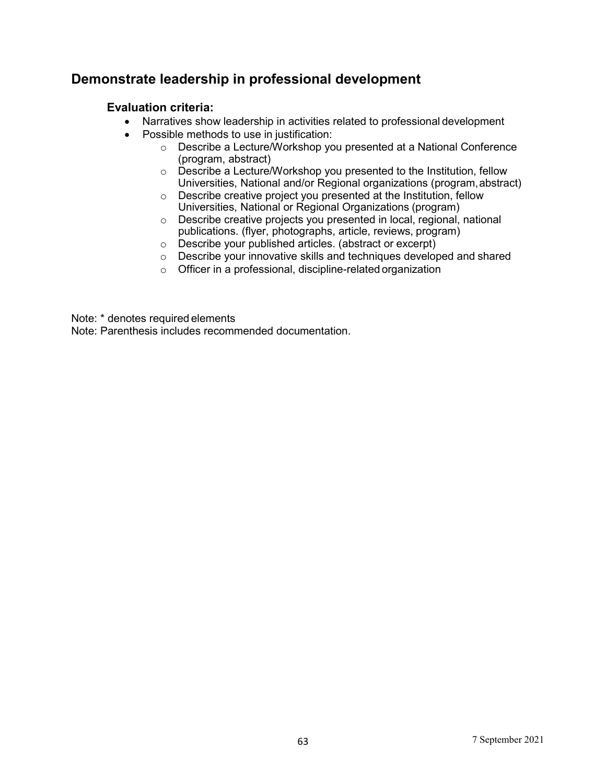### **Demonstrate leadership in professional development**

### **Evaluation criteria:**

- Narratives show leadership in activities related to professional development
- Possible methods to use in justification:
	- o Describe a Lecture/Workshop you presented at a National Conference (program, abstract)
	- o Describe a Lecture/Workshop you presented to the Institution, fellow Universities, National and/or Regional organizations (program,abstract)
	- o Describe creative project you presented at the Institution, fellow Universities, National or Regional Organizations (program)
	- o Describe creative projects you presented in local, regional, national publications. (flyer, photographs, article, reviews, program)
	- o Describe your published articles. (abstract or excerpt)
	- o Describe your innovative skills and techniques developed and shared
	- o Officer in a professional, discipline-related organization

Note: \* denotes required elements Note: Parenthesis includes recommended documentation.